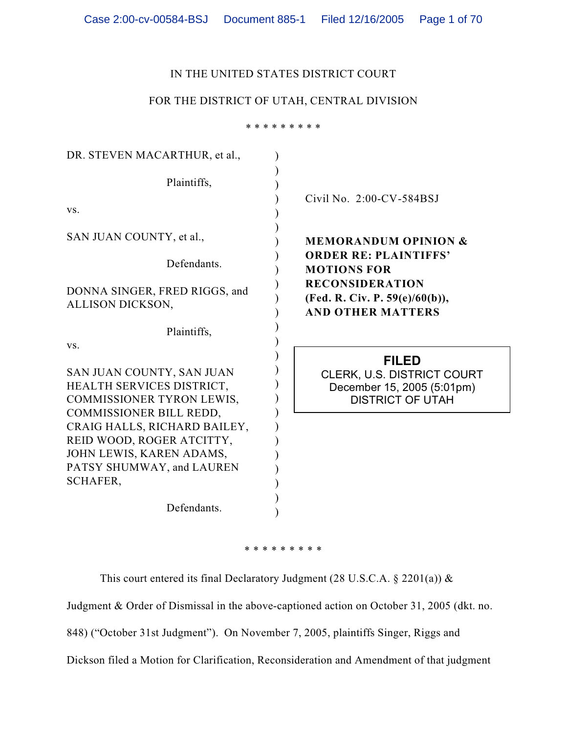### IN THE UNITED STATES DISTRICT COURT

### FOR THE DISTRICT OF UTAH, CENTRAL DIVISION

\* \* \* \* \* \* \* \* \*

| DR. STEVEN MACARTHUR, et al.,                                                                  |                                                                                            |
|------------------------------------------------------------------------------------------------|--------------------------------------------------------------------------------------------|
| Plaintiffs,                                                                                    | Civil No. 2:00-CV-584BSJ                                                                   |
| VS.                                                                                            |                                                                                            |
| SAN JUAN COUNTY, et al.,                                                                       | <b>MEMORANDUM OPINION &amp;</b>                                                            |
| Defendants.                                                                                    | <b>ORDER RE: PLAINTIFFS'</b><br><b>MOTIONS FOR</b>                                         |
| DONNA SINGER, FRED RIGGS, and<br>ALLISON DICKSON,                                              | <b>RECONSIDERATION</b><br>(Fed. R. Civ. P. 59(e)/60(b)),<br><b>AND OTHER MATTERS</b>       |
| Plaintiffs,                                                                                    |                                                                                            |
| VS.                                                                                            | <b>FILED</b>                                                                               |
| SAN JUAN COUNTY, SAN JUAN<br>HEALTH SERVICES DISTRICT,<br>COMMISSIONER TYRON LEWIS,            | <b>CLERK, U.S. DISTRICT COURT</b><br>December 15, 2005 (5:01pm)<br><b>DISTRICT OF UTAH</b> |
| COMMISSIONER BILL REDD,                                                                        |                                                                                            |
| CRAIG HALLS, RICHARD BAILEY,                                                                   |                                                                                            |
| REID WOOD, ROGER ATCITTY,<br>JOHN LEWIS, KAREN ADAMS,<br>PATSY SHUMWAY, and LAUREN<br>SCHAFER, |                                                                                            |

\* \* \* \* \* \* \* \* \*

This court entered its final Declaratory Judgment (28 U.S.C.A. § 2201(a))  $\&$ 

Judgment & Order of Dismissal in the above-captioned action on October 31, 2005 (dkt. no.

848) ("October 31st Judgment"). On November 7, 2005, plaintiffs Singer, Riggs and

Dickson filed a Motion for Clarification, Reconsideration and Amendment of that judgment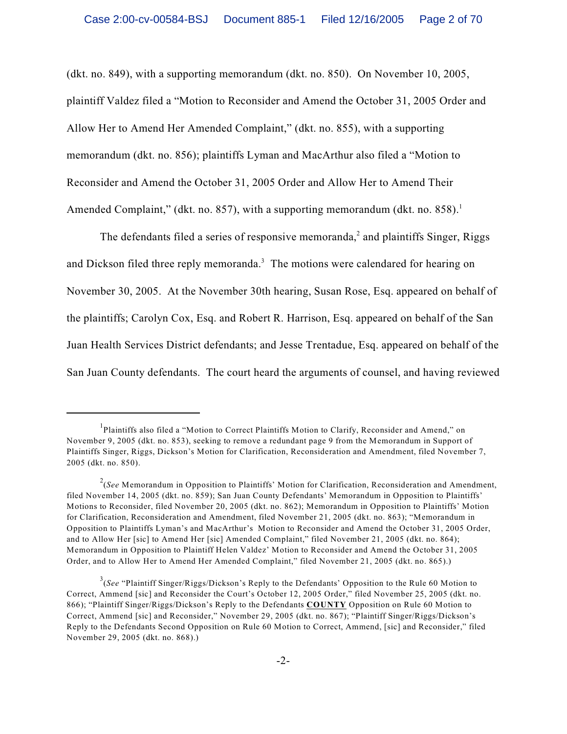(dkt. no. 849), with a supporting memorandum (dkt. no. 850). On November 10, 2005, plaintiff Valdez filed a "Motion to Reconsider and Amend the October 31, 2005 Order and Allow Her to Amend Her Amended Complaint," (dkt. no. 855), with a supporting memorandum (dkt. no. 856); plaintiffs Lyman and MacArthur also filed a "Motion to Reconsider and Amend the October 31, 2005 Order and Allow Her to Amend Their Amended Complaint," (dkt. no. 857), with a supporting memorandum (dkt. no. 858).<sup>1</sup>

The defendants filed a series of responsive memoranda, $\alpha$  and plaintiffs Singer, Riggs and Dickson filed three reply memoranda.<sup>3</sup> The motions were calendared for hearing on November 30, 2005. At the November 30th hearing, Susan Rose, Esq. appeared on behalf of the plaintiffs; Carolyn Cox, Esq. and Robert R. Harrison, Esq. appeared on behalf of the San Juan Health Services District defendants; and Jesse Trentadue, Esq. appeared on behalf of the San Juan County defendants. The court heard the arguments of counsel, and having reviewed

<sup>&</sup>lt;sup>1</sup>Plaintiffs also filed a "Motion to Correct Plaintiffs Motion to Clarify, Reconsider and Amend," on November 9, 2005 (dkt. no. 853), seeking to remove a redundant page 9 from the Memorandum in Support of Plaintiffs Singer, Riggs, Dickson's Motion for Clarification, Reconsideration and Amendment, filed November 7, 2005 (dkt. no. 850).

<sup>&</sup>lt;sup>2</sup>(See Memorandum in Opposition to Plaintiffs' Motion for Clarification, Reconsideration and Amendment, filed November 14, 2005 (dkt. no. 859); San Juan County Defendants' Memorandum in Opposition to Plaintiffs' Motions to Reconsider, filed November 20, 2005 (dkt. no. 862); Memorandum in Opposition to Plaintiffs' Motion for Clarification, Reconsideration and Amendment, filed November 21, 2005 (dkt. no. 863); "Memorandum in Opposition to Plaintiffs Lyman's and MacArthur's Motion to Reconsider and Amend the October 31, 2005 Order, and to Allow Her [sic] to Amend Her [sic] Amended Complaint," filed November 21, 2005 (dkt. no. 864); Memorandum in Opposition to Plaintiff Helen Valdez' Motion to Reconsider and Amend the October 31, 2005 Order, and to Allow Her to Amend Her Amended Complaint," filed November 21, 2005 (dkt. no. 865).)

<sup>&</sup>lt;sup>3</sup>(See "Plaintiff Singer/Riggs/Dickson's Reply to the Defendants' Opposition to the Rule 60 Motion to Correct, Ammend [sic] and Reconsider the Court's October 12, 2005 Order," filed November 25, 2005 (dkt. no. 866); "Plaintiff Singer/Riggs/Dickson's Reply to the Defendants **COUNTY** Opposition on Rule 60 Motion to Correct, Ammend [sic] and Reconsider," November 29, 2005 (dkt. no. 867); "Plaintiff Singer/Riggs/Dickson's Reply to the Defendants Second Opposition on Rule 60 Motion to Correct, Ammend, [sic] and Reconsider," filed November 29, 2005 (dkt. no. 868).)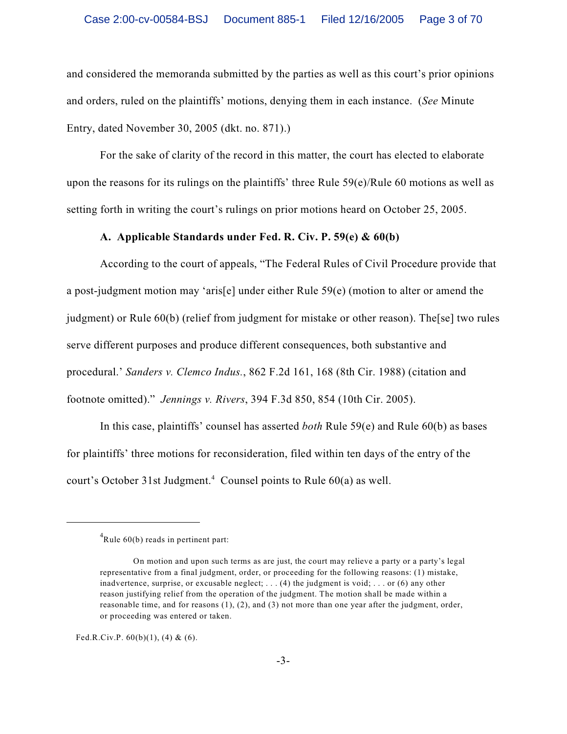and considered the memoranda submitted by the parties as well as this court's prior opinions and orders, ruled on the plaintiffs' motions, denying them in each instance. (*See* Minute Entry, dated November 30, 2005 (dkt. no. 871).)

For the sake of clarity of the record in this matter, the court has elected to elaborate upon the reasons for its rulings on the plaintiffs' three Rule 59(e)/Rule 60 motions as well as setting forth in writing the court's rulings on prior motions heard on October 25, 2005.

### **A. Applicable Standards under Fed. R. Civ. P. 59(e) & 60(b)**

According to the court of appeals, "The Federal Rules of Civil Procedure provide that a post-judgment motion may 'aris[e] under either Rule 59(e) (motion to alter or amend the judgment) or Rule 60(b) (relief from judgment for mistake or other reason). The[se] two rules serve different purposes and produce different consequences, both substantive and procedural.' *Sanders v. Clemco Indus.*, 862 F.2d 161, 168 (8th Cir. 1988) (citation and footnote omitted)." *Jennings v. Rivers*, 394 F.3d 850, 854 (10th Cir. 2005).

In this case, plaintiffs' counsel has asserted *both* Rule 59(e) and Rule 60(b) as bases for plaintiffs' three motions for reconsideration, filed within ten days of the entry of the court's October 31st Judgment.<sup>4</sup> Counsel points to Rule  $60(a)$  as well.

Fed.R.Civ.P.  $60(b)(1)$ , (4) & (6).

 $Rule_{0}(b) reads in pertinent part:$ 

On motion and upon such terms as are just, the court may relieve a party or a party's legal representative from a final judgment, order, or proceeding for the following reasons: (1) mistake, inadvertence, surprise, or excusable neglect;  $\dots$  (4) the judgment is void;  $\dots$  or (6) any other reason justifying relief from the operation of the judgment. The motion shall be made within a reasonable time, and for reasons (1), (2), and (3) not more than one year after the judgment, order, or proceeding was entered or taken.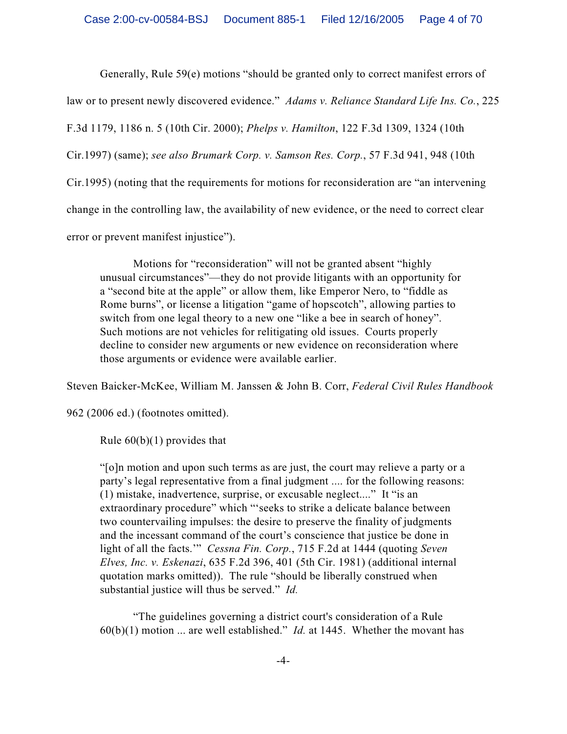Generally, Rule 59(e) motions "should be granted only to correct manifest errors of

law or to present newly discovered evidence." *Adams v. Reliance Standard Life Ins. Co.*, 225

F.3d 1179, 1186 n. 5 (10th Cir. 2000); *Phelps v. Hamilton*, 122 F.3d 1309, 1324 (10th

Cir.1997) (same); *see also Brumark Corp. v. Samson Res. Corp.*, 57 F.3d 941, 948 (10th

Cir.1995) (noting that the requirements for motions for reconsideration are "an intervening

change in the controlling law, the availability of new evidence, or the need to correct clear

error or prevent manifest injustice").

Motions for "reconsideration" will not be granted absent "highly unusual circumstances"—they do not provide litigants with an opportunity for a "second bite at the apple" or allow them, like Emperor Nero, to "fiddle as Rome burns", or license a litigation "game of hopscotch", allowing parties to switch from one legal theory to a new one "like a bee in search of honey". Such motions are not vehicles for relitigating old issues. Courts properly decline to consider new arguments or new evidence on reconsideration where those arguments or evidence were available earlier.

Steven Baicker-McKee, William M. Janssen & John B. Corr, *Federal Civil Rules Handbook*

962 (2006 ed.) (footnotes omitted).

Rule  $60(b)(1)$  provides that

"[o]n motion and upon such terms as are just, the court may relieve a party or a party's legal representative from a final judgment .... for the following reasons: (1) mistake, inadvertence, surprise, or excusable neglect...." It "is an extraordinary procedure" which "'seeks to strike a delicate balance between two countervailing impulses: the desire to preserve the finality of judgments and the incessant command of the court's conscience that justice be done in light of all the facts.'" *Cessna Fin. Corp.*, 715 F.2d at 1444 (quoting *Seven Elves, Inc. v. Eskenazi*, 635 F.2d 396, 401 (5th Cir. 1981) (additional internal quotation marks omitted)). The rule "should be liberally construed when substantial justice will thus be served." *Id.*

"The guidelines governing a district court's consideration of a Rule 60(b)(1) motion ... are well established." *Id.* at 1445. Whether the movant has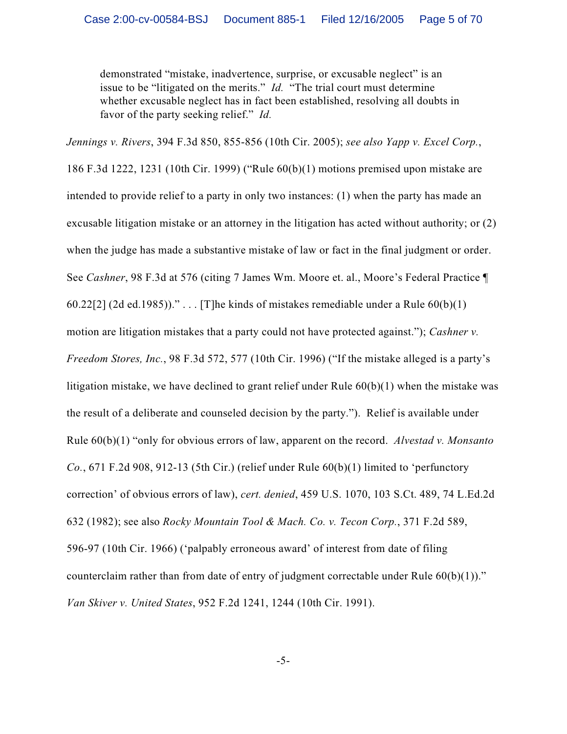demonstrated "mistake, inadvertence, surprise, or excusable neglect" is an issue to be "litigated on the merits." *Id.* "The trial court must determine whether excusable neglect has in fact been established, resolving all doubts in favor of the party seeking relief." *Id.*

*Jennings v. Rivers*, 394 F.3d 850, 855-856 (10th Cir. 2005); *see also Yapp v. Excel Corp.*, 186 F.3d 1222, 1231 (10th Cir. 1999) ("Rule 60(b)(1) motions premised upon mistake are intended to provide relief to a party in only two instances: (1) when the party has made an excusable litigation mistake or an attorney in the litigation has acted without authority; or (2) when the judge has made a substantive mistake of law or fact in the final judgment or order. See *Cashner*, 98 F.3d at 576 (citing 7 James Wm. Moore et. al., Moore's Federal Practice ¶ 60.22[2] (2d ed.1985))." . . . [T]he kinds of mistakes remediable under a Rule  $60(b)(1)$ motion are litigation mistakes that a party could not have protected against."); *Cashner v. Freedom Stores, Inc.*, 98 F.3d 572, 577 (10th Cir. 1996) ("If the mistake alleged is a party's litigation mistake, we have declined to grant relief under Rule 60(b)(1) when the mistake was the result of a deliberate and counseled decision by the party."). Relief is available under Rule 60(b)(1) "only for obvious errors of law, apparent on the record. *Alvestad v. Monsanto Co.*, 671 F.2d 908, 912-13 (5th Cir.) (relief under Rule 60(b)(1) limited to 'perfunctory correction' of obvious errors of law), *cert. denied*, 459 U.S. 1070, 103 S.Ct. 489, 74 L.Ed.2d 632 (1982); see also *Rocky Mountain Tool & Mach. Co. v. Tecon Corp.*, 371 F.2d 589, 596-97 (10th Cir. 1966) ('palpably erroneous award' of interest from date of filing counterclaim rather than from date of entry of judgment correctable under Rule  $60(b)(1)$ ." *Van Skiver v. United States*, 952 F.2d 1241, 1244 (10th Cir. 1991).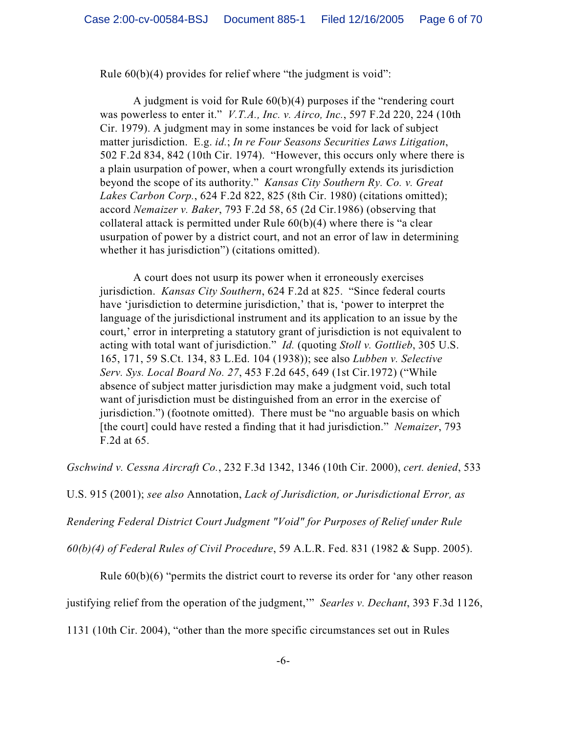Rule 60(b)(4) provides for relief where "the judgment is void":

A judgment is void for Rule 60(b)(4) purposes if the "rendering court was powerless to enter it." *V.T.A., Inc. v. Airco, Inc.*, 597 F.2d 220, 224 (10th Cir. 1979). A judgment may in some instances be void for lack of subject matter jurisdiction. E.g. *id.*; *In re Four Seasons Securities Laws Litigation*, 502 F.2d 834, 842 (10th Cir. 1974). "However, this occurs only where there is a plain usurpation of power, when a court wrongfully extends its jurisdiction beyond the scope of its authority." *Kansas City Southern Ry. Co. v. Great Lakes Carbon Corp.*, 624 F.2d 822, 825 (8th Cir. 1980) (citations omitted); accord *Nemaizer v. Baker*, 793 F.2d 58, 65 (2d Cir.1986) (observing that collateral attack is permitted under Rule  $60(b)(4)$  where there is "a clear usurpation of power by a district court, and not an error of law in determining whether it has jurisdiction") (citations omitted).

A court does not usurp its power when it erroneously exercises jurisdiction. *Kansas City Southern*, 624 F.2d at 825. "Since federal courts have 'jurisdiction to determine jurisdiction,' that is, 'power to interpret the language of the jurisdictional instrument and its application to an issue by the court,' error in interpreting a statutory grant of jurisdiction is not equivalent to acting with total want of jurisdiction." *Id.* (quoting *Stoll v. Gottlieb*, 305 U.S. 165, 171, 59 S.Ct. 134, 83 L.Ed. 104 (1938)); see also *Lubben v. Selective Serv. Sys. Local Board No. 27*, 453 F.2d 645, 649 (1st Cir.1972) ("While absence of subject matter jurisdiction may make a judgment void, such total want of jurisdiction must be distinguished from an error in the exercise of jurisdiction.") (footnote omitted). There must be "no arguable basis on which [the court] could have rested a finding that it had jurisdiction." *Nemaizer*, 793 F.2d at 65.

*Gschwind v. Cessna Aircraft Co.*, 232 F.3d 1342, 1346 (10th Cir. 2000), *cert. denied*, 533

U.S. 915 (2001); *see also* Annotation, *Lack of Jurisdiction, or Jurisdictional Error, as*

*Rendering Federal District Court Judgment "Void" for Purposes of Relief under Rule*

*60(b)(4) of Federal Rules of Civil Procedure*, 59 A.L.R. Fed. 831 (1982 & Supp. 2005).

Rule 60(b)(6) "permits the district court to reverse its order for 'any other reason

justifying relief from the operation of the judgment,'" *Searles v. Dechant*, 393 F.3d 1126,

1131 (10th Cir. 2004), "other than the more specific circumstances set out in Rules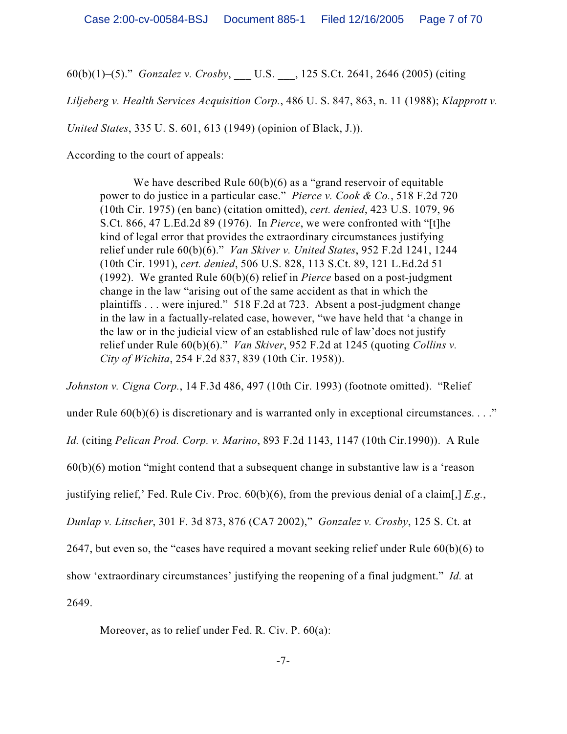60(b)(1)–(5)." *Gonzalez v. Crosby*, \_\_\_ U.S. \_\_\_, 125 S.Ct. 2641, 2646 (2005) (citing

*Liljeberg v. Health Services Acquisition Corp.*, 486 U. S. 847, 863, n. 11 (1988); *Klapprott v.*

*United States*, 335 U. S. 601, 613 (1949) (opinion of Black, J.)).

According to the court of appeals:

We have described Rule  $60(b)(6)$  as a "grand reservoir of equitable power to do justice in a particular case." *Pierce v. Cook & Co.*, 518 F.2d 720 (10th Cir. 1975) (en banc) (citation omitted), *cert. denied*, 423 U.S. 1079, 96 S.Ct. 866, 47 L.Ed.2d 89 (1976). In *Pierce*, we were confronted with "[t]he kind of legal error that provides the extraordinary circumstances justifying relief under rule 60(b)(6)." *Van Skiver v. United States*, 952 F.2d 1241, 1244 (10th Cir. 1991), *cert. denied*, 506 U.S. 828, 113 S.Ct. 89, 121 L.Ed.2d 51 (1992). We granted Rule 60(b)(6) relief in *Pierce* based on a post-judgment change in the law "arising out of the same accident as that in which the plaintiffs . . . were injured." 518 F.2d at 723. Absent a post-judgment change in the law in a factually-related case, however, "we have held that 'a change in the law or in the judicial view of an established rule of law'does not justify relief under Rule 60(b)(6)." *Van Skiver*, 952 F.2d at 1245 (quoting *Collins v. City of Wichita*, 254 F.2d 837, 839 (10th Cir. 1958)).

*Johnston v. Cigna Corp.*, 14 F.3d 486, 497 (10th Cir. 1993) (footnote omitted). "Relief

under Rule  $60(b)(6)$  is discretionary and is warranted only in exceptional circumstances. . . ."

*Id.* (citing *Pelican Prod. Corp. v. Marino*, 893 F.2d 1143, 1147 (10th Cir.1990)). A Rule

60(b)(6) motion "might contend that a subsequent change in substantive law is a 'reason

justifying relief,' Fed. Rule Civ. Proc. 60(b)(6), from the previous denial of a claim[,] *E.g.*,

*Dunlap v. Litscher*, 301 F. 3d 873, 876 (CA7 2002)," *Gonzalez v. Crosby*, 125 S. Ct. at

2647, but even so, the "cases have required a movant seeking relief under Rule 60(b)(6) to

show 'extraordinary circumstances' justifying the reopening of a final judgment." *Id.* at

2649.

Moreover, as to relief under Fed. R. Civ. P. 60(a):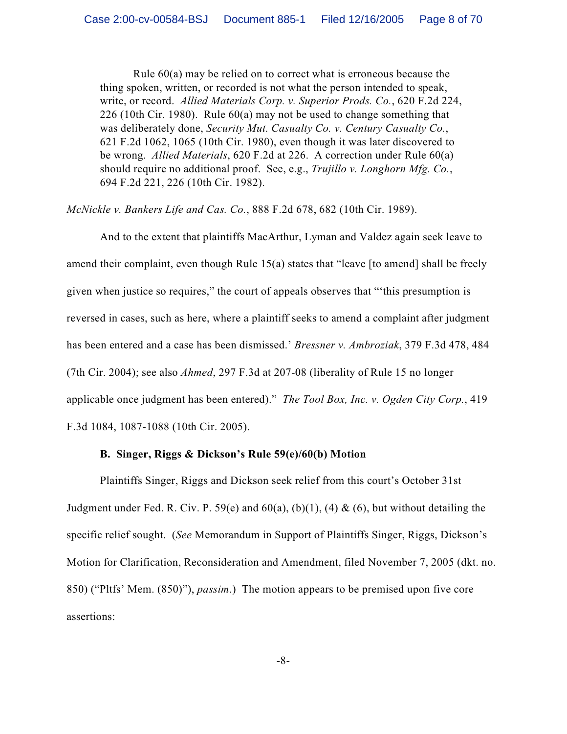Rule 60(a) may be relied on to correct what is erroneous because the thing spoken, written, or recorded is not what the person intended to speak, write, or record. *Allied Materials Corp. v. Superior Prods. Co.*, 620 F.2d 224, 226 (10th Cir. 1980). Rule 60(a) may not be used to change something that was deliberately done, *Security Mut. Casualty Co. v. Century Casualty Co.*, 621 F.2d 1062, 1065 (10th Cir. 1980), even though it was later discovered to be wrong. *Allied Materials*, 620 F.2d at 226. A correction under Rule 60(a) should require no additional proof. See, e.g., *Trujillo v. Longhorn Mfg. Co.*, 694 F.2d 221, 226 (10th Cir. 1982).

*McNickle v. Bankers Life and Cas. Co.*, 888 F.2d 678, 682 (10th Cir. 1989).

And to the extent that plaintiffs MacArthur, Lyman and Valdez again seek leave to amend their complaint, even though Rule 15(a) states that "leave [to amend] shall be freely given when justice so requires," the court of appeals observes that "'this presumption is reversed in cases, such as here, where a plaintiff seeks to amend a complaint after judgment has been entered and a case has been dismissed.' *Bressner v. Ambroziak*, 379 F.3d 478, 484 (7th Cir. 2004); see also *Ahmed*, 297 F.3d at 207-08 (liberality of Rule 15 no longer applicable once judgment has been entered)." *The Tool Box, Inc. v. Ogden City Corp.*, 419 F.3d 1084, 1087-1088 (10th Cir. 2005).

### **B. Singer, Riggs & Dickson's Rule 59(e)/60(b) Motion**

Plaintiffs Singer, Riggs and Dickson seek relief from this court's October 31st Judgment under Fed. R. Civ. P. 59(e) and  $60(a)$ ,  $(b)(1)$ ,  $(4)$  &  $(6)$ , but without detailing the specific relief sought. (*See* Memorandum in Support of Plaintiffs Singer, Riggs, Dickson's Motion for Clarification, Reconsideration and Amendment, filed November 7, 2005 (dkt. no. 850) ("Pltfs' Mem. (850)"), *passim*.) The motion appears to be premised upon five core assertions: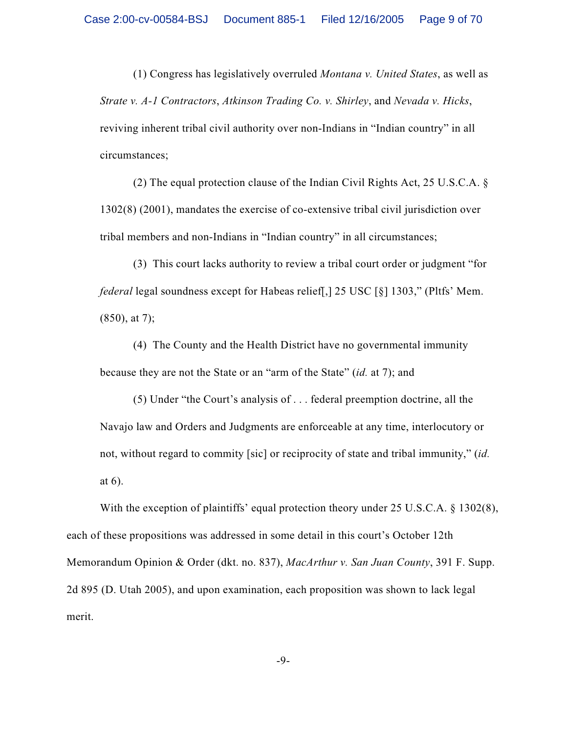(1) Congress has legislatively overruled *Montana v. United States*, as well as *Strate v. A-1 Contractors*, *Atkinson Trading Co. v. Shirley*, and *Nevada v. Hicks*, reviving inherent tribal civil authority over non-Indians in "Indian country" in all circumstances;

(2) The equal protection clause of the Indian Civil Rights Act, 25 U.S.C.A. § 1302(8) (2001), mandates the exercise of co-extensive tribal civil jurisdiction over tribal members and non-Indians in "Indian country" in all circumstances;

(3) This court lacks authority to review a tribal court order or judgment "for *federal* legal soundness except for Habeas relief[,] 25 USC [§] 1303," (Pltfs' Mem.  $(850)$ , at 7);

(4) The County and the Health District have no governmental immunity because they are not the State or an "arm of the State" (*id.* at 7); and

(5) Under "the Court's analysis of . . . federal preemption doctrine, all the Navajo law and Orders and Judgments are enforceable at any time, interlocutory or not, without regard to commity [sic] or reciprocity of state and tribal immunity," (*id.* at 6).

With the exception of plaintiffs' equal protection theory under 25 U.S.C.A. § 1302(8), each of these propositions was addressed in some detail in this court's October 12th Memorandum Opinion & Order (dkt. no. 837), *MacArthur v. San Juan County*, 391 F. Supp. 2d 895 (D. Utah 2005), and upon examination, each proposition was shown to lack legal merit.

-9-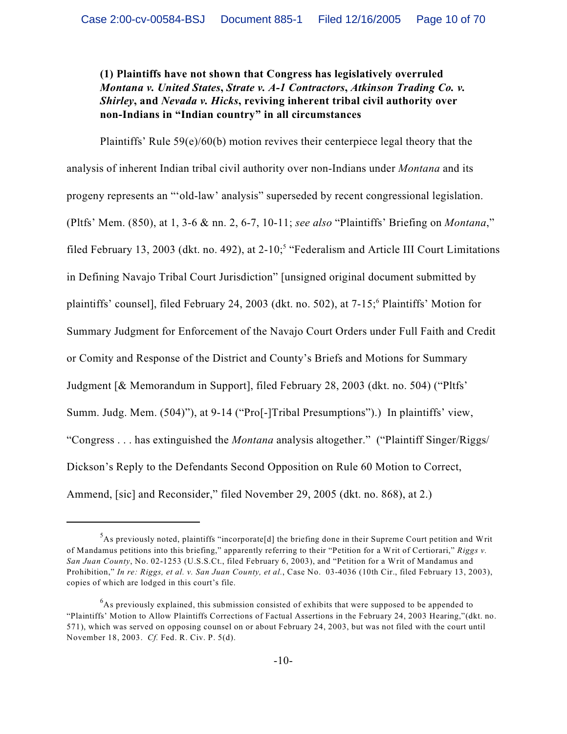**(1) Plaintiffs have not shown that Congress has legislatively overruled** *Montana v. United States***,** *Strate v. A-1 Contractors***,** *Atkinson Trading Co. v. Shirley***, and** *Nevada v. Hicks***, reviving inherent tribal civil authority over non-Indians in "Indian country" in all circumstances**

Plaintiffs' Rule 59(e)/60(b) motion revives their centerpiece legal theory that the analysis of inherent Indian tribal civil authority over non-Indians under *Montana* and its progeny represents an "'old-law' analysis" superseded by recent congressional legislation. (Pltfs' Mem. (850), at 1, 3-6 & nn. 2, 6-7, 10-11; *see also* "Plaintiffs' Briefing on *Montana*," filed February 13, 2003 (dkt. no. 492), at 2-10;<sup>5</sup> "Federalism and Article III Court Limitations in Defining Navajo Tribal Court Jurisdiction" [unsigned original document submitted by plaintiffs' counsel], filed February 24, 2003 (dkt. no. 502), at 7-15; Plaintiffs' Motion for <sup>6</sup> Summary Judgment for Enforcement of the Navajo Court Orders under Full Faith and Credit or Comity and Response of the District and County's Briefs and Motions for Summary Judgment [& Memorandum in Support], filed February 28, 2003 (dkt. no. 504) ("Pltfs' Summ. Judg. Mem. (504)"), at 9-14 ("Pro[-]Tribal Presumptions").) In plaintiffs' view, "Congress . . . has extinguished the *Montana* analysis altogether." ("Plaintiff Singer/Riggs/ Dickson's Reply to the Defendants Second Opposition on Rule 60 Motion to Correct, Ammend, [sic] and Reconsider," filed November 29, 2005 (dkt. no. 868), at 2.)

 $A$ s previously noted, plaintiffs "incorporate $[d]$  the briefing done in their Supreme Court petition and Writ of Mandamus petitions into this briefing," apparently referring to their "Petition for a Writ of Certiorari," *Riggs v. San Juan County*, No. 02-1253 (U.S.S.Ct., filed February 6, 2003), and "Petition for a Writ of Mandamus and Prohibition," *In re: Riggs, et al. v. San Juan County, et al.*, Case No. 03-4036 (10th Cir., filed February 13, 2003), copies of which are lodged in this court's file.

 $6$ As previously explained, this submission consisted of exhibits that were supposed to be appended to "Plaintiffs' Motion to Allow Plaintiffs Corrections of Factual Assertions in the February 24, 2003 Hearing,"(dkt. no. 571), which was served on opposing counsel on or about February 24, 2003, but was not filed with the court until November 18, 2003. *Cf.* Fed. R. Civ. P. 5(d).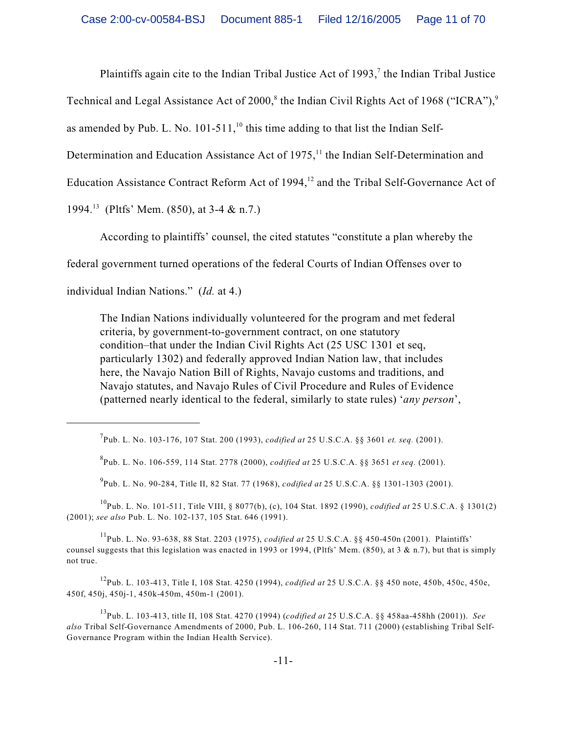Plaintiffs again cite to the Indian Tribal Justice Act of 1993,<sup>7</sup> the Indian Tribal Justice

Technical and Legal Assistance Act of  $2000$ ,<sup>8</sup> the Indian Civil Rights Act of 1968 ("ICRA"),<sup>9</sup>

as amended by Pub. L. No. 101-511, $^{10}$  this time adding to that list the Indian Self-

Determination and Education Assistance Act of  $1975$ ,<sup>11</sup>, the Indian Self-Determination and

Education Assistance Contract Reform Act of 1994,<sup>12</sup> and the Tribal Self-Governance Act of

1994.<sup>13</sup> (Pltfs' Mem. (850), at 3-4 & n.7.)

According to plaintiffs' counsel, the cited statutes "constitute a plan whereby the

federal government turned operations of the federal Courts of Indian Offenses over to

individual Indian Nations." (*Id.* at 4.)

The Indian Nations individually volunteered for the program and met federal criteria, by government-to-government contract, on one statutory condition–that under the Indian Civil Rights Act (25 USC 1301 et seq, particularly 1302) and federally approved Indian Nation law, that includes here, the Navajo Nation Bill of Rights, Navajo customs and traditions, and Navajo statutes, and Navajo Rules of Civil Procedure and Rules of Evidence (patterned nearly identical to the federal, similarly to state rules) '*any person*',

<sup>9</sup> Pub. L. No. 90-284, Title II, 82 Stat. 77 (1968), *codified at* 25 U.S.C.A. §§ 1301-1303 (2001).

Pub. L. No. 101-511, Title VIII, § 8077(b), (c), 104 Stat. 1892 (1990), *codified at* 25 U.S.C.A. § 1301(2) <sup>10</sup> (2001); *see also* Pub. L. No. 102-137, 105 Stat. 646 (1991).

Pub. L. No. 93-638, 88 Stat. 2203 (1975), *codified at* 25 U.S.C.A. §§ 450-450n (2001). Plaintiffs' <sup>11</sup> counsel suggests that this legislation was enacted in 1993 or 1994, (Pltfs' Mem. (850), at  $3 \& n.7$ ), but that is simply not true.

Pub. L. 103-413, Title I, 108 Stat. 4250 (1994), *codified at* 25 U.S.C.A. §§ 450 note, 450b, 450c, 450e, 12 450f, 450j, 450j-1, 450k-450m, 450m-1 (2001).

Pub. L. 103-413, title II, 108 Stat. 4270 (1994) (*codified at* 25 U.S.C.A. §§ 458aa-458hh (2001)). *See* <sup>13</sup> *also* Tribal Self-Governance Amendments of 2000, Pub. L. 106-260, 114 Stat. 711 (2000) (establishing Tribal Self-Governance Program within the Indian Health Service).

Pub. L. No. 103-176, 107 Stat. 200 (1993), *codified at* 25 U.S.C.A. §§ 3601 *et. seq.* (2001). <sup>7</sup>

Pub. L. No. 106-559, 114 Stat. 2778 (2000), *codified at* 25 U.S.C.A. §§ 3651 *et seq.* (2001). <sup>8</sup>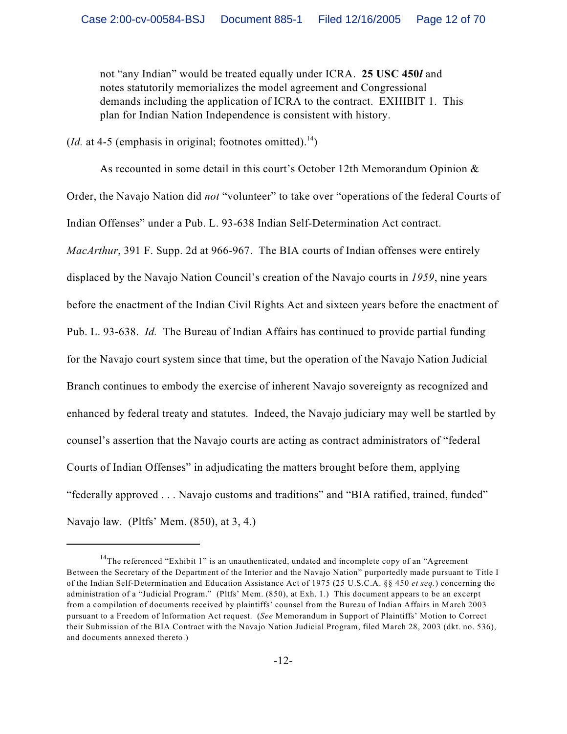not "any Indian" would be treated equally under ICRA. **25 USC 450***l* and notes statutorily memorializes the model agreement and Congressional demands including the application of ICRA to the contract. EXHIBIT 1. This plan for Indian Nation Independence is consistent with history.

(*Id.* at 4-5 (emphasis in original; footnotes omitted).<sup>14</sup>)

As recounted in some detail in this court's October 12th Memorandum Opinion  $\&$ Order, the Navajo Nation did *not* "volunteer" to take over "operations of the federal Courts of Indian Offenses" under a Pub. L. 93-638 Indian Self-Determination Act contract. *MacArthur*, 391 F. Supp. 2d at 966-967. The BIA courts of Indian offenses were entirely displaced by the Navajo Nation Council's creation of the Navajo courts in *1959*, nine years before the enactment of the Indian Civil Rights Act and sixteen years before the enactment of Pub. L. 93-638. *Id.* The Bureau of Indian Affairs has continued to provide partial funding for the Navajo court system since that time, but the operation of the Navajo Nation Judicial Branch continues to embody the exercise of inherent Navajo sovereignty as recognized and enhanced by federal treaty and statutes. Indeed, the Navajo judiciary may well be startled by counsel's assertion that the Navajo courts are acting as contract administrators of "federal Courts of Indian Offenses" in adjudicating the matters brought before them, applying "federally approved . . . Navajo customs and traditions" and "BIA ratified, trained, funded" Navajo law. (Pltfs' Mem. (850), at 3, 4.)

 $14$ The referenced "Exhibit 1" is an unauthenticated, undated and incomplete copy of an "Agreement Between the Secretary of the Department of the Interior and the Navajo Nation" purportedly made pursuant to Title I of the Indian Self-Determination and Education Assistance Act of 1975 (25 U.S.C.A. §§ 450 *et seq.*) concerning the administration of a "Judicial Program." (Pltfs' Mem. (850), at Exh. 1.) This document appears to be an excerpt from a compilation of documents received by plaintiffs' counsel from the Bureau of Indian Affairs in March 2003 pursuant to a Freedom of Information Act request. (*See* Memorandum in Support of Plaintiffs' Motion to Correct their Submission of the BIA Contract with the Navajo Nation Judicial Program, filed March 28, 2003 (dkt. no. 536), and documents annexed thereto.)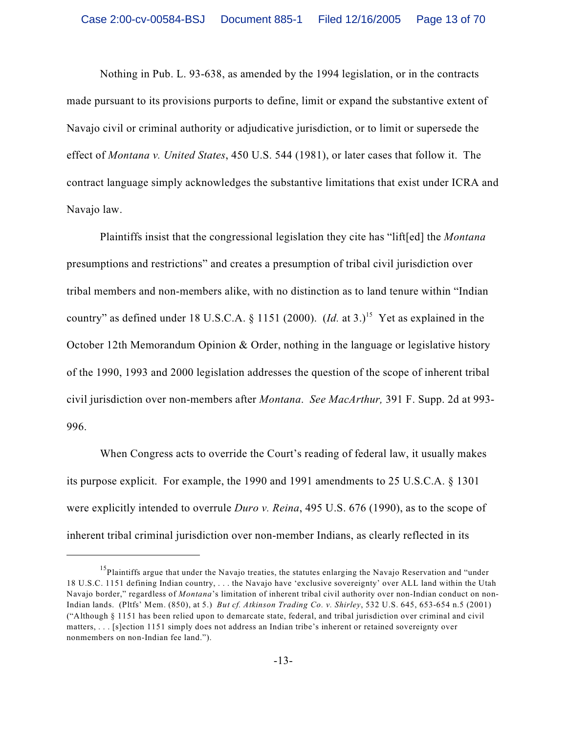Nothing in Pub. L. 93-638, as amended by the 1994 legislation, or in the contracts made pursuant to its provisions purports to define, limit or expand the substantive extent of Navajo civil or criminal authority or adjudicative jurisdiction, or to limit or supersede the effect of *Montana v. United States*, 450 U.S. 544 (1981), or later cases that follow it. The contract language simply acknowledges the substantive limitations that exist under ICRA and Navajo law.

Plaintiffs insist that the congressional legislation they cite has "lift[ed] the *Montana* presumptions and restrictions" and creates a presumption of tribal civil jurisdiction over tribal members and non-members alike, with no distinction as to land tenure within "Indian country" as defined under 18 U.S.C.A. § 1151 (2000).  $(Id.$  at 3.)<sup>15</sup> Yet as explained in the October 12th Memorandum Opinion & Order, nothing in the language or legislative history of the 1990, 1993 and 2000 legislation addresses the question of the scope of inherent tribal civil jurisdiction over non-members after *Montana*. *See MacArthur,* 391 F. Supp. 2d at 993- 996.

When Congress acts to override the Court's reading of federal law, it usually makes its purpose explicit. For example, the 1990 and 1991 amendments to 25 U.S.C.A. § 1301 were explicitly intended to overrule *Duro v. Reina*, 495 U.S. 676 (1990), as to the scope of inherent tribal criminal jurisdiction over non-member Indians, as clearly reflected in its

<sup>&</sup>lt;sup>15</sup>Plaintiffs argue that under the Navajo treaties, the statutes enlarging the Navajo Reservation and "under" 18 U.S.C. 1151 defining Indian country, . . . the Navajo have 'exclusive sovereignty' over ALL land within the Utah Navajo border," regardless of *Montana*'s limitation of inherent tribal civil authority over non-Indian conduct on non-Indian lands. (Pltfs' Mem. (850), at 5.) *But cf. Atkinson Trading Co. v. Shirley*, 532 U.S. 645, 653-654 n.5 (2001) ("Although § 1151 has been relied upon to demarcate state, federal, and tribal jurisdiction over criminal and civil matters, . . . [s]ection 1151 simply does not address an Indian tribe's inherent or retained sovereignty over nonmembers on non-Indian fee land.").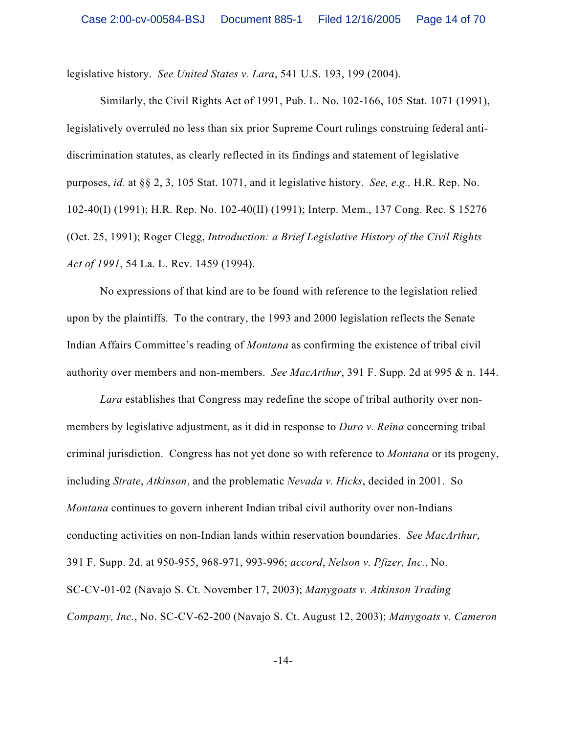legislative history. *See United States v. Lara*, 541 U.S. 193, 199 (2004).

Similarly, the Civil Rights Act of 1991, Pub. L. No. 102-166, 105 Stat. 1071 (1991), legislatively overruled no less than six prior Supreme Court rulings construing federal antidiscrimination statutes, as clearly reflected in its findings and statement of legislative purposes, *id.* at §§ 2, 3, 105 Stat. 1071, and it legislative history. *See, e.g.,* H.R. Rep. No. 102-40(I) (1991); H.R. Rep. No. 102-40(II) (1991); Interp. Mem., 137 Cong. Rec. S 15276 (Oct. 25, 1991); Roger Clegg, *Introduction: a Brief Legislative History of the Civil Rights Act of 1991*, 54 La. L. Rev. 1459 (1994).

No expressions of that kind are to be found with reference to the legislation relied upon by the plaintiffs. To the contrary, the 1993 and 2000 legislation reflects the Senate Indian Affairs Committee's reading of *Montana* as confirming the existence of tribal civil authority over members and non-members. *See MacArthur*, 391 F. Supp. 2d at 995 & n. 144.

*Lara* establishes that Congress may redefine the scope of tribal authority over nonmembers by legislative adjustment, as it did in response to *Duro v. Reina* concerning tribal criminal jurisdiction. Congress has not yet done so with reference to *Montana* or its progeny, including *Strate*, *Atkinson*, and the problematic *Nevada v. Hicks*, decided in 2001. So *Montana* continues to govern inherent Indian tribal civil authority over non-Indians conducting activities on non-Indian lands within reservation boundaries. *See MacArthur*, 391 F. Supp. 2d. at 950-955, 968-971, 993-996; *accord*, *Nelson v. Pfizer, Inc.*, No. SC-CV-01-02 (Navajo S. Ct. November 17, 2003); *Manygoats v. Atkinson Trading Company, Inc.*, No. SC-CV-62-200 (Navajo S. Ct. August 12, 2003); *Manygoats v. Cameron*

-14-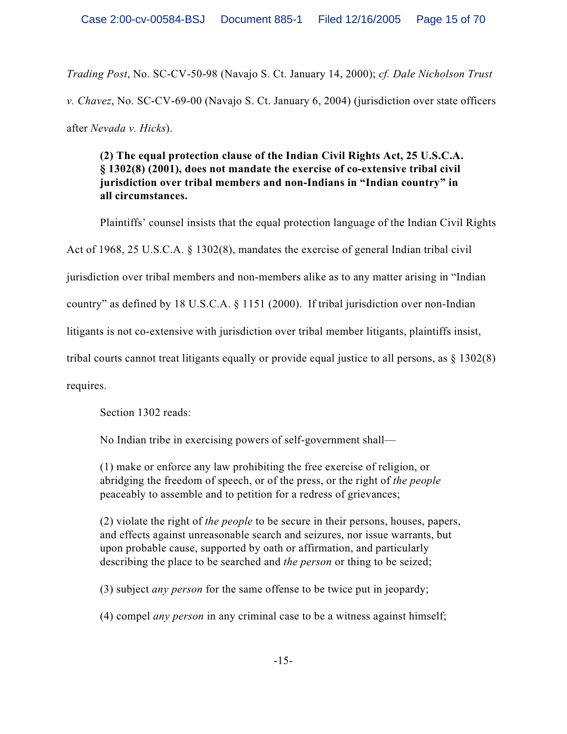*Trading Post*, No. SC-CV-50-98 (Navajo S. Ct. January 14, 2000); *cf. Dale Nicholson Trust v. Chavez*, No. SC-CV-69-00 (Navajo S. Ct. January 6, 2004) (jurisdiction over state officers after *Nevada v. Hicks*).

**(2) The equal protection clause of the Indian Civil Rights Act, 25 U.S.C.A. § 1302(8) (2001), does not mandate the exercise of co-extensive tribal civil jurisdiction over tribal members and non-Indians in "Indian country" in all circumstances.**

Plaintiffs' counsel insists that the equal protection language of the Indian Civil Rights Act of 1968, 25 U.S.C.A. § 1302(8), mandates the exercise of general Indian tribal civil jurisdiction over tribal members and non-members alike as to any matter arising in "Indian country" as defined by 18 U.S.C.A. § 1151 (2000). If tribal jurisdiction over non-Indian litigants is not co-extensive with jurisdiction over tribal member litigants, plaintiffs insist, tribal courts cannot treat litigants equally or provide equal justice to all persons, as § 1302(8) requires.

Section 1302 reads:

No Indian tribe in exercising powers of self-government shall—

(1) make or enforce any law prohibiting the free exercise of religion, or abridging the freedom of speech, or of the press, or the right of *the people* peaceably to assemble and to petition for a redress of grievances;

(2) violate the right of *the people* to be secure in their persons, houses, papers, and effects against unreasonable search and seizures, nor issue warrants, but upon probable cause, supported by oath or affirmation, and particularly describing the place to be searched and *the person* or thing to be seized;

(3) subject *any person* for the same offense to be twice put in jeopardy;

(4) compel *any person* in any criminal case to be a witness against himself;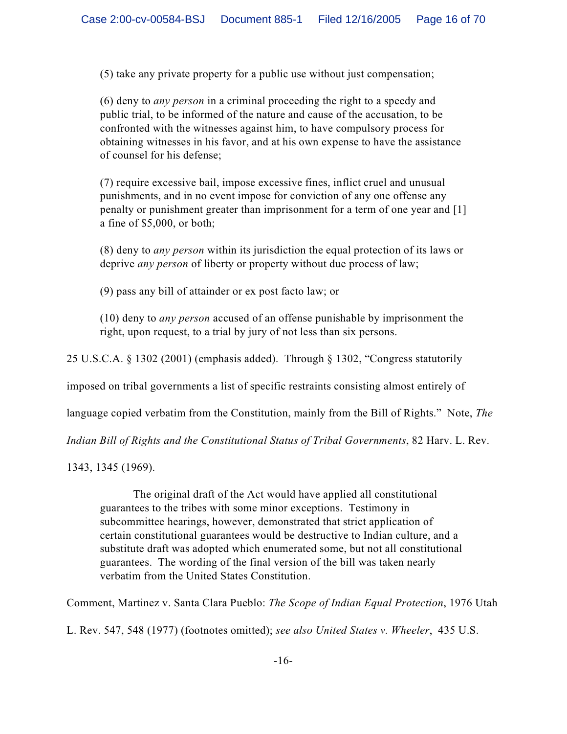(5) take any private property for a public use without just compensation;

(6) deny to *any person* in a criminal proceeding the right to a speedy and public trial, to be informed of the nature and cause of the accusation, to be confronted with the witnesses against him, to have compulsory process for obtaining witnesses in his favor, and at his own expense to have the assistance of counsel for his defense;

(7) require excessive bail, impose excessive fines, inflict cruel and unusual punishments, and in no event impose for conviction of any one offense any penalty or punishment greater than imprisonment for a term of one year and [1] a fine of \$5,000, or both;

(8) deny to *any person* within its jurisdiction the equal protection of its laws or deprive *any person* of liberty or property without due process of law;

(9) pass any bill of attainder or ex post facto law; or

(10) deny to *any person* accused of an offense punishable by imprisonment the right, upon request, to a trial by jury of not less than six persons.

25 U.S.C.A. § 1302 (2001) (emphasis added). Through § 1302, "Congress statutorily

imposed on tribal governments a list of specific restraints consisting almost entirely of

language copied verbatim from the Constitution, mainly from the Bill of Rights." Note, *The*

*Indian Bill of Rights and the Constitutional Status of Tribal Governments*, 82 Harv. L. Rev.

1343, 1345 (1969).

The original draft of the Act would have applied all constitutional guarantees to the tribes with some minor exceptions. Testimony in subcommittee hearings, however, demonstrated that strict application of certain constitutional guarantees would be destructive to Indian culture, and a substitute draft was adopted which enumerated some, but not all constitutional guarantees. The wording of the final version of the bill was taken nearly verbatim from the United States Constitution.

Comment, Martinez v. Santa Clara Pueblo: *The Scope of Indian Equal Protection*, 1976 Utah

L. Rev. 547, 548 (1977) (footnotes omitted); *see also United States v. Wheeler*, 435 U.S.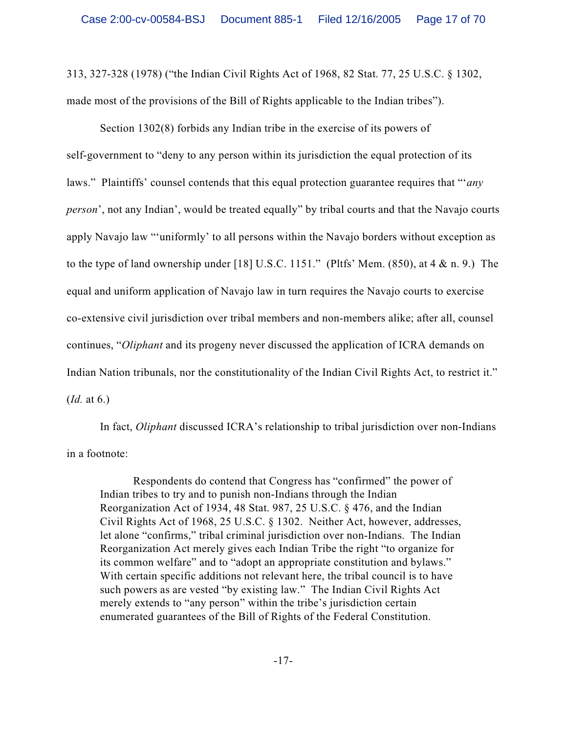313, 327-328 (1978) ("the Indian Civil Rights Act of 1968, 82 Stat. 77, 25 U.S.C. § 1302, made most of the provisions of the Bill of Rights applicable to the Indian tribes").

Section 1302(8) forbids any Indian tribe in the exercise of its powers of self-government to "deny to any person within its jurisdiction the equal protection of its laws." Plaintiffs' counsel contends that this equal protection guarantee requires that "'*any person*', not any Indian', would be treated equally" by tribal courts and that the Navajo courts apply Navajo law "'uniformly' to all persons within the Navajo borders without exception as to the type of land ownership under [18] U.S.C. 1151." (Pltfs' Mem.  $(850)$ , at 4 & n. 9.) The equal and uniform application of Navajo law in turn requires the Navajo courts to exercise co-extensive civil jurisdiction over tribal members and non-members alike; after all, counsel continues, "*Oliphant* and its progeny never discussed the application of ICRA demands on Indian Nation tribunals, nor the constitutionality of the Indian Civil Rights Act, to restrict it." (*Id.* at 6.)

In fact, *Oliphant* discussed ICRA's relationship to tribal jurisdiction over non-Indians in a footnote:

Respondents do contend that Congress has "confirmed" the power of Indian tribes to try and to punish non-Indians through the Indian Reorganization Act of 1934, 48 Stat. 987, 25 U.S.C. § 476, and the Indian Civil Rights Act of 1968, 25 U.S.C. § 1302. Neither Act, however, addresses, let alone "confirms," tribal criminal jurisdiction over non-Indians. The Indian Reorganization Act merely gives each Indian Tribe the right "to organize for its common welfare" and to "adopt an appropriate constitution and bylaws." With certain specific additions not relevant here, the tribal council is to have such powers as are vested "by existing law." The Indian Civil Rights Act merely extends to "any person" within the tribe's jurisdiction certain enumerated guarantees of the Bill of Rights of the Federal Constitution.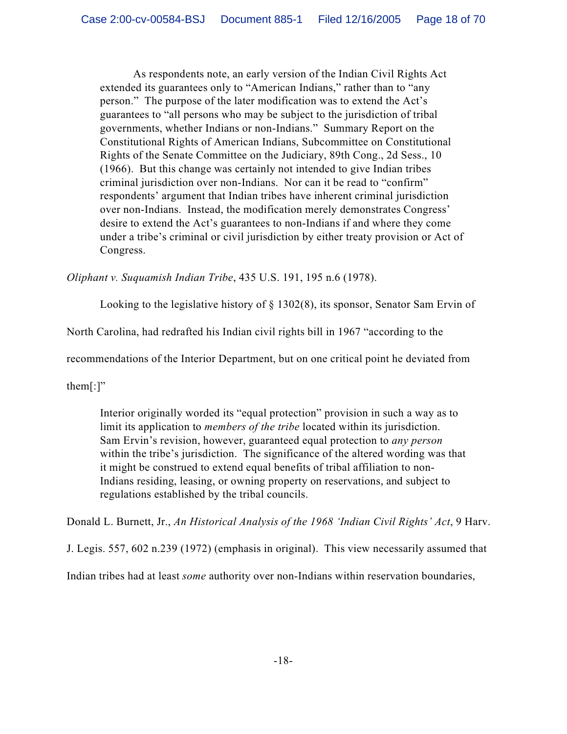As respondents note, an early version of the Indian Civil Rights Act extended its guarantees only to "American Indians," rather than to "any person." The purpose of the later modification was to extend the Act's guarantees to "all persons who may be subject to the jurisdiction of tribal governments, whether Indians or non-Indians." Summary Report on the Constitutional Rights of American Indians, Subcommittee on Constitutional Rights of the Senate Committee on the Judiciary, 89th Cong., 2d Sess., 10 (1966). But this change was certainly not intended to give Indian tribes criminal jurisdiction over non-Indians. Nor can it be read to "confirm" respondents' argument that Indian tribes have inherent criminal jurisdiction over non-Indians. Instead, the modification merely demonstrates Congress' desire to extend the Act's guarantees to non-Indians if and where they come under a tribe's criminal or civil jurisdiction by either treaty provision or Act of Congress.

*Oliphant v. Suquamish Indian Tribe*, 435 U.S. 191, 195 n.6 (1978).

Looking to the legislative history of § 1302(8), its sponsor, Senator Sam Ervin of

North Carolina, had redrafted his Indian civil rights bill in 1967 "according to the

recommendations of the Interior Department, but on one critical point he deviated from

them $[$ : $]$ "

Interior originally worded its "equal protection" provision in such a way as to limit its application to *members of the tribe* located within its jurisdiction. Sam Ervin's revision, however, guaranteed equal protection to *any person* within the tribe's jurisdiction. The significance of the altered wording was that it might be construed to extend equal benefits of tribal affiliation to non-Indians residing, leasing, or owning property on reservations, and subject to regulations established by the tribal councils.

Donald L. Burnett, Jr., *An Historical Analysis of the 1968 'Indian Civil Rights' Act*, 9 Harv.

J. Legis. 557, 602 n.239 (1972) (emphasis in original). This view necessarily assumed that

Indian tribes had at least *some* authority over non-Indians within reservation boundaries,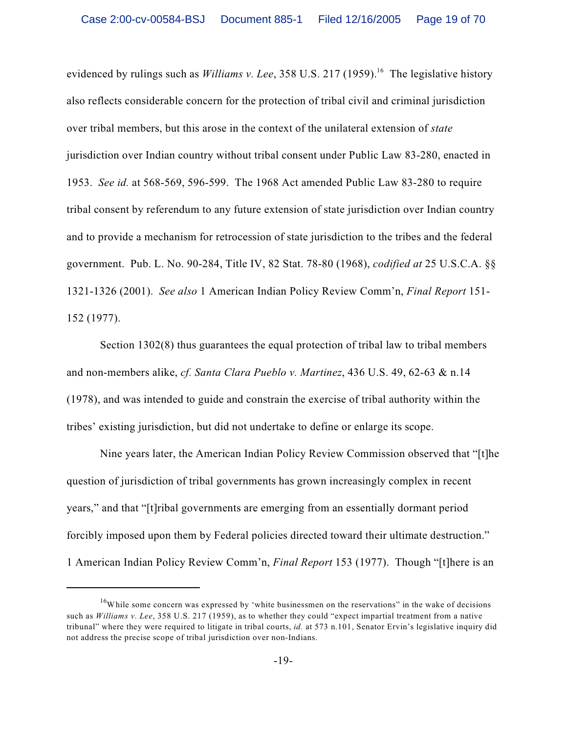evidenced by rulings such as *Williams v. Lee*, 358 U.S. 217 (1959).<sup>16</sup> The legislative history also reflects considerable concern for the protection of tribal civil and criminal jurisdiction over tribal members, but this arose in the context of the unilateral extension of *state* jurisdiction over Indian country without tribal consent under Public Law 83-280, enacted in 1953. *See id.* at 568-569, 596-599. The 1968 Act amended Public Law 83-280 to require tribal consent by referendum to any future extension of state jurisdiction over Indian country and to provide a mechanism for retrocession of state jurisdiction to the tribes and the federal government. Pub. L. No. 90-284, Title IV, 82 Stat. 78-80 (1968), *codified at* 25 U.S.C.A. §§ 1321-1326 (2001). *See also* 1 American Indian Policy Review Comm'n, *Final Report* 151- 152 (1977).

Section 1302(8) thus guarantees the equal protection of tribal law to tribal members and non-members alike, *cf. Santa Clara Pueblo v. Martinez*, 436 U.S. 49, 62-63 & n.14 (1978), and was intended to guide and constrain the exercise of tribal authority within the tribes' existing jurisdiction, but did not undertake to define or enlarge its scope.

Nine years later, the American Indian Policy Review Commission observed that "[t]he question of jurisdiction of tribal governments has grown increasingly complex in recent years," and that "[t]ribal governments are emerging from an essentially dormant period forcibly imposed upon them by Federal policies directed toward their ultimate destruction." 1 American Indian Policy Review Comm'n, *Final Report* 153 (1977). Though "[t]here is an

<sup>&</sup>lt;sup>16</sup>While some concern was expressed by 'white businessmen on the reservations" in the wake of decisions such as *Williams v. Lee*, 358 U.S. 217 (1959), as to whether they could "expect impartial treatment from a native tribunal" where they were required to litigate in tribal courts, *id.* at 573 n.101, Senator Ervin's legislative inquiry did not address the precise scope of tribal jurisdiction over non-Indians.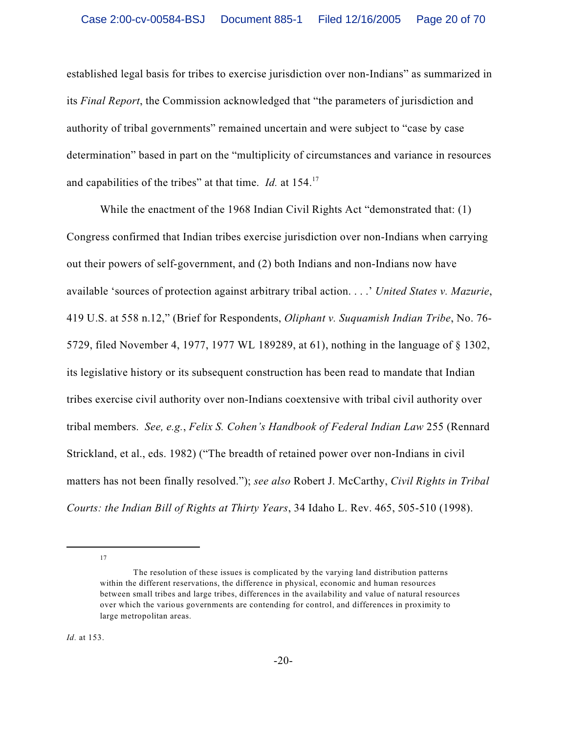established legal basis for tribes to exercise jurisdiction over non-Indians" as summarized in its *Final Report*, the Commission acknowledged that "the parameters of jurisdiction and authority of tribal governments" remained uncertain and were subject to "case by case determination" based in part on the "multiplicity of circumstances and variance in resources and capabilities of the tribes" at that time. *Id.* at 154.<sup>17</sup>

While the enactment of the 1968 Indian Civil Rights Act "demonstrated that: (1) Congress confirmed that Indian tribes exercise jurisdiction over non-Indians when carrying out their powers of self-government, and (2) both Indians and non-Indians now have available 'sources of protection against arbitrary tribal action. . . .' *United States v. Mazurie*, 419 U.S. at 558 n.12," (Brief for Respondents, *Oliphant v. Suquamish Indian Tribe*, No. 76- 5729, filed November 4, 1977, 1977 WL 189289, at 61), nothing in the language of § 1302, its legislative history or its subsequent construction has been read to mandate that Indian tribes exercise civil authority over non-Indians coextensive with tribal civil authority over tribal members. *See, e.g.*, *Felix S. Cohen's Handbook of Federal Indian Law* 255 (Rennard Strickland, et al., eds. 1982) ("The breadth of retained power over non-Indians in civil matters has not been finally resolved."); *see also* Robert J. McCarthy, *Civil Rights in Tribal Courts: the Indian Bill of Rights at Thirty Years*, 34 Idaho L. Rev. 465, 505-510 (1998).

17

The resolution of these issues is complicated by the varying land distribution patterns within the different reservations, the difference in physical, economic and human resources between small tribes and large tribes, differences in the availability and value of natural resources over which the various governments are contending for control, and differences in proximity to large metropolitan areas.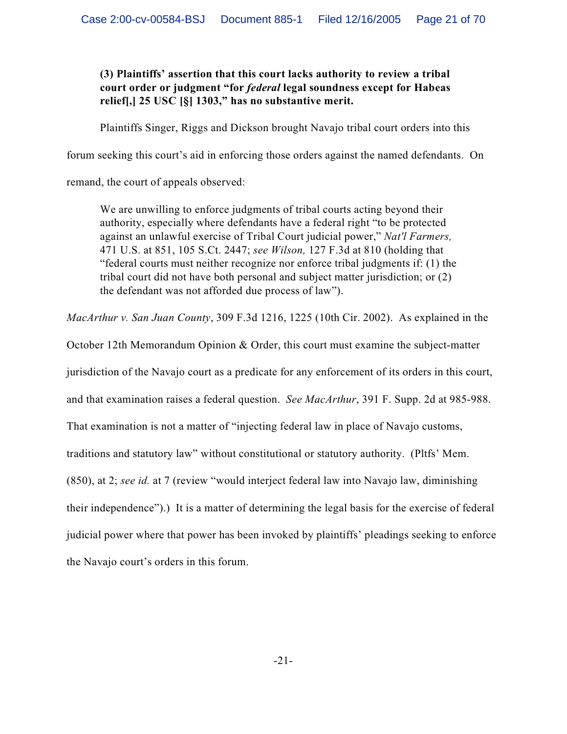# **(3) Plaintiffs' assertion that this court lacks authority to review a tribal court order or judgment "for** *federal* **legal soundness except for Habeas relief[,] 25 USC [§] 1303," has no substantive merit.**

Plaintiffs Singer, Riggs and Dickson brought Navajo tribal court orders into this

forum seeking this court's aid in enforcing those orders against the named defendants. On

remand, the court of appeals observed:

We are unwilling to enforce judgments of tribal courts acting beyond their authority, especially where defendants have a federal right "to be protected against an unlawful exercise of Tribal Court judicial power," *Nat'l Farmers,* 471 U.S. at 851, 105 S.Ct. 2447; *see Wilson,* 127 F.3d at 810 (holding that "federal courts must neither recognize nor enforce tribal judgments if: (1) the tribal court did not have both personal and subject matter jurisdiction; or (2) the defendant was not afforded due process of law").

*MacArthur v. San Juan County*, 309 F.3d 1216, 1225 (10th Cir. 2002). As explained in the

October 12th Memorandum Opinion & Order, this court must examine the subject-matter

jurisdiction of the Navajo court as a predicate for any enforcement of its orders in this court,

and that examination raises a federal question. *See MacArthur*, 391 F. Supp. 2d at 985-988.

That examination is not a matter of "injecting federal law in place of Navajo customs,

traditions and statutory law" without constitutional or statutory authority. (Pltfs' Mem.

(850), at 2; *see id.* at 7 (review "would interject federal law into Navajo law, diminishing

their independence").) It is a matter of determining the legal basis for the exercise of federal

judicial power where that power has been invoked by plaintiffs' pleadings seeking to enforce

the Navajo court's orders in this forum.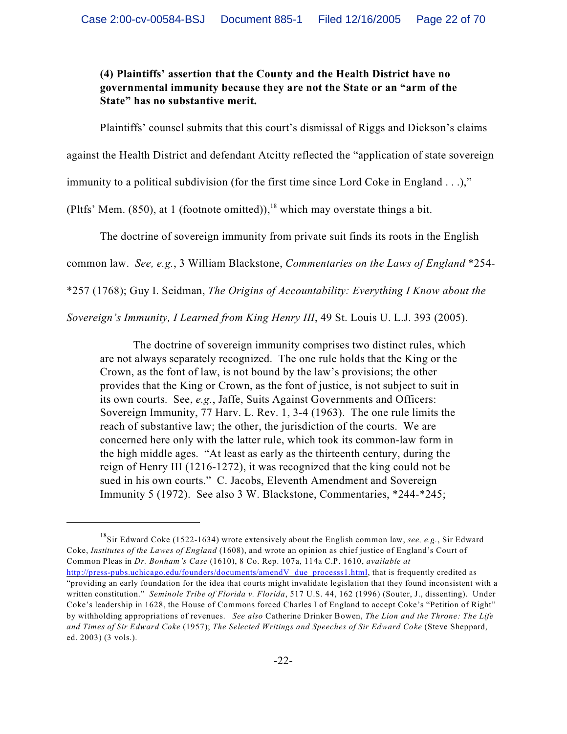**(4) Plaintiffs' assertion that the County and the Health District have no governmental immunity because they are not the State or an "arm of the State" has no substantive merit.**

Plaintiffs' counsel submits that this court's dismissal of Riggs and Dickson's claims

against the Health District and defendant Atcitty reflected the "application of state sovereign

immunity to a political subdivision (for the first time since Lord Coke in England . . .),"

(Pltfs' Mem. (850), at 1 (footnote omitted)), <sup>18</sup> which may overstate things a bit.

The doctrine of sovereign immunity from private suit finds its roots in the English

common law. *See, e.g.*, 3 William Blackstone, *Commentaries on the Laws of England* \*254-

\*257 (1768); Guy I. Seidman, *The Origins of Accountability: Everything I Know about the*

*Sovereign's Immunity, I Learned from King Henry III*, 49 St. Louis U. L.J. 393 (2005).

The doctrine of sovereign immunity comprises two distinct rules, which are not always separately recognized. The one rule holds that the King or the Crown, as the font of law, is not bound by the law's provisions; the other provides that the King or Crown, as the font of justice, is not subject to suit in its own courts. See, *e.g.*, Jaffe, Suits Against Governments and Officers: Sovereign Immunity, 77 Harv. L. Rev. 1, 3-4 (1963). The one rule limits the reach of substantive law; the other, the jurisdiction of the courts. We are concerned here only with the latter rule, which took its common-law form in the high middle ages. "At least as early as the thirteenth century, during the reign of Henry III (1216-1272), it was recognized that the king could not be sued in his own courts." C. Jacobs, Eleventh Amendment and Sovereign Immunity 5 (1972). See also 3 W. Blackstone, Commentaries, \*244-\*245;

<sup>&</sup>lt;sup>18</sup>Sir Edward Coke (1522-1634) wrote extensively about the English common law, *see, e.g.*, Sir Edward Coke, *Institutes of the Lawes of England* (1608), and wrote an opinion as chief justice of England's Court of Common Pleas in *Dr. Bonham's Case* (1610), 8 Co. Rep. 107a, 114a C.P. 1610, *available at* [http://press-pubs.uchicago.edu/founders/documents/amendV\\_due\\_processs1.html](http://press-pubs.uchicago.edu/founders/documents/amendV_due_processs1.html), that is frequently credited as "providing an early foundation for the idea that courts might invalidate legislation that they found inconsistent with a written constitution." *Seminole Tribe of Florida v. Florida*, 517 U.S. 44, 162 (1996) (Souter, J., dissenting). Under Coke's leadership in 1628, the House of Commons forced Charles I of England to accept Coke's "Petition of Right" by withholding appropriations of revenues. *See also* Catherine Drinker Bowen, *The Lion and the Throne: The Life and Times of Sir Edward Coke* (1957); *The Selected Writings and Speeches of Sir Edward Coke* (Steve Sheppard, ed. 2003) (3 vols.).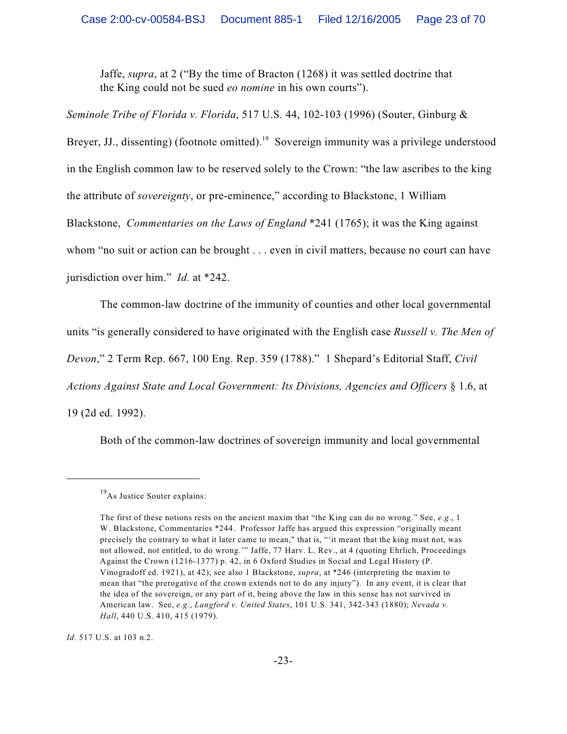Jaffe, *supra*, at 2 ("By the time of Bracton (1268) it was settled doctrine that the King could not be sued *eo nomine* in his own courts").

*Seminole Tribe of Florida v. Florida*, 517 U.S. 44, 102-103 (1996) (Souter, Ginburg & Breyer, JJ., dissenting) (footnote omitted).<sup>19</sup> Sovereign immunity was a privilege understood in the English common law to be reserved solely to the Crown: "the law ascribes to the king the attribute of *sovereignty*, or pre-eminence," according to Blackstone, 1 William Blackstone, *Commentaries on the Laws of England* \*241 (1765); it was the King against whom "no suit or action can be brought . . . even in civil matters, because no court can have jurisdiction over him." *Id.* at \*242.

The common-law doctrine of the immunity of counties and other local governmental

units "is generally considered to have originated with the English case *Russell v. The Men of*

*Devon*," 2 Term Rep. 667, 100 Eng. Rep. 359 (1788)." 1 Shepard's Editorial Staff, *Civil*

*Actions Against State and Local Government: Its Divisions, Agencies and Officers* § 1.6, at

19 (2d ed. 1992).

Both of the common-law doctrines of sovereign immunity and local governmental

*Id.* 517 U.S. at 103 n.2.

 $^{19}$ As Justice Souter explains:

The first of these notions rests on the ancient maxim that "the King can do no wrong." See, *e.g*., 1 W. Blackstone, Commentaries \*244. Professor Jaffe has argued this expression "originally meant precisely the contrary to what it later came to mean," that is, "'it meant that the king must not, was not allowed, not entitled, to do wrong.'" Jaffe, 77 Harv. L. Rev., at 4 (quoting Ehrlich, Proceedings Against the Crown (1216-1377) p. 42, in 6 Oxford Studies in Social and Legal History (P. Vinogradoff ed. 1921), at 42); see also 1 Blackstone, *supra*, at \*246 (interpreting the maxim to mean that "the prerogative of the crown extends not to do any injury"). In any event, it is clear that the idea of the sovereign, or any part of it, being above the law in this sense has not survived in American law. See, *e.g*., *Langford v. United States*, 101 U.S. 341, 342-343 (1880); *Nevada v. Hall*, 440 U.S. 410, 415 (1979).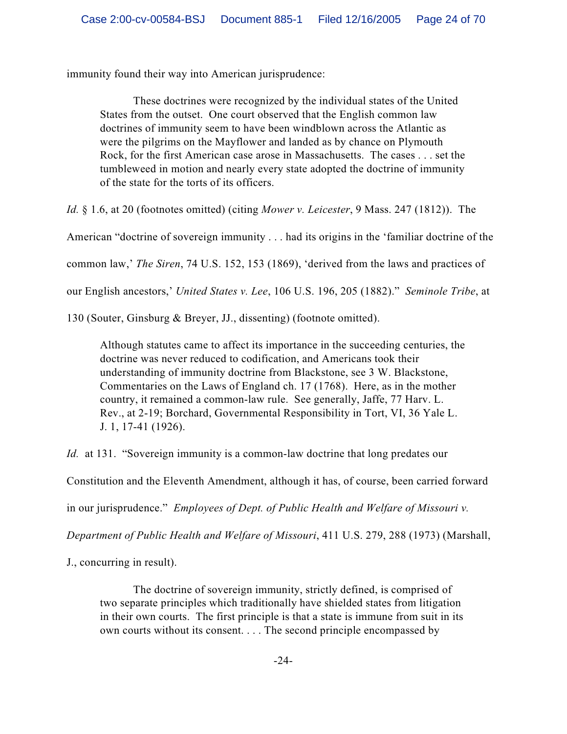immunity found their way into American jurisprudence:

These doctrines were recognized by the individual states of the United States from the outset. One court observed that the English common law doctrines of immunity seem to have been windblown across the Atlantic as were the pilgrims on the Mayflower and landed as by chance on Plymouth Rock, for the first American case arose in Massachusetts. The cases . . . set the tumbleweed in motion and nearly every state adopted the doctrine of immunity of the state for the torts of its officers.

*Id.* § 1.6, at 20 (footnotes omitted) (citing *Mower v. Leicester*, 9 Mass. 247 (1812)). The

American "doctrine of sovereign immunity . . . had its origins in the 'familiar doctrine of the

common law,' *The Siren*, 74 U.S. 152, 153 (1869), 'derived from the laws and practices of

our English ancestors,' *United States v. Lee*, 106 U.S. 196, 205 (1882)." *Seminole Tribe*, at

130 (Souter, Ginsburg & Breyer, JJ., dissenting) (footnote omitted).

Although statutes came to affect its importance in the succeeding centuries, the doctrine was never reduced to codification, and Americans took their understanding of immunity doctrine from Blackstone, see 3 W. Blackstone, Commentaries on the Laws of England ch. 17 (1768). Here, as in the mother country, it remained a common-law rule. See generally, Jaffe, 77 Harv. L. Rev., at 2-19; Borchard, Governmental Responsibility in Tort, VI, 36 Yale L. J. 1, 17-41 (1926).

*Id.* at 131. "Sovereign immunity is a common-law doctrine that long predates our

Constitution and the Eleventh Amendment, although it has, of course, been carried forward

in our jurisprudence." *Employees of Dept. of Public Health and Welfare of Missouri v.*

*Department of Public Health and Welfare of Missouri*, 411 U.S. 279, 288 (1973) (Marshall,

J., concurring in result).

The doctrine of sovereign immunity, strictly defined, is comprised of two separate principles which traditionally have shielded states from litigation in their own courts. The first principle is that a state is immune from suit in its own courts without its consent. . . . The second principle encompassed by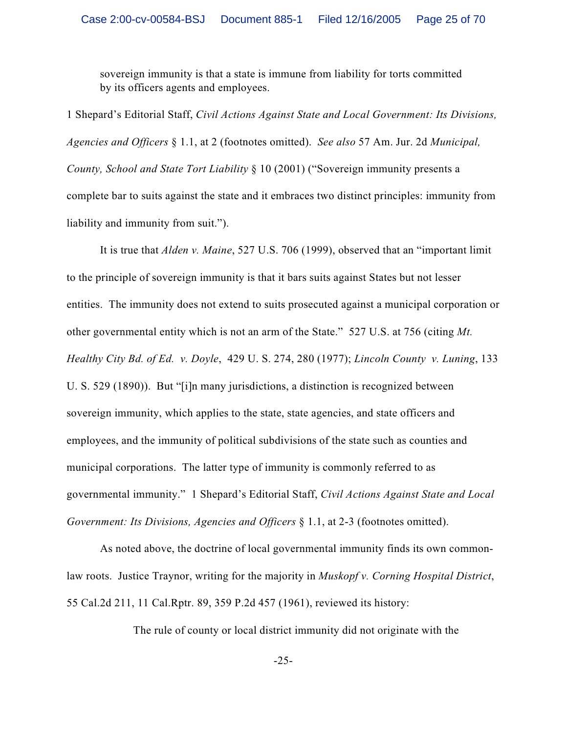sovereign immunity is that a state is immune from liability for torts committed by its officers agents and employees.

1 Shepard's Editorial Staff, *Civil Actions Against State and Local Government: Its Divisions, Agencies and Officers* § 1.1, at 2 (footnotes omitted). *See also* 57 Am. Jur. 2d *Municipal, County, School and State Tort Liability* § 10 (2001) ("Sovereign immunity presents a complete bar to suits against the state and it embraces two distinct principles: immunity from liability and immunity from suit.").

It is true that *Alden v. Maine*, 527 U.S. 706 (1999), observed that an "important limit to the principle of sovereign immunity is that it bars suits against States but not lesser entities. The immunity does not extend to suits prosecuted against a municipal corporation or other governmental entity which is not an arm of the State." 527 U.S. at 756 (citing *Mt. Healthy City Bd. of Ed. v. Doyle*, 429 U. S. 274, 280 (1977); *Lincoln County v. Luning*, 133 U. S. 529 (1890)). But "[i]n many jurisdictions, a distinction is recognized between sovereign immunity, which applies to the state, state agencies, and state officers and employees, and the immunity of political subdivisions of the state such as counties and municipal corporations. The latter type of immunity is commonly referred to as governmental immunity." 1 Shepard's Editorial Staff, *Civil Actions Against State and Local Government: Its Divisions, Agencies and Officers* § 1.1, at 2-3 (footnotes omitted).

As noted above, the doctrine of local governmental immunity finds its own commonlaw roots. Justice Traynor, writing for the majority in *Muskopf v. Corning Hospital District*, 55 Cal.2d 211, 11 Cal.Rptr. 89, 359 P.2d 457 (1961), reviewed its history:

The rule of county or local district immunity did not originate with the

-25-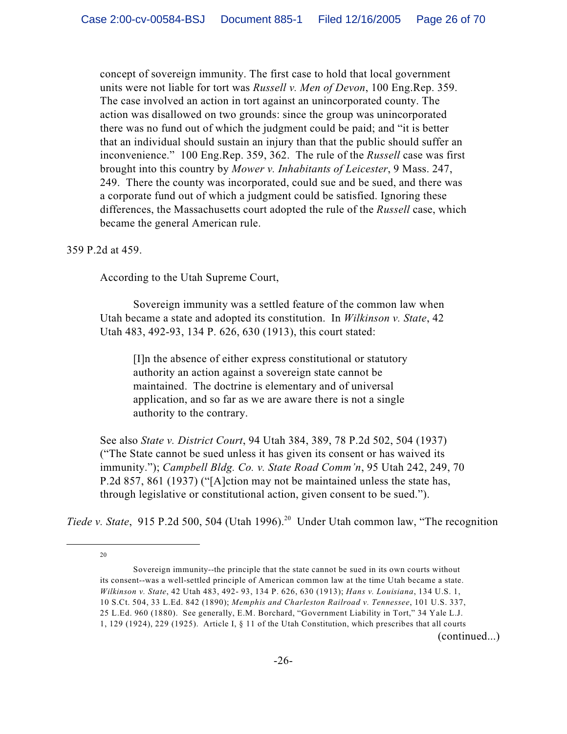concept of sovereign immunity. The first case to hold that local government units were not liable for tort was *Russell v. Men of Devon*, 100 Eng.Rep. 359. The case involved an action in tort against an unincorporated county. The action was disallowed on two grounds: since the group was unincorporated there was no fund out of which the judgment could be paid; and "it is better that an individual should sustain an injury than that the public should suffer an inconvenience." 100 Eng.Rep. 359, 362. The rule of the *Russell* case was first brought into this country by *Mower v. Inhabitants of Leicester*, 9 Mass. 247, 249. There the county was incorporated, could sue and be sued, and there was a corporate fund out of which a judgment could be satisfied. Ignoring these differences, the Massachusetts court adopted the rule of the *Russell* case, which became the general American rule.

### 359 P.2d at 459.

According to the Utah Supreme Court,

Sovereign immunity was a settled feature of the common law when Utah became a state and adopted its constitution. In *Wilkinson v. State*, 42 Utah 483, 492-93, 134 P. 626, 630 (1913), this court stated:

[I]n the absence of either express constitutional or statutory authority an action against a sovereign state cannot be maintained. The doctrine is elementary and of universal application, and so far as we are aware there is not a single authority to the contrary.

See also *State v. District Court*, 94 Utah 384, 389, 78 P.2d 502, 504 (1937) ("The State cannot be sued unless it has given its consent or has waived its immunity."); *Campbell Bldg. Co. v. State Road Comm'n*, 95 Utah 242, 249, 70 P.2d 857, 861 (1937) ("[A]ction may not be maintained unless the state has, through legislative or constitutional action, given consent to be sued.").

*Tiede v. State*, 915 P.2d 500, 504 (Utah 1996).<sup>20</sup> Under Utah common law, "The recognition

20

(continued...)

Sovereign immunity--the principle that the state cannot be sued in its own courts without its consent--was a well-settled principle of American common law at the time Utah became a state. *Wilkinson v. State*, 42 Utah 483, 492- 93, 134 P. 626, 630 (1913); *Hans v. Louisiana*, 134 U.S. 1, 10 S.Ct. 504, 33 L.Ed. 842 (1890); *Memphis and Charleston Railroad v. Tennessee*, 101 U.S. 337, 25 L.Ed. 960 (1880). See generally, E.M. Borchard, "Government Liability in Tort," 34 Yale L.J. 1, 129 (1924), 229 (1925). Article I, § 11 of the Utah Constitution, which prescribes that all courts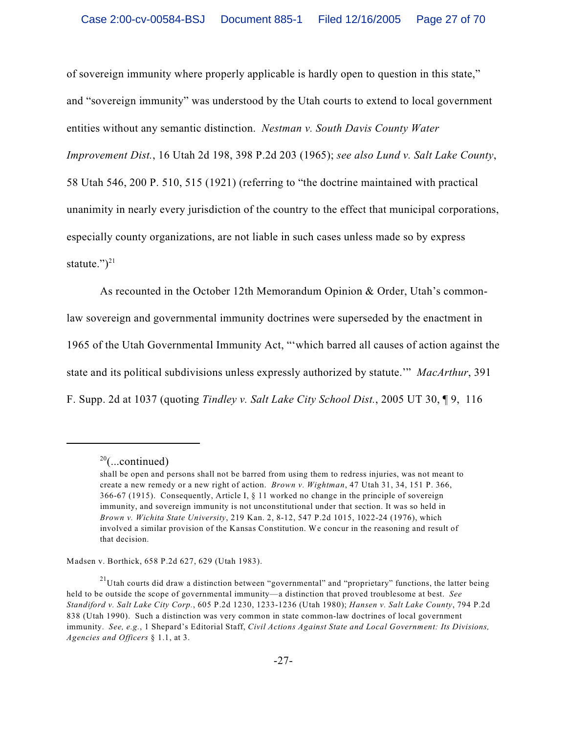of sovereign immunity where properly applicable is hardly open to question in this state," and "sovereign immunity" was understood by the Utah courts to extend to local government entities without any semantic distinction. *Nestman v. South Davis County Water Improvement Dist.*, 16 Utah 2d 198, 398 P.2d 203 (1965); *see also Lund v. Salt Lake County*, 58 Utah 546, 200 P. 510, 515 (1921) (referring to "the doctrine maintained with practical unanimity in nearly every jurisdiction of the country to the effect that municipal corporations, especially county organizations, are not liable in such cases unless made so by express statute.") $21$ 

As recounted in the October 12th Memorandum Opinion & Order, Utah's commonlaw sovereign and governmental immunity doctrines were superseded by the enactment in 1965 of the Utah Governmental Immunity Act, "'which barred all causes of action against the state and its political subdivisions unless expressly authorized by statute.'" *MacArthur*, 391 F. Supp. 2d at 1037 (quoting *Tindley v. Salt Lake City School Dist.*, 2005 UT 30, ¶ 9, 116

Madsen v. Borthick, 658 P.2d 627, 629 (Utah 1983).

 $20$ (...continued)

shall be open and persons shall not be barred from using them to redress injuries, was not meant to create a new remedy or a new right of action. *Brown v. Wightman*, 47 Utah 31, 34, 151 P. 366, 366-67 (1915). Consequently, Article I, § 11 worked no change in the principle of sovereign immunity, and sovereign immunity is not unconstitutional under that section. It was so held in *Brown v. Wichita State University*, 219 Kan. 2, 8-12, 547 P.2d 1015, 1022-24 (1976), which involved a similar provision of the Kansas Constitution. We concur in the reasoning and result of that decision.

 $^{21}$ Utah courts did draw a distinction between "governmental" and "proprietary" functions, the latter being held to be outside the scope of governmental immunity—a distinction that proved troublesome at best. *See Standiford v. Salt Lake City Corp.*, 605 P.2d 1230, 1233-1236 (Utah 1980); *Hansen v. Salt Lake County*, 794 P.2d 838 (Utah 1990). Such a distinction was very common in state common-law doctrines of local government immunity. *See, e.g.*, 1 Shepard's Editorial Staff, *Civil Actions Against State and Local Government: Its Divisions, Agencies and Officers* § 1.1, at 3.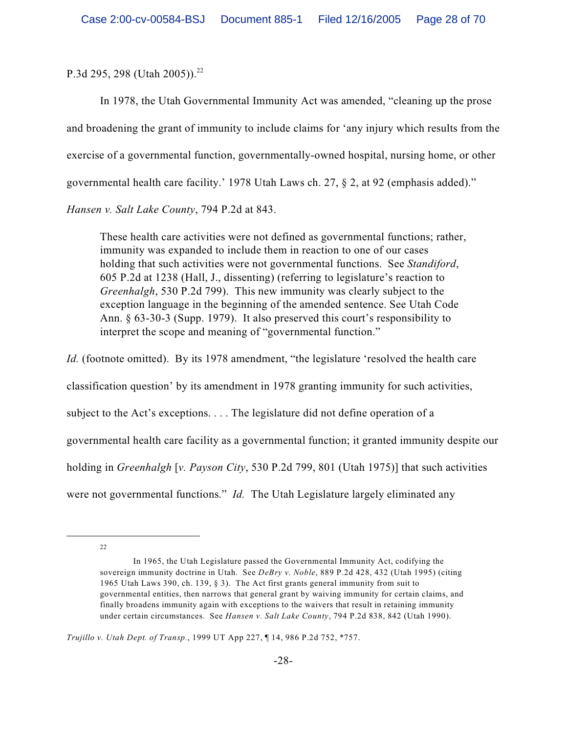P.3d 295, 298 (Utah 2005)).<sup>22</sup>

In 1978, the Utah Governmental Immunity Act was amended, "cleaning up the prose and broadening the grant of immunity to include claims for 'any injury which results from the exercise of a governmental function, governmentally-owned hospital, nursing home, or other governmental health care facility.' 1978 Utah Laws ch. 27, § 2, at 92 (emphasis added)." *Hansen v. Salt Lake County*, 794 P.2d at 843.

These health care activities were not defined as governmental functions; rather, immunity was expanded to include them in reaction to one of our cases holding that such activities were not governmental functions. See *Standiford*, 605 P.2d at 1238 (Hall, J., dissenting) (referring to legislature's reaction to *Greenhalgh*, 530 P.2d 799). This new immunity was clearly subject to the exception language in the beginning of the amended sentence. See Utah Code Ann. § 63-30-3 (Supp. 1979). It also preserved this court's responsibility to interpret the scope and meaning of "governmental function."

*Id.* (footnote omitted). By its 1978 amendment, "the legislature 'resolved the health care classification question' by its amendment in 1978 granting immunity for such activities, subject to the Act's exceptions. . . . The legislature did not define operation of a governmental health care facility as a governmental function; it granted immunity despite our holding in *Greenhalgh* [*v. Payson City*, 530 P.2d 799, 801 (Utah 1975)] that such activities were not governmental functions." *Id.* The Utah Legislature largely eliminated any

22

In 1965, the Utah Legislature passed the Governmental Immunity Act, codifying the sovereign immunity doctrine in Utah. See *DeBry v. Noble*, 889 P.2d 428, 432 (Utah 1995) (citing 1965 Utah Laws 390, ch. 139, § 3). The Act first grants general immunity from suit to governmental entities, then narrows that general grant by waiving immunity for certain claims, and finally broadens immunity again with exceptions to the waivers that result in retaining immunity under certain circumstances. See *Hansen v. Salt Lake County*, 794 P.2d 838, 842 (Utah 1990).

*Trujillo v. Utah Dept. of Transp.*, 1999 UT App 227, ¶ 14, 986 P.2d 752, \*757.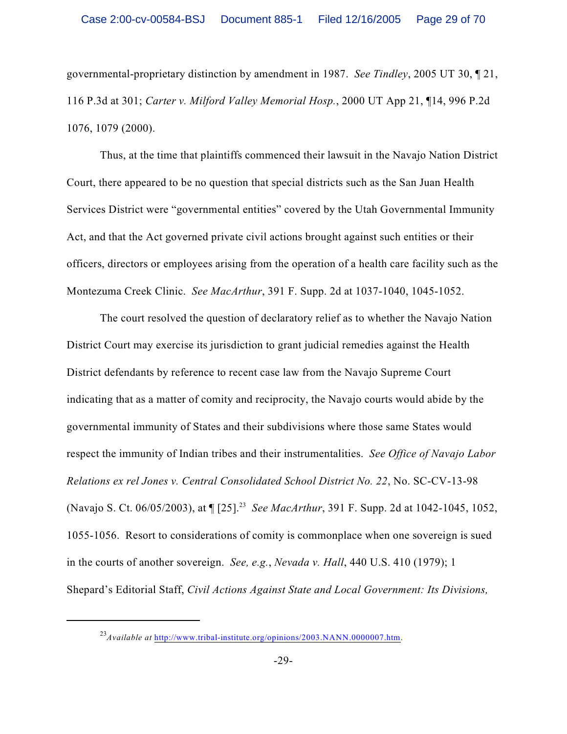governmental-proprietary distinction by amendment in 1987. *See Tindley*, 2005 UT 30, ¶ 21, 116 P.3d at 301; *Carter v. Milford Valley Memorial Hosp.*, 2000 UT App 21, ¶14, 996 P.2d 1076, 1079 (2000).

Thus, at the time that plaintiffs commenced their lawsuit in the Navajo Nation District Court, there appeared to be no question that special districts such as the San Juan Health Services District were "governmental entities" covered by the Utah Governmental Immunity Act, and that the Act governed private civil actions brought against such entities or their officers, directors or employees arising from the operation of a health care facility such as the Montezuma Creek Clinic. *See MacArthur*, 391 F. Supp. 2d at 1037-1040, 1045-1052.

The court resolved the question of declaratory relief as to whether the Navajo Nation District Court may exercise its jurisdiction to grant judicial remedies against the Health District defendants by reference to recent case law from the Navajo Supreme Court indicating that as a matter of comity and reciprocity, the Navajo courts would abide by the governmental immunity of States and their subdivisions where those same States would respect the immunity of Indian tribes and their instrumentalities. *See Office of Navajo Labor Relations ex rel Jones v. Central Consolidated School District No. 22*, No. SC-CV-13-98 (Navajo S. Ct. 06/05/2003), at  $\P$  [25].<sup>23</sup> See MacArthur, 391 F. Supp. 2d at 1042-1045, 1052, 1055-1056. Resort to considerations of comity is commonplace when one sovereign is sued in the courts of another sovereign. *See, e.g.*, *Nevada v. Hall*, 440 U.S. 410 (1979); 1 Shepard's Editorial Staff, *Civil Actions Against State and Local Government: Its Divisions,*

 $^{23}$ *Available at* <http://www.tribal-institute.org/opinions/2003.NANN.0000007.htm>.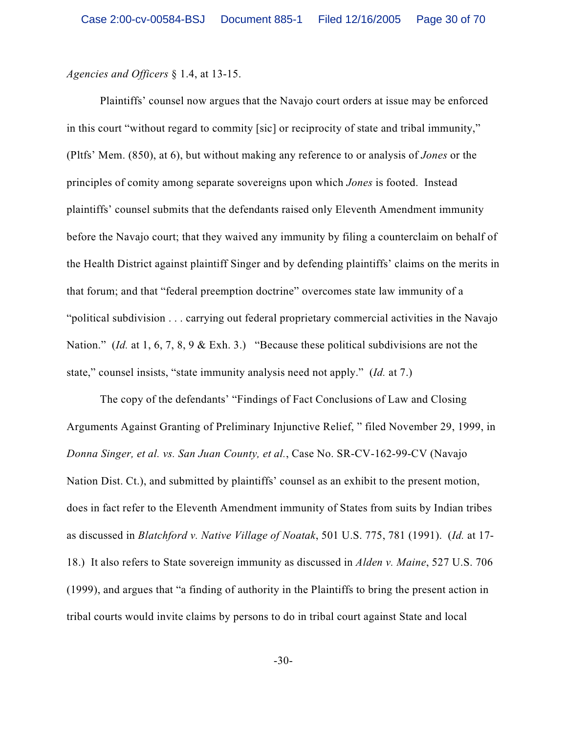*Agencies and Officers* § 1.4, at 13-15.

Plaintiffs' counsel now argues that the Navajo court orders at issue may be enforced in this court "without regard to commity [sic] or reciprocity of state and tribal immunity," (Pltfs' Mem. (850), at 6), but without making any reference to or analysis of *Jones* or the principles of comity among separate sovereigns upon which *Jones* is footed. Instead plaintiffs' counsel submits that the defendants raised only Eleventh Amendment immunity before the Navajo court; that they waived any immunity by filing a counterclaim on behalf of the Health District against plaintiff Singer and by defending plaintiffs' claims on the merits in that forum; and that "federal preemption doctrine" overcomes state law immunity of a "political subdivision . . . carrying out federal proprietary commercial activities in the Navajo Nation." (*Id.* at 1, 6, 7, 8, 9 & Exh. 3.) "Because these political subdivisions are not the state," counsel insists, "state immunity analysis need not apply." (*Id.* at 7.)

The copy of the defendants' "Findings of Fact Conclusions of Law and Closing Arguments Against Granting of Preliminary Injunctive Relief, " filed November 29, 1999, in *Donna Singer, et al. vs. San Juan County, et al.*, Case No. SR-CV-162-99-CV (Navajo Nation Dist. Ct.), and submitted by plaintiffs' counsel as an exhibit to the present motion, does in fact refer to the Eleventh Amendment immunity of States from suits by Indian tribes as discussed in *Blatchford v. Native Village of Noatak*, 501 U.S. 775, 781 (1991). (*Id.* at 17- 18.) It also refers to State sovereign immunity as discussed in *Alden v. Maine*, 527 U.S. 706 (1999), and argues that "a finding of authority in the Plaintiffs to bring the present action in tribal courts would invite claims by persons to do in tribal court against State and local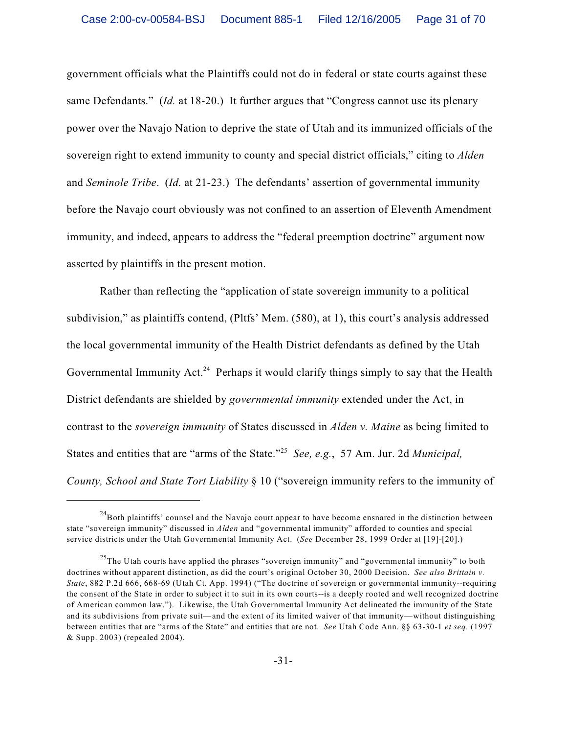government officials what the Plaintiffs could not do in federal or state courts against these same Defendants." (*Id.* at 18-20.) It further argues that "Congress cannot use its plenary power over the Navajo Nation to deprive the state of Utah and its immunized officials of the sovereign right to extend immunity to county and special district officials," citing to *Alden* and *Seminole Tribe*. (*Id.* at 21-23.) The defendants' assertion of governmental immunity before the Navajo court obviously was not confined to an assertion of Eleventh Amendment immunity, and indeed, appears to address the "federal preemption doctrine" argument now asserted by plaintiffs in the present motion.

Rather than reflecting the "application of state sovereign immunity to a political subdivision," as plaintiffs contend, (Pltfs' Mem. (580), at 1), this court's analysis addressed the local governmental immunity of the Health District defendants as defined by the Utah Governmental Immunity Act.<sup>24</sup> Perhaps it would clarify things simply to say that the Health District defendants are shielded by *governmental immunity* extended under the Act, in contrast to the *sovereign immunity* of States discussed in *Alden v. Maine* as being limited to States and entities that are "arms of the State."<sup>25</sup> See, e.g., 57 Am. Jur. 2d *Municipal*, *County, School and State Tort Liability* § 10 ("sovereign immunity refers to the immunity of

 $^{24}$ Both plaintiffs' counsel and the Navajo court appear to have become ensnared in the distinction between state "sovereign immunity" discussed in *Alden* and "governmental immunity" afforded to counties and special service districts under the Utah Governmental Immunity Act. (*See* December 28, 1999 Order at [19]-[20].)

 $^{25}$ The Utah courts have applied the phrases "sovereign immunity" and "governmental immunity" to both doctrines without apparent distinction, as did the court's original October 30, 2000 Decision. *See also Brittain v. State*, 882 P.2d 666, 668-69 (Utah Ct. App. 1994) ("The doctrine of sovereign or governmental immunity--requiring the consent of the State in order to subject it to suit in its own courts--is a deeply rooted and well recognized doctrine of American common law."). Likewise, the Utah Governmental Immunity Act delineated the immunity of the State and its subdivisions from private suit—and the extent of its limited waiver of that immunity—without distinguishing between entities that are "arms of the State" and entities that are not. *See* Utah Code Ann. §§ 63-30-1 *et seq.* (1997 & Supp. 2003) (repealed 2004).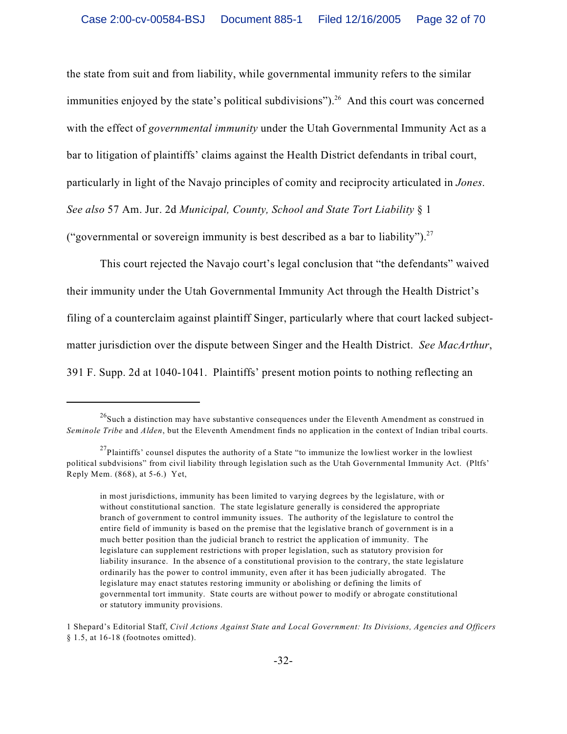the state from suit and from liability, while governmental immunity refers to the similar immunities enjoyed by the state's political subdivisions").<sup>26</sup> And this court was concerned with the effect of *governmental immunity* under the Utah Governmental Immunity Act as a bar to litigation of plaintiffs' claims against the Health District defendants in tribal court, particularly in light of the Navajo principles of comity and reciprocity articulated in *Jones*. *See also* 57 Am. Jur. 2d *Municipal, County, School and State Tort Liability* § 1 ("governmental or sovereign immunity is best described as a bar to liability").<sup>27</sup>

This court rejected the Navajo court's legal conclusion that "the defendants" waived their immunity under the Utah Governmental Immunity Act through the Health District's filing of a counterclaim against plaintiff Singer, particularly where that court lacked subjectmatter jurisdiction over the dispute between Singer and the Health District. *See MacArthur*, 391 F. Supp. 2d at 1040-1041. Plaintiffs' present motion points to nothing reflecting an

 $^{26}$ Such a distinction may have substantive consequences under the Eleventh Amendment as construed in *Seminole Tribe* and *Alden*, but the Eleventh Amendment finds no application in the context of Indian tribal courts.

 $^{27}$ Plaintiffs' counsel disputes the authority of a State "to immunize the lowliest worker in the lowliest political subdvisions" from civil liability through legislation such as the Utah Governmental Immunity Act. (Pltfs' Reply Mem. (868), at 5-6.) Yet,

in most jurisdictions, immunity has been limited to varying degrees by the legislature, with or without constitutional sanction. The state legislature generally is considered the appropriate branch of government to control immunity issues. The authority of the legislature to control the entire field of immunity is based on the premise that the legislative branch of government is in a much better position than the judicial branch to restrict the application of immunity. The legislature can supplement restrictions with proper legislation, such as statutory provision for liability insurance. In the absence of a constitutional provision to the contrary, the state legislature ordinarily has the power to control immunity, even after it has been judicially abrogated. The legislature may enact statutes restoring immunity or abolishing or defining the limits of governmental tort immunity. State courts are without power to modify or abrogate constitutional or statutory immunity provisions.

<sup>1</sup> Shepard's Editorial Staff, *Civil Actions Against State and Local Government: Its Divisions, Agencies and Officers* § 1.5, at 16-18 (footnotes omitted).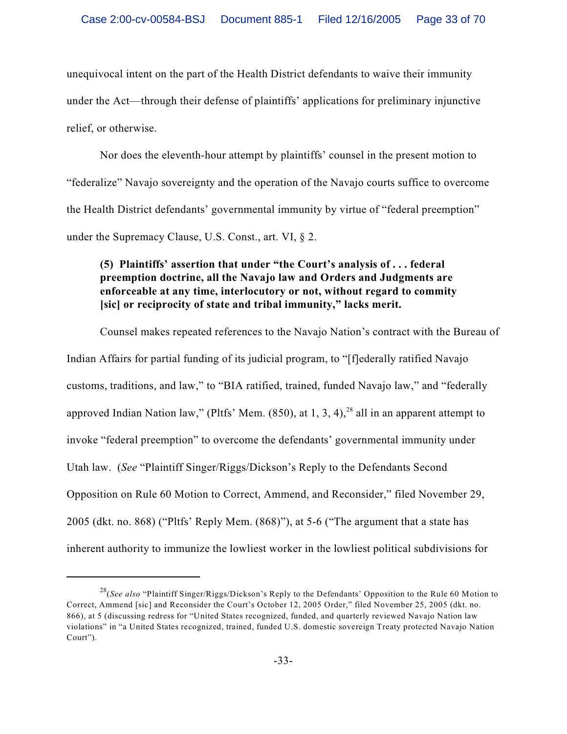unequivocal intent on the part of the Health District defendants to waive their immunity under the Act—through their defense of plaintiffs' applications for preliminary injunctive relief, or otherwise.

Nor does the eleventh-hour attempt by plaintiffs' counsel in the present motion to "federalize" Navajo sovereignty and the operation of the Navajo courts suffice to overcome the Health District defendants' governmental immunity by virtue of "federal preemption" under the Supremacy Clause, U.S. Const., art. VI, § 2.

# **(5) Plaintiffs' assertion that under "the Court's analysis of . . . federal preemption doctrine, all the Navajo law and Orders and Judgments are enforceable at any time, interlocutory or not, without regard to commity [sic] or reciprocity of state and tribal immunity," lacks merit.**

Counsel makes repeated references to the Navajo Nation's contract with the Bureau of Indian Affairs for partial funding of its judicial program, to "[f]ederally ratified Navajo customs, traditions, and law," to "BIA ratified, trained, funded Navajo law," and "federally approved Indian Nation law," (Pltfs' Mem.  $(850)$ , at 1, 3, 4),<sup>28</sup> all in an apparent attempt to invoke "federal preemption" to overcome the defendants' governmental immunity under Utah law. (*See* "Plaintiff Singer/Riggs/Dickson's Reply to the Defendants Second Opposition on Rule 60 Motion to Correct, Ammend, and Reconsider," filed November 29, 2005 (dkt. no. 868) ("Pltfs' Reply Mem. (868)"), at 5-6 ("The argument that a state has inherent authority to immunize the lowliest worker in the lowliest political subdivisions for

<sup>&</sup>lt;sup>28</sup>(*See also* "Plaintiff Singer/Riggs/Dickson's Reply to the Defendants' Opposition to the Rule 60 Motion to Correct, Ammend [sic] and Reconsider the Court's October 12, 2005 Order," filed November 25, 2005 (dkt. no. 866), at 5 (discussing redress for "United States recognized, funded, and quarterly reviewed Navajo Nation law violations" in "a United States recognized, trained, funded U.S. domestic sovereign Treaty protected Navajo Nation Court").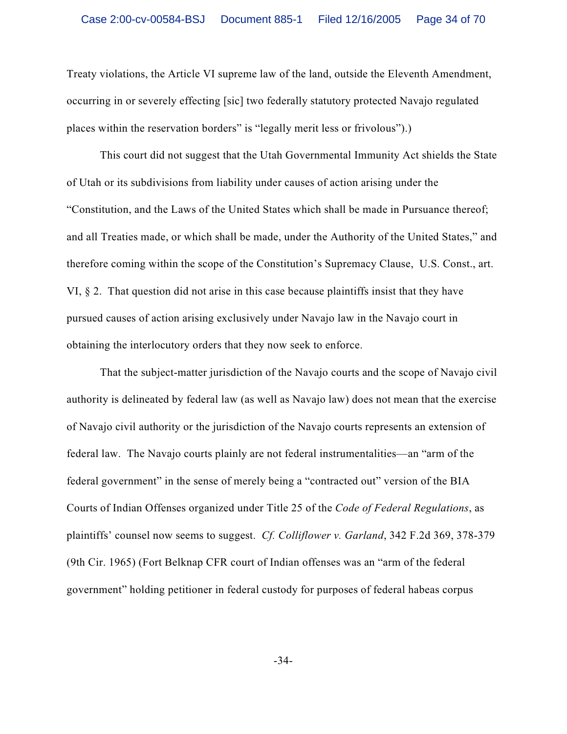Treaty violations, the Article VI supreme law of the land, outside the Eleventh Amendment, occurring in or severely effecting [sic] two federally statutory protected Navajo regulated places within the reservation borders" is "legally merit less or frivolous").)

This court did not suggest that the Utah Governmental Immunity Act shields the State of Utah or its subdivisions from liability under causes of action arising under the "Constitution, and the Laws of the United States which shall be made in Pursuance thereof; and all Treaties made, or which shall be made, under the Authority of the United States," and therefore coming within the scope of the Constitution's Supremacy Clause, U.S. Const., art. VI, § 2. That question did not arise in this case because plaintiffs insist that they have pursued causes of action arising exclusively under Navajo law in the Navajo court in obtaining the interlocutory orders that they now seek to enforce.

That the subject-matter jurisdiction of the Navajo courts and the scope of Navajo civil authority is delineated by federal law (as well as Navajo law) does not mean that the exercise of Navajo civil authority or the jurisdiction of the Navajo courts represents an extension of federal law. The Navajo courts plainly are not federal instrumentalities—an "arm of the federal government" in the sense of merely being a "contracted out" version of the BIA Courts of Indian Offenses organized under Title 25 of the *Code of Federal Regulations*, as plaintiffs' counsel now seems to suggest. *Cf. Colliflower v. Garland*, 342 F.2d 369, 378-379 (9th Cir. 1965) (Fort Belknap CFR court of Indian offenses was an "arm of the federal government" holding petitioner in federal custody for purposes of federal habeas corpus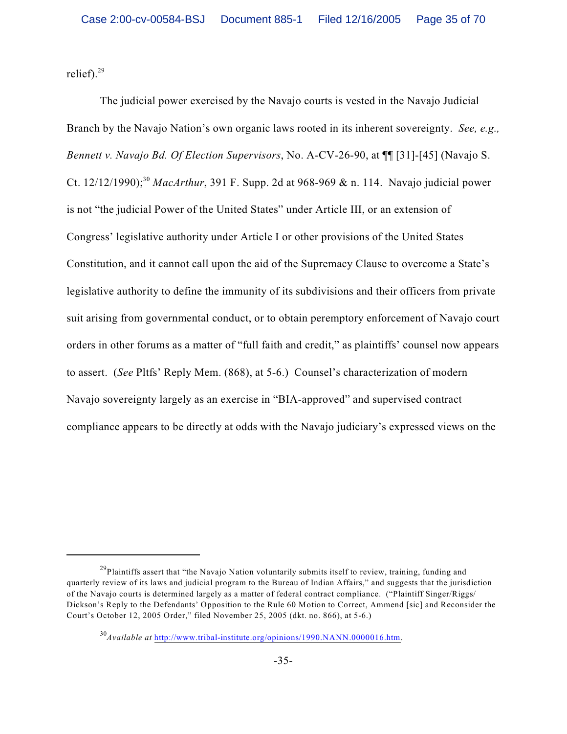relief).<sup>29</sup>

The judicial power exercised by the Navajo courts is vested in the Navajo Judicial Branch by the Navajo Nation's own organic laws rooted in its inherent sovereignty. *See, e.g., Bennett v. Navajo Bd. Of Election Supervisors*, No. A-CV-26-90, at ¶¶ [31]-[45] (Navajo S. Ct. 12/12/1990);<sup>30</sup> *MacArthur*, 391 F. Supp. 2d at 968-969 & n. 114. Navajo judicial power is not "the judicial Power of the United States" under Article III, or an extension of Congress' legislative authority under Article I or other provisions of the United States Constitution, and it cannot call upon the aid of the Supremacy Clause to overcome a State's legislative authority to define the immunity of its subdivisions and their officers from private suit arising from governmental conduct, or to obtain peremptory enforcement of Navajo court orders in other forums as a matter of "full faith and credit," as plaintiffs' counsel now appears to assert. (*See* Pltfs' Reply Mem. (868), at 5-6.) Counsel's characterization of modern Navajo sovereignty largely as an exercise in "BIA-approved" and supervised contract compliance appears to be directly at odds with the Navajo judiciary's expressed views on the

<sup>&</sup>lt;sup>29</sup>Plaintiffs assert that "the Navajo Nation voluntarily submits itself to review, training, funding and quarterly review of its laws and judicial program to the Bureau of Indian Affairs," and suggests that the jurisdiction of the Navajo courts is determined largely as a matter of federal contract compliance. ("Plaintiff Singer/Riggs/ Dickson's Reply to the Defendants' Opposition to the Rule 60 Motion to Correct, Ammend [sic] and Reconsider the Court's October 12, 2005 Order," filed November 25, 2005 (dkt. no. 866), at 5-6.)

<sup>&</sup>lt;sup>30</sup> Available at <http://www.tribal-institute.org/opinions/1990.NANN.0000016.htm>.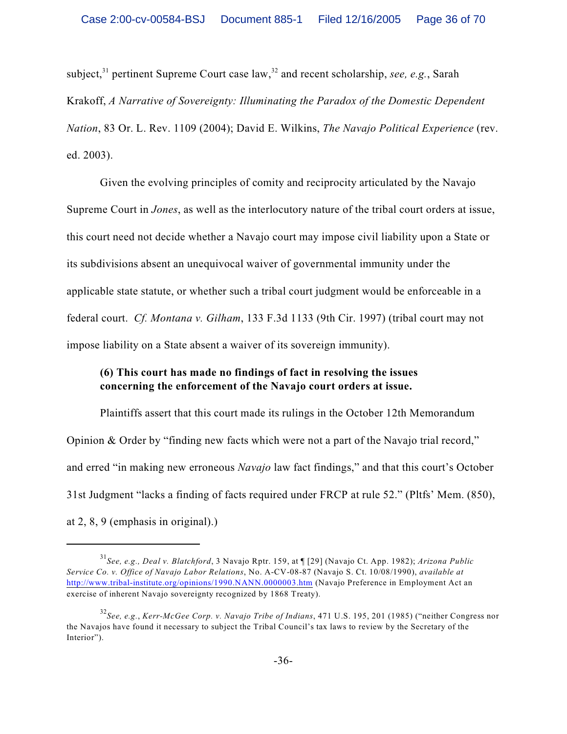subject,<sup>31</sup> pertinent Supreme Court case law,<sup>32</sup> and recent scholarship, *see, e.g.*, Sarah Krakoff, *A Narrative of Sovereignty: Illuminating the Paradox of the Domestic Dependent Nation*, 83 Or. L. Rev. 1109 (2004); David E. Wilkins, *The Navajo Political Experience* (rev. ed. 2003).

Given the evolving principles of comity and reciprocity articulated by the Navajo Supreme Court in *Jones*, as well as the interlocutory nature of the tribal court orders at issue, this court need not decide whether a Navajo court may impose civil liability upon a State or its subdivisions absent an unequivocal waiver of governmental immunity under the applicable state statute, or whether such a tribal court judgment would be enforceable in a federal court. *Cf. Montana v. Gilham*, 133 F.3d 1133 (9th Cir. 1997) (tribal court may not impose liability on a State absent a waiver of its sovereign immunity).

# **(6) This court has made no findings of fact in resolving the issues concerning the enforcement of the Navajo court orders at issue.**

Plaintiffs assert that this court made its rulings in the October 12th Memorandum Opinion & Order by "finding new facts which were not a part of the Navajo trial record," and erred "in making new erroneous *Navajo* law fact findings," and that this court's October 31st Judgment "lacks a finding of facts required under FRCP at rule 52." (Pltfs' Mem. (850), at 2, 8, 9 (emphasis in original).)

*See, e.g., Deal v. Blatchford*, 3 Navajo Rptr. 159, at ¶ [29] (Navajo Ct. App. 1982); *Arizona Public* <sup>31</sup> *Service Co. v. Office of Navajo Labor Relations*, No. A-CV-08-87 (Navajo S. Ct. 10/08/1990), *available at* <http://www.tribal-institute.org/opinions/1990.NANN.0000003.htm> (Navajo Preference in Employment Act an exercise of inherent Navajo sovereignty recognized by 1868 Treaty).

*See, e.g.*, *Kerr-McGee Corp. v. Navajo Tribe of Indians*, 471 U.S. 195, 201 (1985) ("neither Congress nor 32 the Navajos have found it necessary to subject the Tribal Council's tax laws to review by the Secretary of the Interior").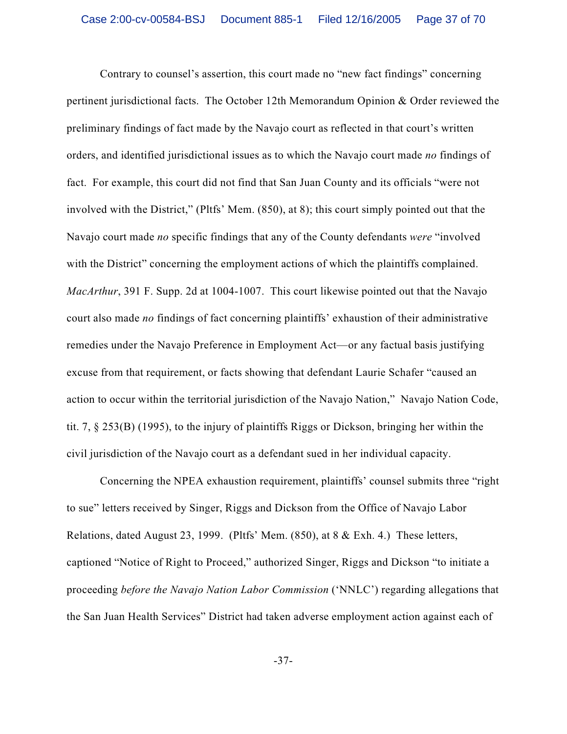Contrary to counsel's assertion, this court made no "new fact findings" concerning pertinent jurisdictional facts. The October 12th Memorandum Opinion & Order reviewed the preliminary findings of fact made by the Navajo court as reflected in that court's written orders, and identified jurisdictional issues as to which the Navajo court made *no* findings of fact. For example, this court did not find that San Juan County and its officials "were not involved with the District," (Pltfs' Mem. (850), at 8); this court simply pointed out that the Navajo court made *no* specific findings that any of the County defendants *were* "involved with the District" concerning the employment actions of which the plaintiffs complained. *MacArthur*, 391 F. Supp. 2d at 1004-1007. This court likewise pointed out that the Navajo court also made *no* findings of fact concerning plaintiffs' exhaustion of their administrative remedies under the Navajo Preference in Employment Act—or any factual basis justifying excuse from that requirement, or facts showing that defendant Laurie Schafer "caused an action to occur within the territorial jurisdiction of the Navajo Nation," Navajo Nation Code, tit. 7, § 253(B) (1995), to the injury of plaintiffs Riggs or Dickson, bringing her within the civil jurisdiction of the Navajo court as a defendant sued in her individual capacity.

Concerning the NPEA exhaustion requirement, plaintiffs' counsel submits three "right to sue" letters received by Singer, Riggs and Dickson from the Office of Navajo Labor Relations, dated August 23, 1999. (Pltfs' Mem. (850), at 8 & Exh. 4.) These letters, captioned "Notice of Right to Proceed," authorized Singer, Riggs and Dickson "to initiate a proceeding *before the Navajo Nation Labor Commission* ('NNLC') regarding allegations that the San Juan Health Services" District had taken adverse employment action against each of

-37-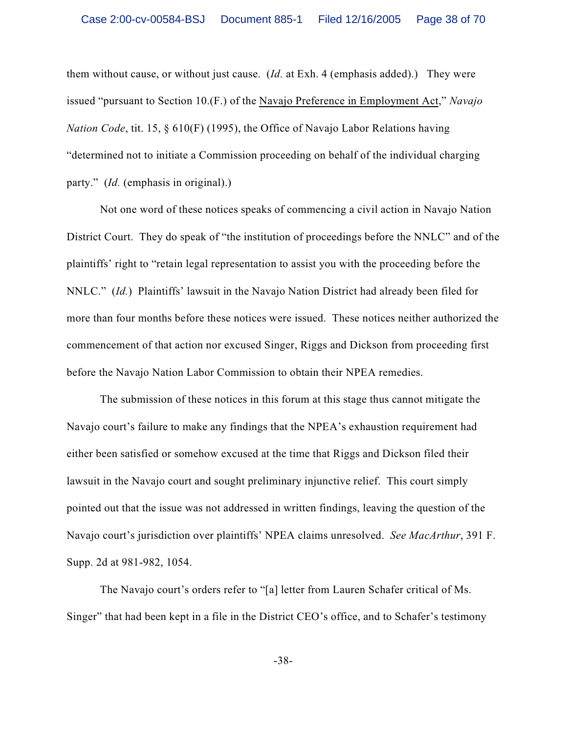them without cause, or without just cause. (*Id.* at Exh. 4 (emphasis added).) They were issued "pursuant to Section 10.(F.) of the Navajo Preference in Employment Act," *Navajo Nation Code*, tit. 15, § 610(F) (1995), the Office of Navajo Labor Relations having "determined not to initiate a Commission proceeding on behalf of the individual charging party." (*Id.* (emphasis in original).)

Not one word of these notices speaks of commencing a civil action in Navajo Nation District Court. They do speak of "the institution of proceedings before the NNLC" and of the plaintiffs' right to "retain legal representation to assist you with the proceeding before the NNLC." (*Id.*) Plaintiffs' lawsuit in the Navajo Nation District had already been filed for more than four months before these notices were issued. These notices neither authorized the commencement of that action nor excused Singer, Riggs and Dickson from proceeding first before the Navajo Nation Labor Commission to obtain their NPEA remedies.

The submission of these notices in this forum at this stage thus cannot mitigate the Navajo court's failure to make any findings that the NPEA's exhaustion requirement had either been satisfied or somehow excused at the time that Riggs and Dickson filed their lawsuit in the Navajo court and sought preliminary injunctive relief. This court simply pointed out that the issue was not addressed in written findings, leaving the question of the Navajo court's jurisdiction over plaintiffs' NPEA claims unresolved. *See MacArthur*, 391 F. Supp. 2d at 981-982, 1054.

The Navajo court's orders refer to "[a] letter from Lauren Schafer critical of Ms. Singer" that had been kept in a file in the District CEO's office, and to Schafer's testimony

-38-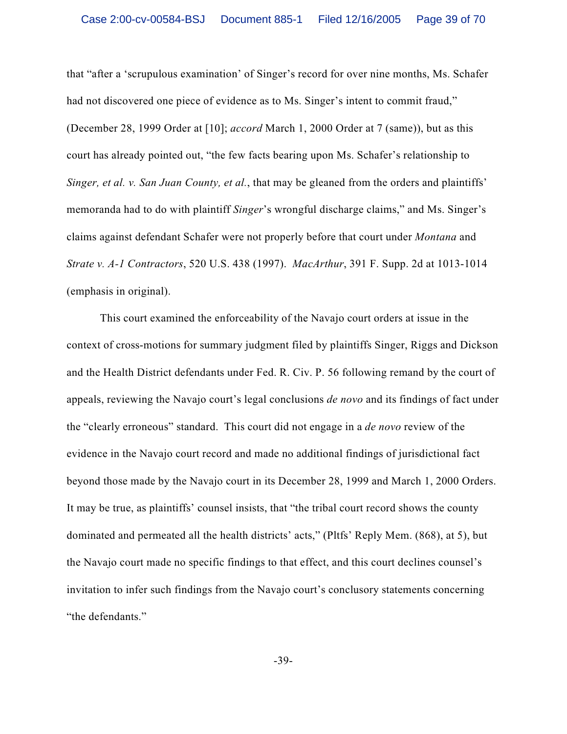that "after a 'scrupulous examination' of Singer's record for over nine months, Ms. Schafer had not discovered one piece of evidence as to Ms. Singer's intent to commit fraud," (December 28, 1999 Order at [10]; *accord* March 1, 2000 Order at 7 (same)), but as this court has already pointed out, "the few facts bearing upon Ms. Schafer's relationship to *Singer, et al. v. San Juan County, et al.*, that may be gleaned from the orders and plaintiffs' memoranda had to do with plaintiff *Singer*'s wrongful discharge claims," and Ms. Singer's claims against defendant Schafer were not properly before that court under *Montana* and *Strate v. A-1 Contractors*, 520 U.S. 438 (1997). *MacArthur*, 391 F. Supp. 2d at 1013-1014 (emphasis in original).

 This court examined the enforceability of the Navajo court orders at issue in the context of cross-motions for summary judgment filed by plaintiffs Singer, Riggs and Dickson and the Health District defendants under Fed. R. Civ. P. 56 following remand by the court of appeals, reviewing the Navajo court's legal conclusions *de novo* and its findings of fact under the "clearly erroneous" standard. This court did not engage in a *de novo* review of the evidence in the Navajo court record and made no additional findings of jurisdictional fact beyond those made by the Navajo court in its December 28, 1999 and March 1, 2000 Orders. It may be true, as plaintiffs' counsel insists, that "the tribal court record shows the county dominated and permeated all the health districts' acts," (Pltfs' Reply Mem. (868), at 5), but the Navajo court made no specific findings to that effect, and this court declines counsel's invitation to infer such findings from the Navajo court's conclusory statements concerning "the defendants."

-39-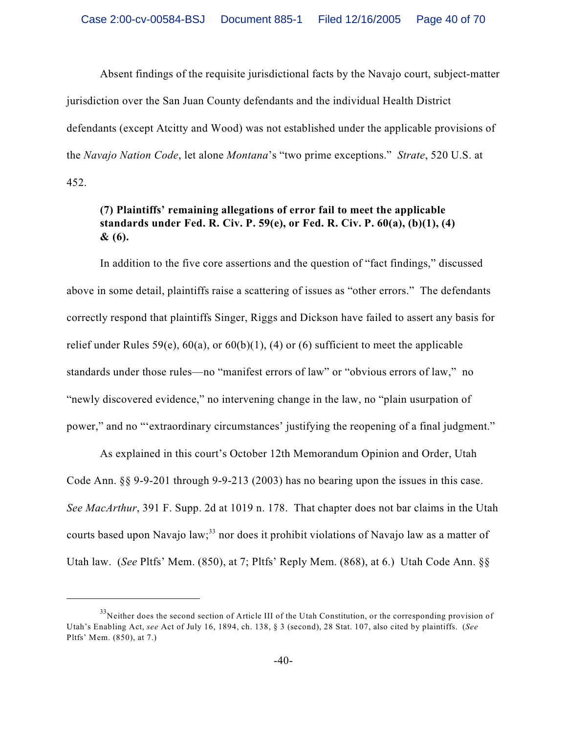Absent findings of the requisite jurisdictional facts by the Navajo court, subject-matter jurisdiction over the San Juan County defendants and the individual Health District defendants (except Atcitty and Wood) was not established under the applicable provisions of the *Navajo Nation Code*, let alone *Montana*'s "two prime exceptions." *Strate*, 520 U.S. at 452.

# **(7) Plaintiffs' remaining allegations of error fail to meet the applicable standards under Fed. R. Civ. P. 59(e), or Fed. R. Civ. P. 60(a), (b)(1), (4) & (6).**

In addition to the five core assertions and the question of "fact findings," discussed above in some detail, plaintiffs raise a scattering of issues as "other errors." The defendants correctly respond that plaintiffs Singer, Riggs and Dickson have failed to assert any basis for relief under Rules 59(e),  $60(a)$ , or  $60(b)(1)$ , (4) or (6) sufficient to meet the applicable standards under those rules—no "manifest errors of law" or "obvious errors of law," no "newly discovered evidence," no intervening change in the law, no "plain usurpation of power," and no "'extraordinary circumstances' justifying the reopening of a final judgment."

As explained in this court's October 12th Memorandum Opinion and Order, Utah Code Ann. §§ 9-9-201 through 9-9-213 (2003) has no bearing upon the issues in this case. *See MacArthur*, 391 F. Supp. 2d at 1019 n. 178. That chapter does not bar claims in the Utah courts based upon Navajo law;<sup>33</sup> nor does it prohibit violations of Navajo law as a matter of Utah law. (*See* Pltfs' Mem. (850), at 7; Pltfs' Reply Mem. (868), at 6.) Utah Code Ann. §§

 $33$ Neither does the second section of Article III of the Utah Constitution, or the corresponding provision of Utah's Enabling Act, *see* Act of July 16, 1894, ch. 138, § 3 (second), 28 Stat. 107, also cited by plaintiffs. (*See* Pltfs' Mem. (850), at 7.)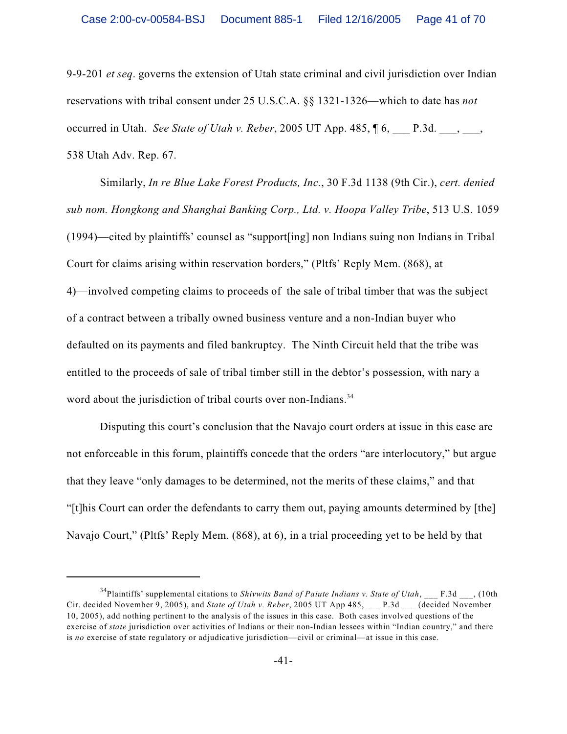9-9-201 *et seq*. governs the extension of Utah state criminal and civil jurisdiction over Indian reservations with tribal consent under 25 U.S.C.A. §§ 1321-1326—which to date has *not* occurred in Utah. *See State of Utah v. Reber*, 2005 UT App. 485, ¶ 6, \_\_\_ P.3d. \_\_\_, \_\_\_, 538 Utah Adv. Rep. 67.

Similarly, *In re Blue Lake Forest Products, Inc.*, 30 F.3d 1138 (9th Cir.), *cert. denied sub nom. Hongkong and Shanghai Banking Corp., Ltd. v. Hoopa Valley Tribe*, 513 U.S. 1059 (1994)—cited by plaintiffs' counsel as "support[ing] non Indians suing non Indians in Tribal Court for claims arising within reservation borders," (Pltfs' Reply Mem. (868), at 4)—involved competing claims to proceeds of the sale of tribal timber that was the subject of a contract between a tribally owned business venture and a non-Indian buyer who defaulted on its payments and filed bankruptcy. The Ninth Circuit held that the tribe was entitled to the proceeds of sale of tribal timber still in the debtor's possession, with nary a word about the jurisdiction of tribal courts over non-Indians.<sup>34</sup>

Disputing this court's conclusion that the Navajo court orders at issue in this case are not enforceable in this forum, plaintiffs concede that the orders "are interlocutory," but argue that they leave "only damages to be determined, not the merits of these claims," and that "[t]his Court can order the defendants to carry them out, paying amounts determined by [the] Navajo Court," (Pltfs' Reply Mem. (868), at 6), in a trial proceeding yet to be held by that

<sup>&</sup>lt;sup>34</sup>Plaintiffs' supplemental citations to *Shivwits Band of Paiute Indians v. State of Utah*,  $\qquad$  F.3d  $\qquad$ , (10th  $\qquad$ Cir. decided November 9, 2005), and *State of Utah v. Reber*, 2005 UT App 485, P.3d (decided November 10, 2005), add nothing pertinent to the analysis of the issues in this case. Both cases involved questions of the exercise of *state* jurisdiction over activities of Indians or their non-Indian lessees within "Indian country," and there is *no* exercise of state regulatory or adjudicative jurisdiction—civil or criminal—at issue in this case.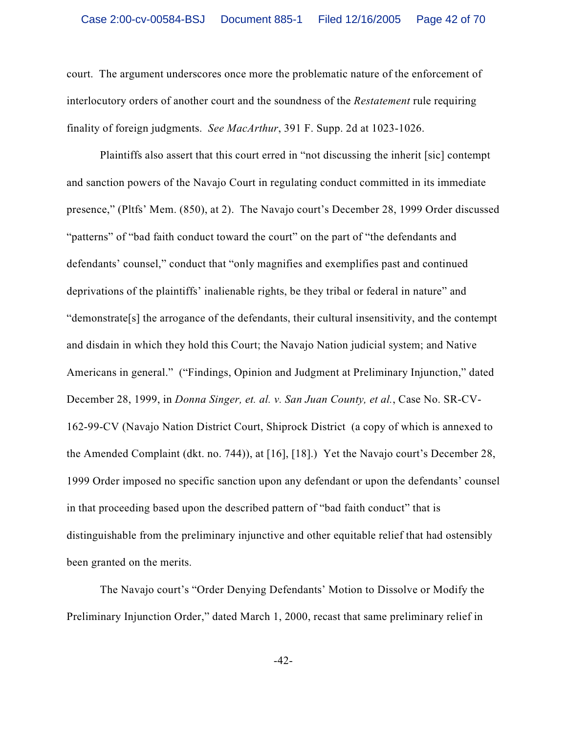court. The argument underscores once more the problematic nature of the enforcement of interlocutory orders of another court and the soundness of the *Restatement* rule requiring finality of foreign judgments. *See MacArthur*, 391 F. Supp. 2d at 1023-1026.

Plaintiffs also assert that this court erred in "not discussing the inherit [sic] contempt and sanction powers of the Navajo Court in regulating conduct committed in its immediate presence," (Pltfs' Mem. (850), at 2). The Navajo court's December 28, 1999 Order discussed "patterns" of "bad faith conduct toward the court" on the part of "the defendants and defendants' counsel," conduct that "only magnifies and exemplifies past and continued deprivations of the plaintiffs' inalienable rights, be they tribal or federal in nature" and "demonstrate[s] the arrogance of the defendants, their cultural insensitivity, and the contempt and disdain in which they hold this Court; the Navajo Nation judicial system; and Native Americans in general." ("Findings, Opinion and Judgment at Preliminary Injunction," dated December 28, 1999, in *Donna Singer, et. al. v. San Juan County, et al.*, Case No. SR-CV-162-99-CV (Navajo Nation District Court, Shiprock District (a copy of which is annexed to the Amended Complaint (dkt. no. 744)), at [16], [18].) Yet the Navajo court's December 28, 1999 Order imposed no specific sanction upon any defendant or upon the defendants' counsel in that proceeding based upon the described pattern of "bad faith conduct" that is distinguishable from the preliminary injunctive and other equitable relief that had ostensibly been granted on the merits.

The Navajo court's "Order Denying Defendants' Motion to Dissolve or Modify the Preliminary Injunction Order," dated March 1, 2000, recast that same preliminary relief in

-42-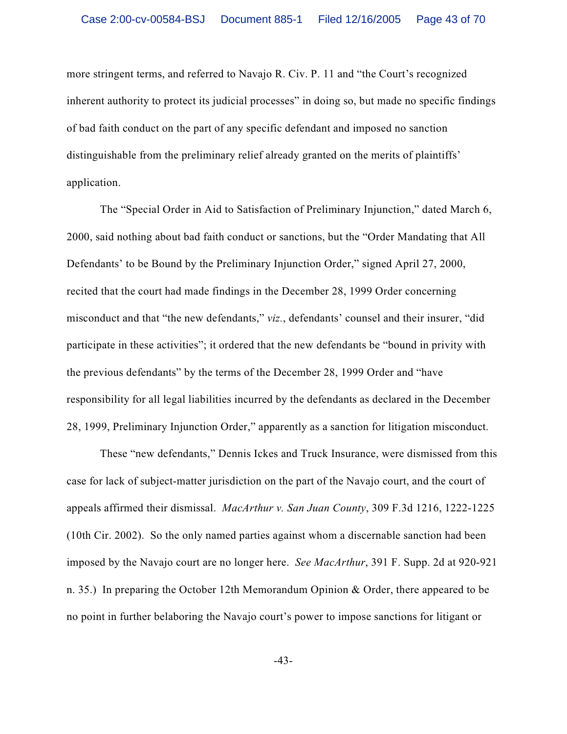more stringent terms, and referred to Navajo R. Civ. P. 11 and "the Court's recognized inherent authority to protect its judicial processes" in doing so, but made no specific findings of bad faith conduct on the part of any specific defendant and imposed no sanction distinguishable from the preliminary relief already granted on the merits of plaintiffs' application.

The "Special Order in Aid to Satisfaction of Preliminary Injunction," dated March 6, 2000, said nothing about bad faith conduct or sanctions, but the "Order Mandating that All Defendants' to be Bound by the Preliminary Injunction Order," signed April 27, 2000, recited that the court had made findings in the December 28, 1999 Order concerning misconduct and that "the new defendants," *viz.*, defendants' counsel and their insurer, "did participate in these activities"; it ordered that the new defendants be "bound in privity with the previous defendants" by the terms of the December 28, 1999 Order and "have responsibility for all legal liabilities incurred by the defendants as declared in the December 28, 1999, Preliminary Injunction Order," apparently as a sanction for litigation misconduct.

These "new defendants," Dennis Ickes and Truck Insurance, were dismissed from this case for lack of subject-matter jurisdiction on the part of the Navajo court, and the court of appeals affirmed their dismissal. *MacArthur v. San Juan County*, 309 F.3d 1216, 1222-1225 (10th Cir. 2002). So the only named parties against whom a discernable sanction had been imposed by the Navajo court are no longer here. *See MacArthur*, 391 F. Supp. 2d at 920-921 n. 35.) In preparing the October 12th Memorandum Opinion & Order, there appeared to be no point in further belaboring the Navajo court's power to impose sanctions for litigant or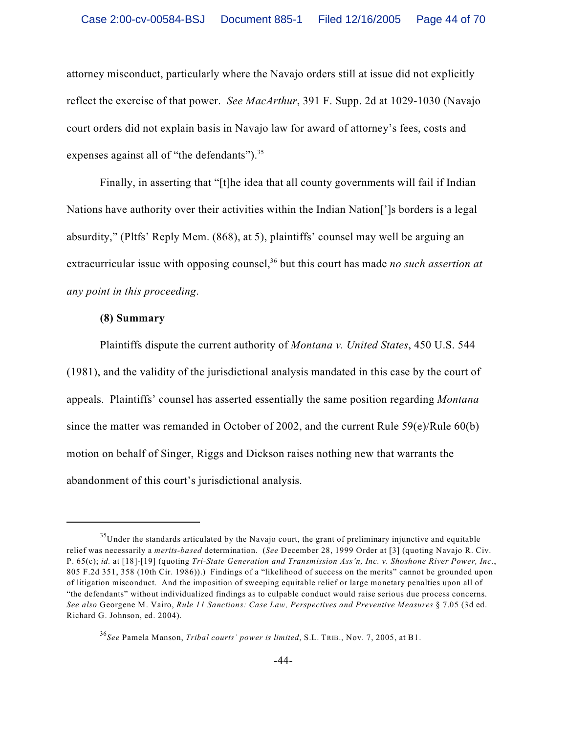attorney misconduct, particularly where the Navajo orders still at issue did not explicitly reflect the exercise of that power. *See MacArthur*, 391 F. Supp. 2d at 1029-1030 (Navajo court orders did not explain basis in Navajo law for award of attorney's fees, costs and expenses against all of "the defendants").<sup>35</sup>

Finally, in asserting that "[t]he idea that all county governments will fail if Indian Nations have authority over their activities within the Indian Nation[']s borders is a legal absurdity," (Pltfs' Reply Mem. (868), at 5), plaintiffs' counsel may well be arguing an extracurricular issue with opposing counsel,<sup>36</sup> but this court has made *no such assertion at any point in this proceeding*.

#### **(8) Summary**

Plaintiffs dispute the current authority of *Montana v. United States*, 450 U.S. 544 (1981), and the validity of the jurisdictional analysis mandated in this case by the court of appeals. Plaintiffs' counsel has asserted essentially the same position regarding *Montana* since the matter was remanded in October of 2002, and the current Rule 59(e)/Rule 60(b) motion on behalf of Singer, Riggs and Dickson raises nothing new that warrants the abandonment of this court's jurisdictional analysis.

 $^{35}$ Under the standards articulated by the Navajo court, the grant of preliminary injunctive and equitable relief was necessarily a *merits-based* determination. (*See* December 28, 1999 Order at [3] (quoting Navajo R. Civ. P. 65(c); *id.* at [18]-[19] (quoting *Tri-State Generation and Transmission Ass'n, Inc. v. Shoshone River Power, Inc.*, 805 F.2d 351, 358 (10th Cir. 1986)).) Findings of a "likelihood of success on the merits" cannot be grounded upon of litigation misconduct. And the imposition of sweeping equitable relief or large monetary penalties upon all of "the defendants" without individualized findings as to culpable conduct would raise serious due process concerns. *See also* Georgene M. Vairo, *Rule 11 Sanctions: Case Law, Perspectives and Preventive Measures* § 7.05 (3d ed. Richard G. Johnson, ed. 2004).

*See* Pamela Manson, *Tribal courts' power is limited*, S.L. TRIB., Nov. 7, 2005, at B1. 36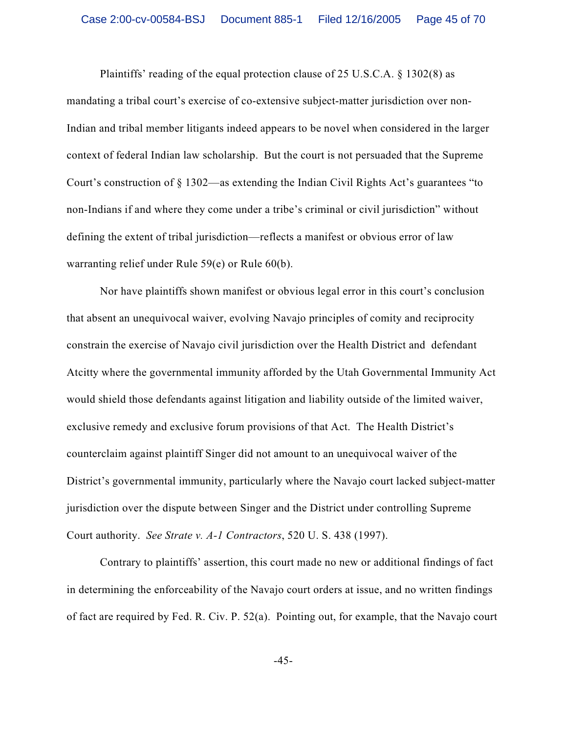Plaintiffs' reading of the equal protection clause of 25 U.S.C.A. § 1302(8) as

mandating a tribal court's exercise of co-extensive subject-matter jurisdiction over non-Indian and tribal member litigants indeed appears to be novel when considered in the larger context of federal Indian law scholarship. But the court is not persuaded that the Supreme Court's construction of § 1302—as extending the Indian Civil Rights Act's guarantees "to non-Indians if and where they come under a tribe's criminal or civil jurisdiction" without defining the extent of tribal jurisdiction—reflects a manifest or obvious error of law warranting relief under Rule 59(e) or Rule 60(b).

Nor have plaintiffs shown manifest or obvious legal error in this court's conclusion that absent an unequivocal waiver, evolving Navajo principles of comity and reciprocity constrain the exercise of Navajo civil jurisdiction over the Health District and defendant Atcitty where the governmental immunity afforded by the Utah Governmental Immunity Act would shield those defendants against litigation and liability outside of the limited waiver, exclusive remedy and exclusive forum provisions of that Act. The Health District's counterclaim against plaintiff Singer did not amount to an unequivocal waiver of the District's governmental immunity, particularly where the Navajo court lacked subject-matter jurisdiction over the dispute between Singer and the District under controlling Supreme Court authority. *See Strate v. A-1 Contractors*, 520 U. S. 438 (1997).

Contrary to plaintiffs' assertion, this court made no new or additional findings of fact in determining the enforceability of the Navajo court orders at issue, and no written findings of fact are required by Fed. R. Civ. P. 52(a). Pointing out, for example, that the Navajo court

-45-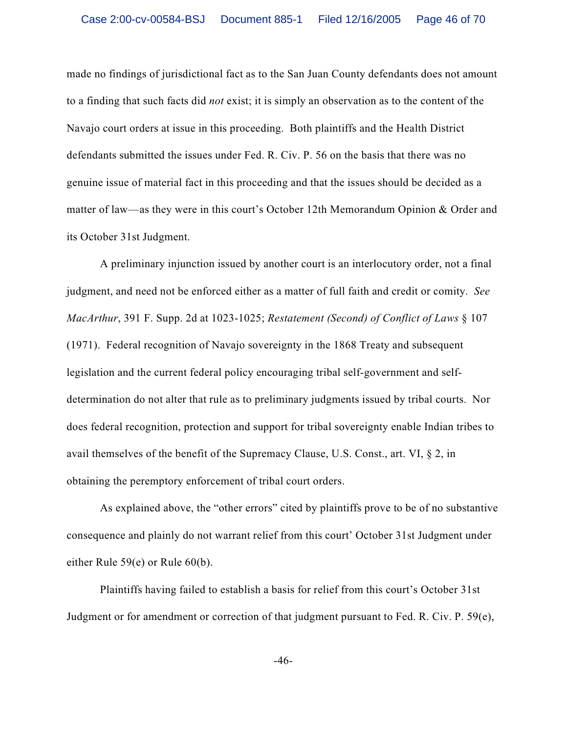made no findings of jurisdictional fact as to the San Juan County defendants does not amount to a finding that such facts did *not* exist; it is simply an observation as to the content of the Navajo court orders at issue in this proceeding. Both plaintiffs and the Health District defendants submitted the issues under Fed. R. Civ. P. 56 on the basis that there was no genuine issue of material fact in this proceeding and that the issues should be decided as a matter of law—as they were in this court's October 12th Memorandum Opinion & Order and its October 31st Judgment.

A preliminary injunction issued by another court is an interlocutory order, not a final judgment, and need not be enforced either as a matter of full faith and credit or comity. *See MacArthur*, 391 F. Supp. 2d at 1023-1025; *Restatement (Second) of Conflict of Laws* § 107 (1971). Federal recognition of Navajo sovereignty in the 1868 Treaty and subsequent legislation and the current federal policy encouraging tribal self-government and selfdetermination do not alter that rule as to preliminary judgments issued by tribal courts. Nor does federal recognition, protection and support for tribal sovereignty enable Indian tribes to avail themselves of the benefit of the Supremacy Clause, U.S. Const., art. VI, § 2, in obtaining the peremptory enforcement of tribal court orders.

As explained above, the "other errors" cited by plaintiffs prove to be of no substantive consequence and plainly do not warrant relief from this court' October 31st Judgment under either Rule 59(e) or Rule 60(b).

Plaintiffs having failed to establish a basis for relief from this court's October 31st Judgment or for amendment or correction of that judgment pursuant to Fed. R. Civ. P. 59(e),

-46-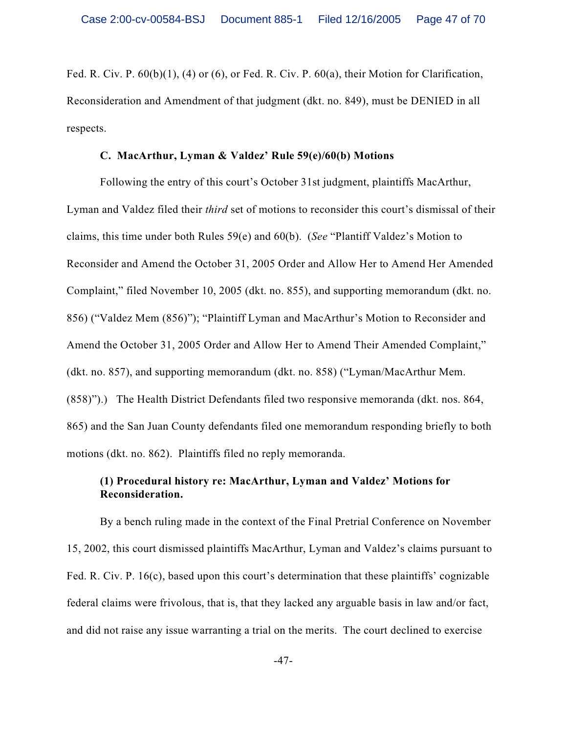Fed. R. Civ. P.  $60(b)(1)$ , (4) or (6), or Fed. R. Civ. P.  $60(a)$ , their Motion for Clarification, Reconsideration and Amendment of that judgment (dkt. no. 849), must be DENIED in all respects.

### **C. MacArthur, Lyman & Valdez' Rule 59(e)/60(b) Motions**

Following the entry of this court's October 31st judgment, plaintiffs MacArthur, Lyman and Valdez filed their *third* set of motions to reconsider this court's dismissal of their claims, this time under both Rules 59(e) and 60(b). (*See* "Plantiff Valdez's Motion to Reconsider and Amend the October 31, 2005 Order and Allow Her to Amend Her Amended Complaint," filed November 10, 2005 (dkt. no. 855), and supporting memorandum (dkt. no. 856) ("Valdez Mem (856)"); "Plaintiff Lyman and MacArthur's Motion to Reconsider and Amend the October 31, 2005 Order and Allow Her to Amend Their Amended Complaint," (dkt. no. 857), and supporting memorandum (dkt. no. 858) ("Lyman/MacArthur Mem. (858)").) The Health District Defendants filed two responsive memoranda (dkt. nos. 864, 865) and the San Juan County defendants filed one memorandum responding briefly to both motions (dkt. no. 862). Plaintiffs filed no reply memoranda.

# **(1) Procedural history re: MacArthur, Lyman and Valdez' Motions for Reconsideration.**

By a bench ruling made in the context of the Final Pretrial Conference on November 15, 2002, this court dismissed plaintiffs MacArthur, Lyman and Valdez's claims pursuant to Fed. R. Civ. P. 16(c), based upon this court's determination that these plaintiffs' cognizable federal claims were frivolous, that is, that they lacked any arguable basis in law and/or fact, and did not raise any issue warranting a trial on the merits. The court declined to exercise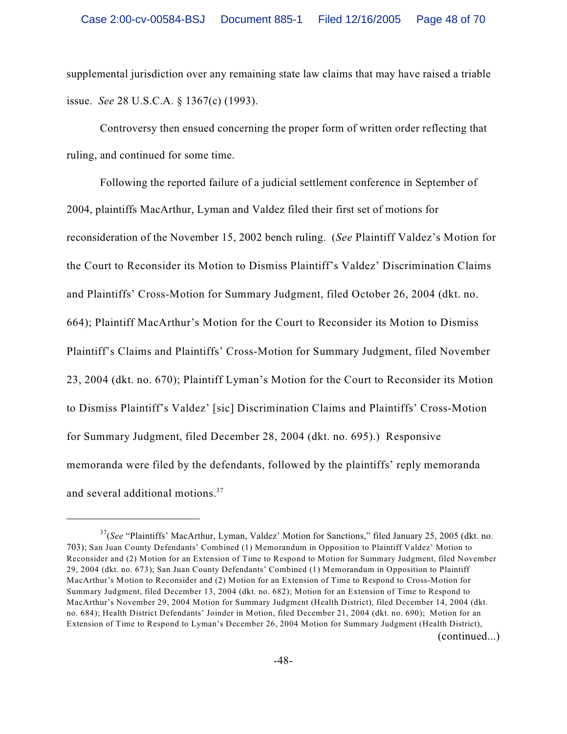supplemental jurisdiction over any remaining state law claims that may have raised a triable issue. *See* 28 U.S.C.A. § 1367(c) (1993).

Controversy then ensued concerning the proper form of written order reflecting that ruling, and continued for some time.

Following the reported failure of a judicial settlement conference in September of 2004, plaintiffs MacArthur, Lyman and Valdez filed their first set of motions for reconsideration of the November 15, 2002 bench ruling. (*See* Plaintiff Valdez's Motion for the Court to Reconsider its Motion to Dismiss Plaintiff's Valdez' Discrimination Claims and Plaintiffs' Cross-Motion for Summary Judgment, filed October 26, 2004 (dkt. no. 664); Plaintiff MacArthur's Motion for the Court to Reconsider its Motion to Dismiss Plaintiff's Claims and Plaintiffs' Cross-Motion for Summary Judgment, filed November 23, 2004 (dkt. no. 670); Plaintiff Lyman's Motion for the Court to Reconsider its Motion to Dismiss Plaintiff's Valdez' [sic] Discrimination Claims and Plaintiffs' Cross-Motion for Summary Judgment, filed December 28, 2004 (dkt. no. 695).) Responsive memoranda were filed by the defendants, followed by the plaintiffs' reply memoranda and several additional motions.<sup>37</sup>

<sup>&</sup>lt;sup>37</sup>(See "Plaintiffs' MacArthur, Lyman, Valdez' Motion for Sanctions," filed January 25, 2005 (dkt. no. 703); San Juan County Defendants' Combined (1) Memorandum in Opposition to Plaintiff Valdez' Motion to Reconsider and (2) Motion for an Extension of Time to Respond to Motion for Summary Judgment, filed November 29, 2004 (dkt. no. 673); San Juan County Defendants' Combined (1) Memorandum in Opposition to Plaintiff MacArthur's Motion to Reconsider and (2) Motion for an Extension of Time to Respond to Cross-Motion for Summary Judgment, filed December 13, 2004 (dkt. no. 682); Motion for an Extension of Time to Respond to MacArthur's November 29, 2004 Motion for Summary Judgment (Health District), filed December 14, 2004 (dkt. no. 684); Health District Defendants' Joinder in Motion, filed December 21, 2004 (dkt. no. 690); Motion for an Extension of Time to Respond to Lyman's December 26, 2004 Motion for Summary Judgment (Health District), (continued...)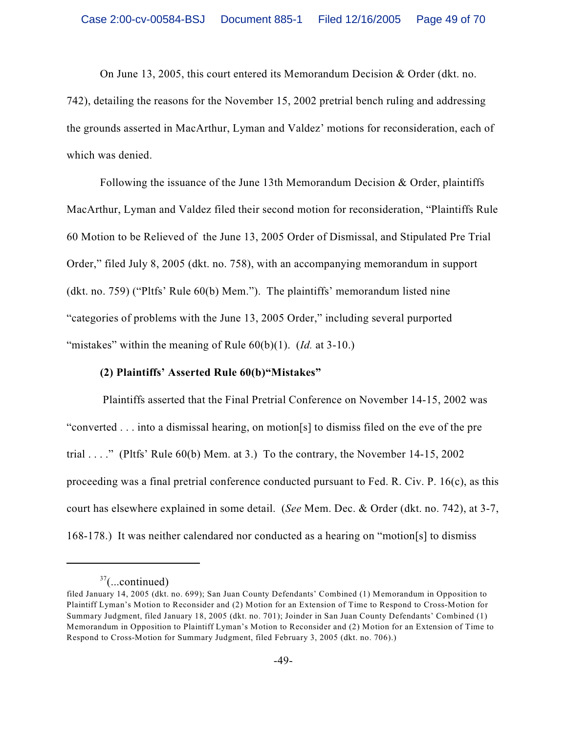On June 13, 2005, this court entered its Memorandum Decision & Order (dkt. no.

742), detailing the reasons for the November 15, 2002 pretrial bench ruling and addressing the grounds asserted in MacArthur, Lyman and Valdez' motions for reconsideration, each of which was denied.

Following the issuance of the June 13th Memorandum Decision  $\&$  Order, plaintiffs MacArthur, Lyman and Valdez filed their second motion for reconsideration, "Plaintiffs Rule 60 Motion to be Relieved of the June 13, 2005 Order of Dismissal, and Stipulated Pre Trial Order," filed July 8, 2005 (dkt. no. 758), with an accompanying memorandum in support (dkt. no. 759) ("Pltfs' Rule 60(b) Mem."). The plaintiffs' memorandum listed nine "categories of problems with the June 13, 2005 Order," including several purported "mistakes" within the meaning of Rule 60(b)(1). (*Id.* at 3-10.)

### **(2) Plaintiffs' Asserted Rule 60(b)"Mistakes"**

 Plaintiffs asserted that the Final Pretrial Conference on November 14-15, 2002 was "converted . . . into a dismissal hearing, on motion[s] to dismiss filed on the eve of the pre trial ...." (Pltfs' Rule  $60(b)$  Mem. at 3.) To the contrary, the November 14-15, 2002 proceeding was a final pretrial conference conducted pursuant to Fed. R. Civ. P. 16(c), as this court has elsewhere explained in some detail. (*See* Mem. Dec. & Order (dkt. no. 742), at 3-7, 168-178.) It was neither calendared nor conducted as a hearing on "motion[s] to dismiss

 $37$ (...continued)

filed January 14, 2005 (dkt. no. 699); San Juan County Defendants' Combined (1) Memorandum in Opposition to Plaintiff Lyman's Motion to Reconsider and (2) Motion for an Extension of Time to Respond to Cross-Motion for Summary Judgment, filed January 18, 2005 (dkt. no. 701); Joinder in San Juan County Defendants' Combined (1) Memorandum in Opposition to Plaintiff Lyman's Motion to Reconsider and (2) Motion for an Extension of Time to Respond to Cross-Motion for Summary Judgment, filed February 3, 2005 (dkt. no. 706).)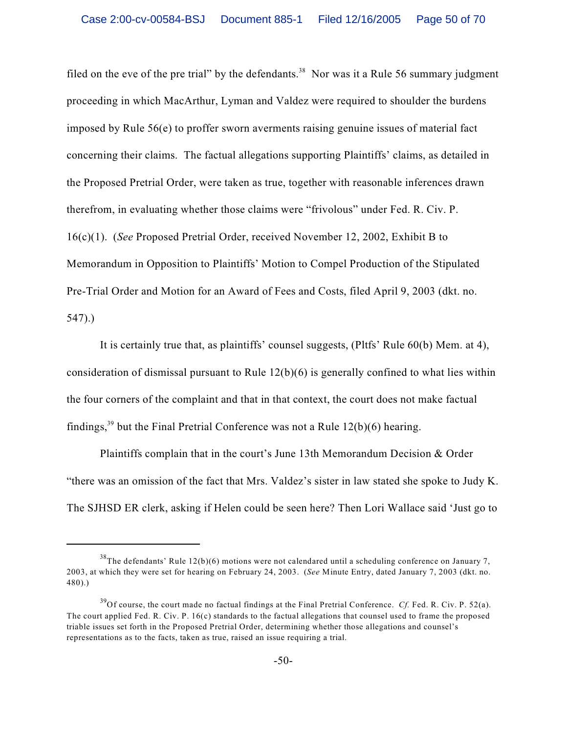filed on the eve of the pre trial" by the defendants.<sup>38</sup> Nor was it a Rule 56 summary judgment proceeding in which MacArthur, Lyman and Valdez were required to shoulder the burdens imposed by Rule 56(e) to proffer sworn averments raising genuine issues of material fact concerning their claims. The factual allegations supporting Plaintiffs' claims, as detailed in the Proposed Pretrial Order, were taken as true, together with reasonable inferences drawn therefrom, in evaluating whether those claims were "frivolous" under Fed. R. Civ. P. 16(c)(1). (*See* Proposed Pretrial Order, received November 12, 2002, Exhibit B to Memorandum in Opposition to Plaintiffs' Motion to Compel Production of the Stipulated Pre-Trial Order and Motion for an Award of Fees and Costs, filed April 9, 2003 (dkt. no. 547).)

It is certainly true that, as plaintiffs' counsel suggests, (Pltfs' Rule 60(b) Mem. at 4), consideration of dismissal pursuant to Rule 12(b)(6) is generally confined to what lies within the four corners of the complaint and that in that context, the court does not make factual findings,<sup>39</sup> but the Final Pretrial Conference was not a Rule  $12(b)(6)$  hearing.

Plaintiffs complain that in the court's June 13th Memorandum Decision & Order "there was an omission of the fact that Mrs. Valdez's sister in law stated she spoke to Judy K. The SJHSD ER clerk, asking if Helen could be seen here? Then Lori Wallace said 'Just go to

 $38$ The defendants' Rule 12(b)(6) motions were not calendared until a scheduling conference on January 7, 2003, at which they were set for hearing on February 24, 2003. (*See* Minute Entry, dated January 7, 2003 (dkt. no. 480).)

 $^{39}$ Of course, the court made no factual findings at the Final Pretrial Conference. *Cf.* Fed. R. Civ. P. 52(a). The court applied Fed. R. Civ. P. 16(c) standards to the factual allegations that counsel used to frame the proposed triable issues set forth in the Proposed Pretrial Order, determining whether those allegations and counsel's representations as to the facts, taken as true, raised an issue requiring a trial.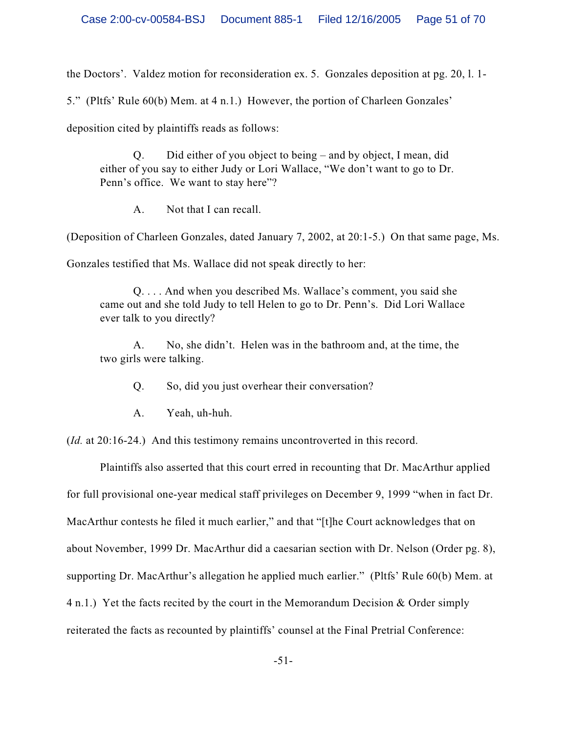the Doctors'. Valdez motion for reconsideration ex. 5. Gonzales deposition at pg. 20, l. 1-

5." (Pltfs' Rule 60(b) Mem. at 4 n.1.) However, the portion of Charleen Gonzales'

deposition cited by plaintiffs reads as follows:

Q. Did either of you object to being – and by object, I mean, did either of you say to either Judy or Lori Wallace, "We don't want to go to Dr. Penn's office. We want to stay here"?

A. Not that I can recall.

(Deposition of Charleen Gonzales, dated January 7, 2002, at 20:1-5.) On that same page, Ms.

Gonzales testified that Ms. Wallace did not speak directly to her:

Q. . . . And when you described Ms. Wallace's comment, you said she came out and she told Judy to tell Helen to go to Dr. Penn's. Did Lori Wallace ever talk to you directly?

A. No, she didn't. Helen was in the bathroom and, at the time, the two girls were talking.

Q. So, did you just overhear their conversation?

A. Yeah, uh-huh.

(*Id.* at 20:16-24.) And this testimony remains uncontroverted in this record.

Plaintiffs also asserted that this court erred in recounting that Dr. MacArthur applied for full provisional one-year medical staff privileges on December 9, 1999 "when in fact Dr. MacArthur contests he filed it much earlier," and that "[t]he Court acknowledges that on about November, 1999 Dr. MacArthur did a caesarian section with Dr. Nelson (Order pg. 8), supporting Dr. MacArthur's allegation he applied much earlier." (Pltfs' Rule 60(b) Mem. at 4 n.1.) Yet the facts recited by the court in the Memorandum Decision & Order simply reiterated the facts as recounted by plaintiffs' counsel at the Final Pretrial Conference: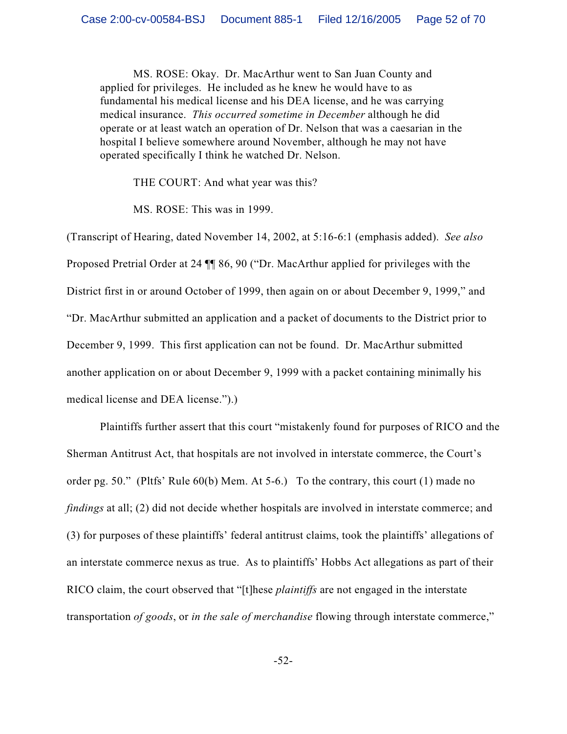MS. ROSE: Okay. Dr. MacArthur went to San Juan County and applied for privileges. He included as he knew he would have to as fundamental his medical license and his DEA license, and he was carrying medical insurance. *This occurred sometime in December* although he did operate or at least watch an operation of Dr. Nelson that was a caesarian in the hospital I believe somewhere around November, although he may not have operated specifically I think he watched Dr. Nelson.

THE COURT: And what year was this?

MS. ROSE: This was in 1999.

(Transcript of Hearing, dated November 14, 2002, at 5:16-6:1 (emphasis added). *See also* Proposed Pretrial Order at 24 ¶¶ 86, 90 ("Dr. MacArthur applied for privileges with the District first in or around October of 1999, then again on or about December 9, 1999," and "Dr. MacArthur submitted an application and a packet of documents to the District prior to December 9, 1999. This first application can not be found. Dr. MacArthur submitted another application on or about December 9, 1999 with a packet containing minimally his medical license and DEA license.").)

Plaintiffs further assert that this court "mistakenly found for purposes of RICO and the Sherman Antitrust Act, that hospitals are not involved in interstate commerce, the Court's order pg. 50." (Pltfs' Rule 60(b) Mem. At 5-6.) To the contrary, this court (1) made no *findings* at all; (2) did not decide whether hospitals are involved in interstate commerce; and (3) for purposes of these plaintiffs' federal antitrust claims, took the plaintiffs' allegations of an interstate commerce nexus as true. As to plaintiffs' Hobbs Act allegations as part of their RICO claim, the court observed that "[t]hese *plaintiffs* are not engaged in the interstate transportation *of goods*, or *in the sale of merchandise* flowing through interstate commerce,"

-52-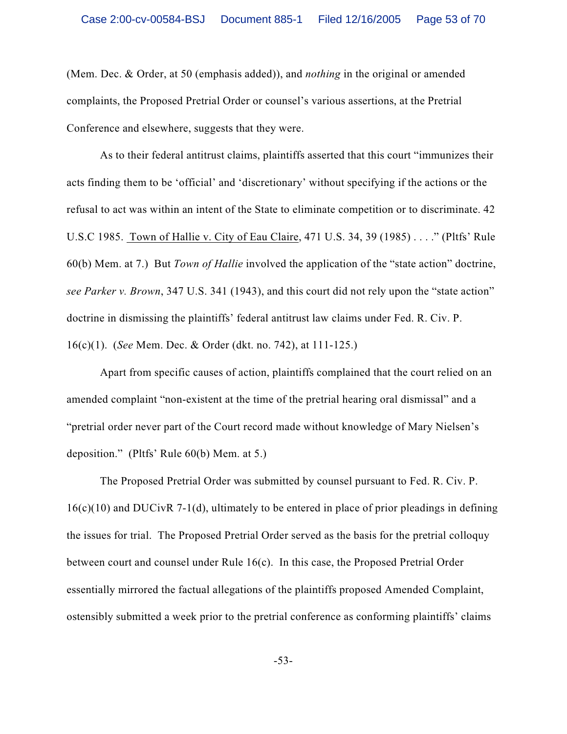(Mem. Dec. & Order, at 50 (emphasis added)), and *nothing* in the original or amended complaints, the Proposed Pretrial Order or counsel's various assertions, at the Pretrial Conference and elsewhere, suggests that they were.

As to their federal antitrust claims, plaintiffs asserted that this court "immunizes their acts finding them to be 'official' and 'discretionary' without specifying if the actions or the refusal to act was within an intent of the State to eliminate competition or to discriminate. 42 U.S.C 1985. Town of Hallie v. City of Eau Claire, 471 U.S. 34, 39 (1985) . . . ." (Pltfs' Rule 60(b) Mem. at 7.) But *Town of Hallie* involved the application of the "state action" doctrine, *see Parker v. Brown*, 347 U.S. 341 (1943), and this court did not rely upon the "state action" doctrine in dismissing the plaintiffs' federal antitrust law claims under Fed. R. Civ. P. 16(c)(1). (*See* Mem. Dec. & Order (dkt. no. 742), at 111-125.)

Apart from specific causes of action, plaintiffs complained that the court relied on an amended complaint "non-existent at the time of the pretrial hearing oral dismissal" and a "pretrial order never part of the Court record made without knowledge of Mary Nielsen's deposition." (Pltfs' Rule 60(b) Mem. at 5.)

The Proposed Pretrial Order was submitted by counsel pursuant to Fed. R. Civ. P.  $16(c)(10)$  and DUCivR 7-1(d), ultimately to be entered in place of prior pleadings in defining the issues for trial. The Proposed Pretrial Order served as the basis for the pretrial colloquy between court and counsel under Rule 16(c). In this case, the Proposed Pretrial Order essentially mirrored the factual allegations of the plaintiffs proposed Amended Complaint, ostensibly submitted a week prior to the pretrial conference as conforming plaintiffs' claims

-53-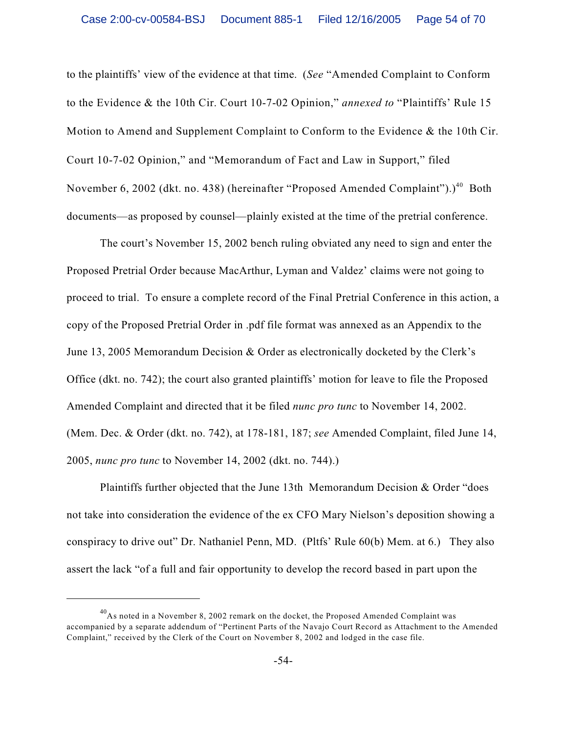to the plaintiffs' view of the evidence at that time. (*See* "Amended Complaint to Conform to the Evidence & the 10th Cir. Court 10-7-02 Opinion," *annexed to* "Plaintiffs' Rule 15 Motion to Amend and Supplement Complaint to Conform to the Evidence & the 10th Cir. Court 10-7-02 Opinion," and "Memorandum of Fact and Law in Support," filed November 6, 2002 (dkt. no. 438) (hereinafter "Proposed Amended Complaint").)<sup>40</sup> Both documents—as proposed by counsel—plainly existed at the time of the pretrial conference.

The court's November 15, 2002 bench ruling obviated any need to sign and enter the Proposed Pretrial Order because MacArthur, Lyman and Valdez' claims were not going to proceed to trial. To ensure a complete record of the Final Pretrial Conference in this action, a copy of the Proposed Pretrial Order in .pdf file format was annexed as an Appendix to the June 13, 2005 Memorandum Decision & Order as electronically docketed by the Clerk's Office (dkt. no. 742); the court also granted plaintiffs' motion for leave to file the Proposed Amended Complaint and directed that it be filed *nunc pro tunc* to November 14, 2002. (Mem. Dec. & Order (dkt. no. 742), at 178-181, 187; *see* Amended Complaint, filed June 14, 2005, *nunc pro tunc* to November 14, 2002 (dkt. no. 744).)

Plaintiffs further objected that the June 13th Memorandum Decision & Order "does not take into consideration the evidence of the ex CFO Mary Nielson's deposition showing a conspiracy to drive out" Dr. Nathaniel Penn, MD. (Pltfs' Rule 60(b) Mem. at 6.) They also assert the lack "of a full and fair opportunity to develop the record based in part upon the

 $^{40}$ As noted in a November 8, 2002 remark on the docket, the Proposed Amended Complaint was accompanied by a separate addendum of "Pertinent Parts of the Navajo Court Record as Attachment to the Amended Complaint," received by the Clerk of the Court on November 8, 2002 and lodged in the case file.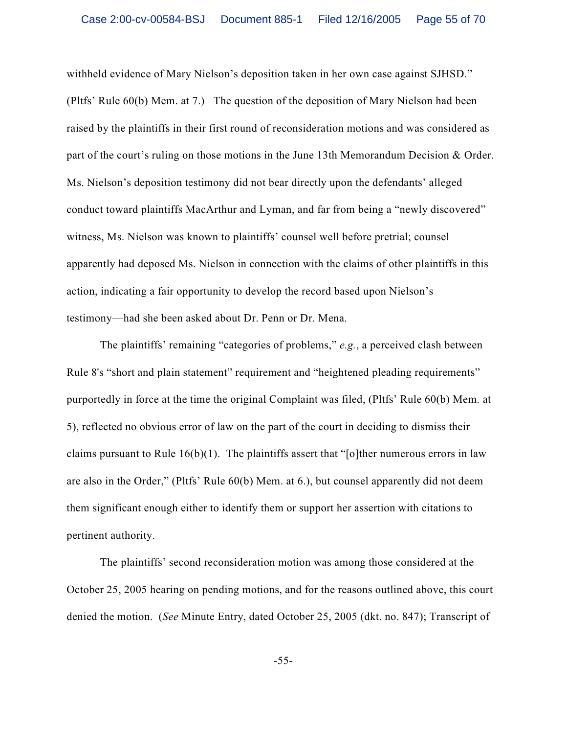withheld evidence of Mary Nielson's deposition taken in her own case against SJHSD." (Pltfs' Rule 60(b) Mem. at 7.) The question of the deposition of Mary Nielson had been raised by the plaintiffs in their first round of reconsideration motions and was considered as part of the court's ruling on those motions in the June 13th Memorandum Decision & Order. Ms. Nielson's deposition testimony did not bear directly upon the defendants' alleged conduct toward plaintiffs MacArthur and Lyman, and far from being a "newly discovered" witness, Ms. Nielson was known to plaintiffs' counsel well before pretrial; counsel apparently had deposed Ms. Nielson in connection with the claims of other plaintiffs in this action, indicating a fair opportunity to develop the record based upon Nielson's testimony—had she been asked about Dr. Penn or Dr. Mena.

The plaintiffs' remaining "categories of problems," *e.g.*, a perceived clash between Rule 8's "short and plain statement" requirement and "heightened pleading requirements" purportedly in force at the time the original Complaint was filed, (Pltfs' Rule 60(b) Mem. at 5), reflected no obvious error of law on the part of the court in deciding to dismiss their claims pursuant to Rule  $16(b)(1)$ . The plaintiffs assert that "[o]ther numerous errors in law are also in the Order," (Pltfs' Rule 60(b) Mem. at 6.), but counsel apparently did not deem them significant enough either to identify them or support her assertion with citations to pertinent authority.

The plaintiffs' second reconsideration motion was among those considered at the October 25, 2005 hearing on pending motions, and for the reasons outlined above, this court denied the motion. (*See* Minute Entry, dated October 25, 2005 (dkt. no. 847); Transcript of

-55-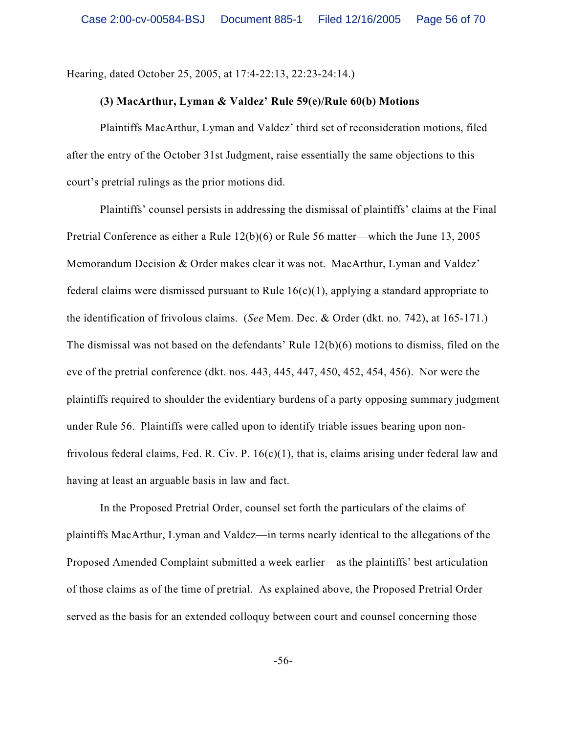Hearing, dated October 25, 2005, at 17:4-22:13, 22:23-24:14.)

### **(3) MacArthur, Lyman & Valdez' Rule 59(e)/Rule 60(b) Motions**

Plaintiffs MacArthur, Lyman and Valdez' third set of reconsideration motions, filed after the entry of the October 31st Judgment, raise essentially the same objections to this court's pretrial rulings as the prior motions did.

Plaintiffs' counsel persists in addressing the dismissal of plaintiffs' claims at the Final Pretrial Conference as either a Rule 12(b)(6) or Rule 56 matter—which the June 13, 2005 Memorandum Decision & Order makes clear it was not. MacArthur, Lyman and Valdez' federal claims were dismissed pursuant to Rule  $16(c)(1)$ , applying a standard appropriate to the identification of frivolous claims. (*See* Mem. Dec. & Order (dkt. no. 742), at 165-171.) The dismissal was not based on the defendants' Rule 12(b)(6) motions to dismiss, filed on the eve of the pretrial conference (dkt. nos. 443, 445, 447, 450, 452, 454, 456). Nor were the plaintiffs required to shoulder the evidentiary burdens of a party opposing summary judgment under Rule 56. Plaintiffs were called upon to identify triable issues bearing upon nonfrivolous federal claims, Fed. R. Civ. P. 16(c)(1), that is, claims arising under federal law and having at least an arguable basis in law and fact.

In the Proposed Pretrial Order, counsel set forth the particulars of the claims of plaintiffs MacArthur, Lyman and Valdez—in terms nearly identical to the allegations of the Proposed Amended Complaint submitted a week earlier—as the plaintiffs' best articulation of those claims as of the time of pretrial. As explained above, the Proposed Pretrial Order served as the basis for an extended colloquy between court and counsel concerning those

-56-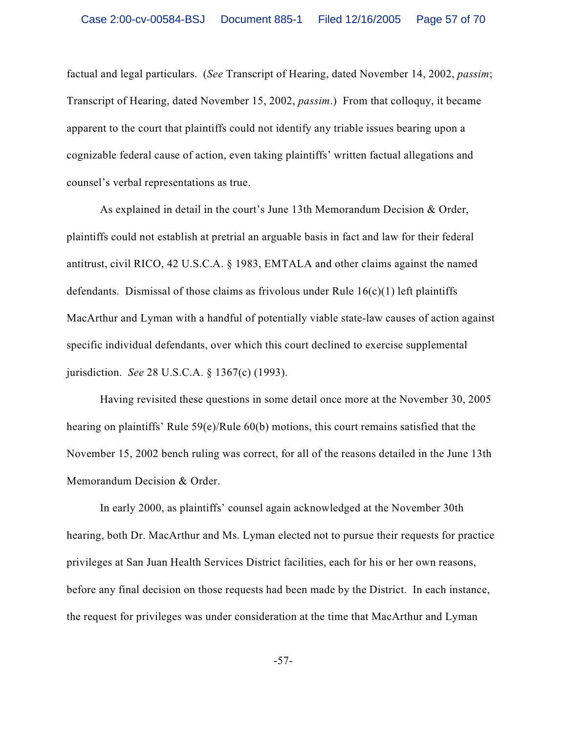factual and legal particulars. (*See* Transcript of Hearing, dated November 14, 2002, *passim*; Transcript of Hearing, dated November 15, 2002, *passim*.) From that colloquy, it became apparent to the court that plaintiffs could not identify any triable issues bearing upon a cognizable federal cause of action, even taking plaintiffs' written factual allegations and counsel's verbal representations as true.

As explained in detail in the court's June 13th Memorandum Decision & Order, plaintiffs could not establish at pretrial an arguable basis in fact and law for their federal antitrust, civil RICO, 42 U.S.C.A. § 1983, EMTALA and other claims against the named defendants. Dismissal of those claims as frivolous under Rule  $16(c)(1)$  left plaintiffs MacArthur and Lyman with a handful of potentially viable state-law causes of action against specific individual defendants, over which this court declined to exercise supplemental jurisdiction. *See* 28 U.S.C.A. § 1367(c) (1993).

Having revisited these questions in some detail once more at the November 30, 2005 hearing on plaintiffs' Rule 59(e)/Rule 60(b) motions, this court remains satisfied that the November 15, 2002 bench ruling was correct, for all of the reasons detailed in the June 13th Memorandum Decision & Order.

In early 2000, as plaintiffs' counsel again acknowledged at the November 30th hearing, both Dr. MacArthur and Ms. Lyman elected not to pursue their requests for practice privileges at San Juan Health Services District facilities, each for his or her own reasons, before any final decision on those requests had been made by the District. In each instance, the request for privileges was under consideration at the time that MacArthur and Lyman

-57-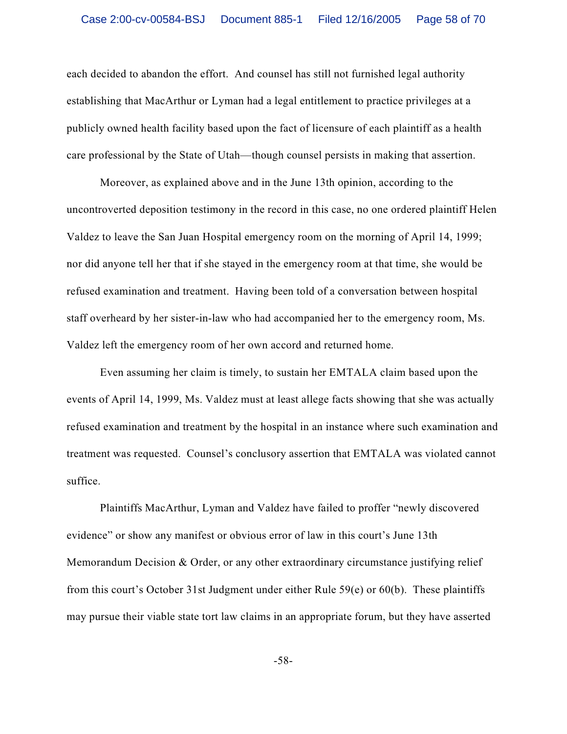each decided to abandon the effort. And counsel has still not furnished legal authority establishing that MacArthur or Lyman had a legal entitlement to practice privileges at a publicly owned health facility based upon the fact of licensure of each plaintiff as a health care professional by the State of Utah—though counsel persists in making that assertion.

Moreover, as explained above and in the June 13th opinion, according to the uncontroverted deposition testimony in the record in this case, no one ordered plaintiff Helen Valdez to leave the San Juan Hospital emergency room on the morning of April 14, 1999; nor did anyone tell her that if she stayed in the emergency room at that time, she would be refused examination and treatment. Having been told of a conversation between hospital staff overheard by her sister-in-law who had accompanied her to the emergency room, Ms. Valdez left the emergency room of her own accord and returned home.

Even assuming her claim is timely, to sustain her EMTALA claim based upon the events of April 14, 1999, Ms. Valdez must at least allege facts showing that she was actually refused examination and treatment by the hospital in an instance where such examination and treatment was requested. Counsel's conclusory assertion that EMTALA was violated cannot suffice.

Plaintiffs MacArthur, Lyman and Valdez have failed to proffer "newly discovered evidence" or show any manifest or obvious error of law in this court's June 13th Memorandum Decision & Order, or any other extraordinary circumstance justifying relief from this court's October 31st Judgment under either Rule 59(e) or 60(b). These plaintiffs may pursue their viable state tort law claims in an appropriate forum, but they have asserted

-58-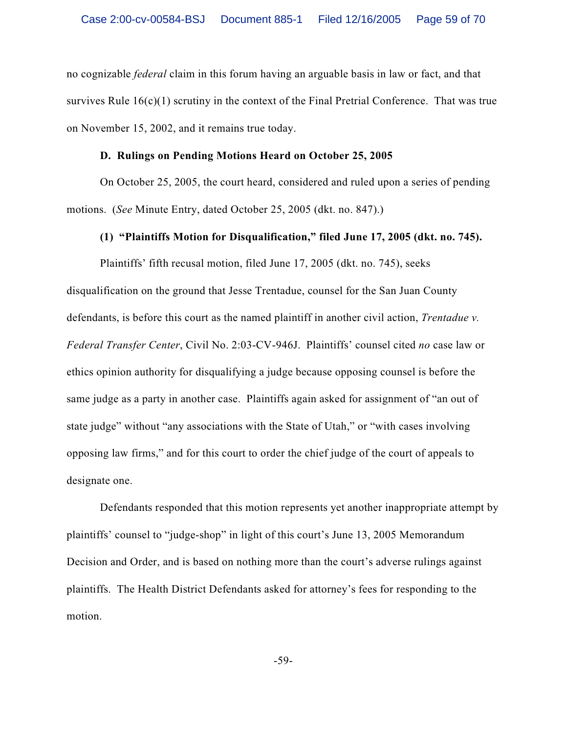no cognizable *federal* claim in this forum having an arguable basis in law or fact, and that survives Rule  $16(c)(1)$  scrutiny in the context of the Final Pretrial Conference. That was true on November 15, 2002, and it remains true today.

#### **D. Rulings on Pending Motions Heard on October 25, 2005**

On October 25, 2005, the court heard, considered and ruled upon a series of pending motions. (*See* Minute Entry, dated October 25, 2005 (dkt. no. 847).)

#### **(1) "Plaintiffs Motion for Disqualification," filed June 17, 2005 (dkt. no. 745).**

Plaintiffs' fifth recusal motion, filed June 17, 2005 (dkt. no. 745), seeks disqualification on the ground that Jesse Trentadue, counsel for the San Juan County defendants, is before this court as the named plaintiff in another civil action, *Trentadue v. Federal Transfer Center*, Civil No. 2:03-CV-946J. Plaintiffs' counsel cited *no* case law or ethics opinion authority for disqualifying a judge because opposing counsel is before the same judge as a party in another case. Plaintiffs again asked for assignment of "an out of state judge" without "any associations with the State of Utah," or "with cases involving opposing law firms," and for this court to order the chief judge of the court of appeals to designate one.

Defendants responded that this motion represents yet another inappropriate attempt by plaintiffs' counsel to "judge-shop" in light of this court's June 13, 2005 Memorandum Decision and Order, and is based on nothing more than the court's adverse rulings against plaintiffs. The Health District Defendants asked for attorney's fees for responding to the motion.

-59-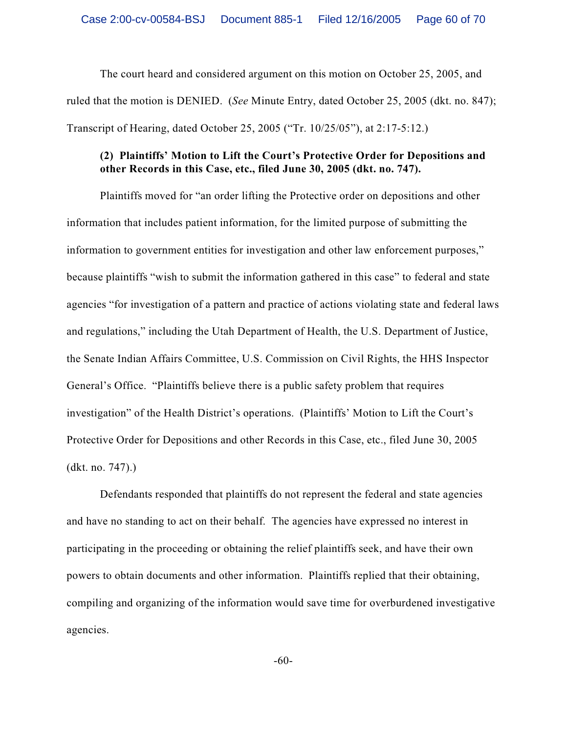The court heard and considered argument on this motion on October 25, 2005, and ruled that the motion is DENIED. (*See* Minute Entry, dated October 25, 2005 (dkt. no. 847); Transcript of Hearing, dated October 25, 2005 ("Tr. 10/25/05"), at 2:17-5:12.)

# **(2) Plaintiffs' Motion to Lift the Court's Protective Order for Depositions and other Records in this Case, etc., filed June 30, 2005 (dkt. no. 747).**

Plaintiffs moved for "an order lifting the Protective order on depositions and other information that includes patient information, for the limited purpose of submitting the information to government entities for investigation and other law enforcement purposes," because plaintiffs "wish to submit the information gathered in this case" to federal and state agencies "for investigation of a pattern and practice of actions violating state and federal laws and regulations," including the Utah Department of Health, the U.S. Department of Justice, the Senate Indian Affairs Committee, U.S. Commission on Civil Rights, the HHS Inspector General's Office. "Plaintiffs believe there is a public safety problem that requires investigation" of the Health District's operations. (Plaintiffs' Motion to Lift the Court's Protective Order for Depositions and other Records in this Case, etc., filed June 30, 2005 (dkt. no. 747).)

Defendants responded that plaintiffs do not represent the federal and state agencies and have no standing to act on their behalf. The agencies have expressed no interest in participating in the proceeding or obtaining the relief plaintiffs seek, and have their own powers to obtain documents and other information. Plaintiffs replied that their obtaining, compiling and organizing of the information would save time for overburdened investigative agencies.

-60-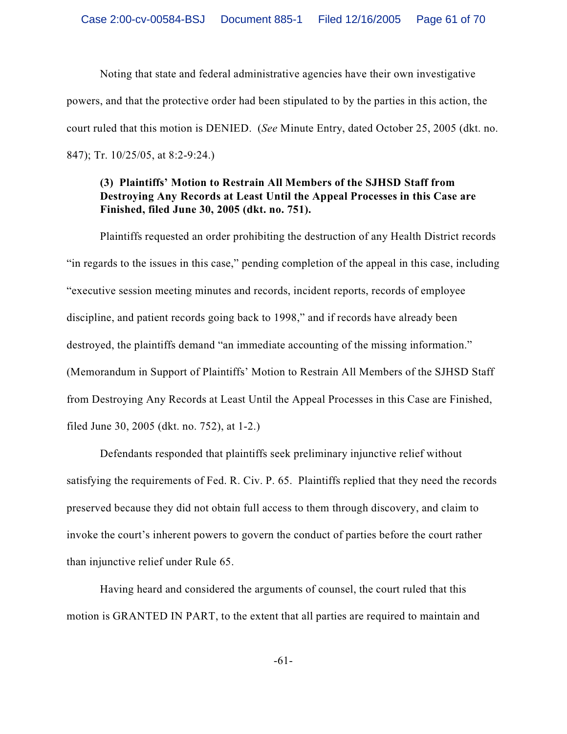Noting that state and federal administrative agencies have their own investigative powers, and that the protective order had been stipulated to by the parties in this action, the court ruled that this motion is DENIED. (*See* Minute Entry, dated October 25, 2005 (dkt. no. 847); Tr. 10/25/05, at 8:2-9:24.)

## **(3) Plaintiffs' Motion to Restrain All Members of the SJHSD Staff from Destroying Any Records at Least Until the Appeal Processes in this Case are Finished, filed June 30, 2005 (dkt. no. 751).**

Plaintiffs requested an order prohibiting the destruction of any Health District records "in regards to the issues in this case," pending completion of the appeal in this case, including "executive session meeting minutes and records, incident reports, records of employee discipline, and patient records going back to 1998," and if records have already been destroyed, the plaintiffs demand "an immediate accounting of the missing information." (Memorandum in Support of Plaintiffs' Motion to Restrain All Members of the SJHSD Staff from Destroying Any Records at Least Until the Appeal Processes in this Case are Finished, filed June 30, 2005 (dkt. no. 752), at 1-2.)

Defendants responded that plaintiffs seek preliminary injunctive relief without satisfying the requirements of Fed. R. Civ. P. 65. Plaintiffs replied that they need the records preserved because they did not obtain full access to them through discovery, and claim to invoke the court's inherent powers to govern the conduct of parties before the court rather than injunctive relief under Rule 65.

Having heard and considered the arguments of counsel, the court ruled that this motion is GRANTED IN PART, to the extent that all parties are required to maintain and

-61-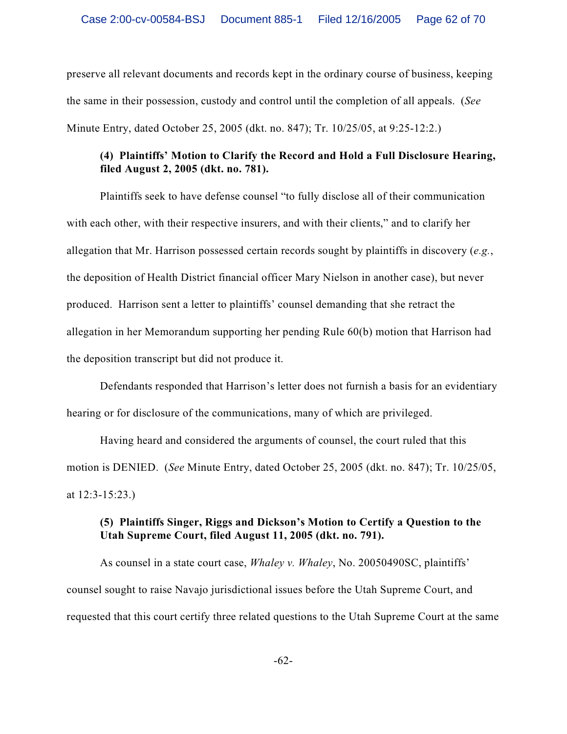preserve all relevant documents and records kept in the ordinary course of business, keeping the same in their possession, custody and control until the completion of all appeals. (*See* Minute Entry, dated October 25, 2005 (dkt. no. 847); Tr. 10/25/05, at 9:25-12:2.)

# **(4) Plaintiffs' Motion to Clarify the Record and Hold a Full Disclosure Hearing, filed August 2, 2005 (dkt. no. 781).**

Plaintiffs seek to have defense counsel "to fully disclose all of their communication with each other, with their respective insurers, and with their clients," and to clarify her allegation that Mr. Harrison possessed certain records sought by plaintiffs in discovery (*e.g.*, the deposition of Health District financial officer Mary Nielson in another case), but never produced. Harrison sent a letter to plaintiffs' counsel demanding that she retract the allegation in her Memorandum supporting her pending Rule 60(b) motion that Harrison had the deposition transcript but did not produce it.

Defendants responded that Harrison's letter does not furnish a basis for an evidentiary hearing or for disclosure of the communications, many of which are privileged.

Having heard and considered the arguments of counsel, the court ruled that this motion is DENIED. (*See* Minute Entry, dated October 25, 2005 (dkt. no. 847); Tr. 10/25/05, at 12:3-15:23.)

# **(5) Plaintiffs Singer, Riggs and Dickson's Motion to Certify a Question to the Utah Supreme Court, filed August 11, 2005 (dkt. no. 791).**

As counsel in a state court case, *Whaley v. Whaley*, No. 20050490SC, plaintiffs' counsel sought to raise Navajo jurisdictional issues before the Utah Supreme Court, and requested that this court certify three related questions to the Utah Supreme Court at the same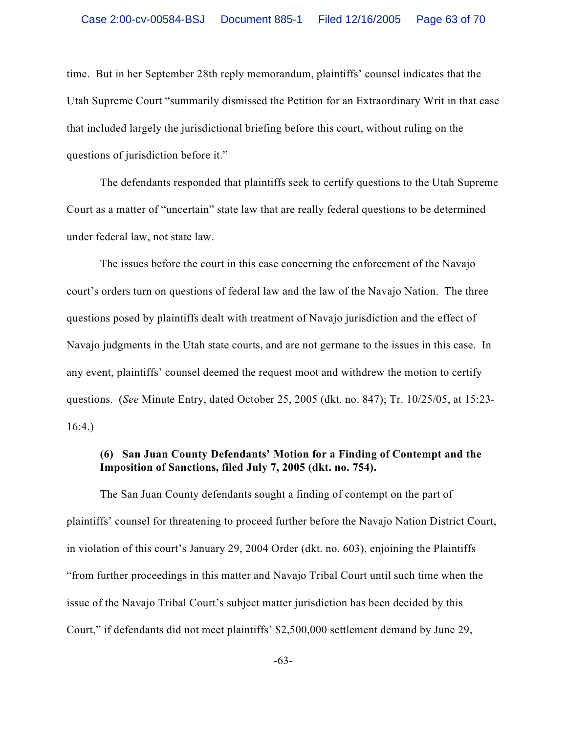time. But in her September 28th reply memorandum, plaintiffs' counsel indicates that the Utah Supreme Court "summarily dismissed the Petition for an Extraordinary Writ in that case that included largely the jurisdictional briefing before this court, without ruling on the questions of jurisdiction before it."

The defendants responded that plaintiffs seek to certify questions to the Utah Supreme Court as a matter of "uncertain" state law that are really federal questions to be determined under federal law, not state law.

The issues before the court in this case concerning the enforcement of the Navajo court's orders turn on questions of federal law and the law of the Navajo Nation. The three questions posed by plaintiffs dealt with treatment of Navajo jurisdiction and the effect of Navajo judgments in the Utah state courts, and are not germane to the issues in this case. In any event, plaintiffs' counsel deemed the request moot and withdrew the motion to certify questions. (*See* Minute Entry, dated October 25, 2005 (dkt. no. 847); Tr. 10/25/05, at 15:23- 16:4.)

# **(6) San Juan County Defendants' Motion for a Finding of Contempt and the Imposition of Sanctions, filed July 7, 2005 (dkt. no. 754).**

The San Juan County defendants sought a finding of contempt on the part of plaintiffs' counsel for threatening to proceed further before the Navajo Nation District Court, in violation of this court's January 29, 2004 Order (dkt. no. 603), enjoining the Plaintiffs "from further proceedings in this matter and Navajo Tribal Court until such time when the issue of the Navajo Tribal Court's subject matter jurisdiction has been decided by this Court," if defendants did not meet plaintiffs' \$2,500,000 settlement demand by June 29,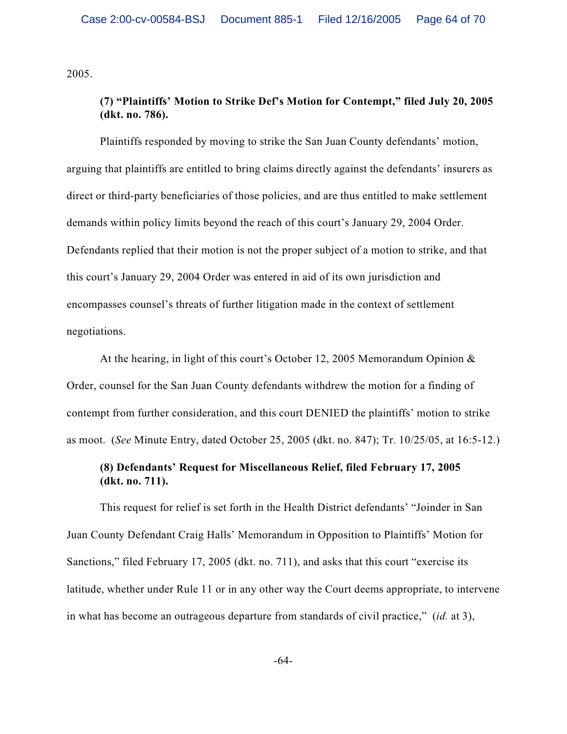2005.

## **(7) "Plaintiffs' Motion to Strike Def's Motion for Contempt," filed July 20, 2005 (dkt. no. 786).**

Plaintiffs responded by moving to strike the San Juan County defendants' motion, arguing that plaintiffs are entitled to bring claims directly against the defendants' insurers as direct or third-party beneficiaries of those policies, and are thus entitled to make settlement demands within policy limits beyond the reach of this court's January 29, 2004 Order. Defendants replied that their motion is not the proper subject of a motion to strike, and that this court's January 29, 2004 Order was entered in aid of its own jurisdiction and encompasses counsel's threats of further litigation made in the context of settlement negotiations.

At the hearing, in light of this court's October 12, 2005 Memorandum Opinion & Order, counsel for the San Juan County defendants withdrew the motion for a finding of contempt from further consideration, and this court DENIED the plaintiffs' motion to strike as moot. (*See* Minute Entry, dated October 25, 2005 (dkt. no. 847); Tr. 10/25/05, at 16:5-12.)

## **(8) Defendants' Request for Miscellaneous Relief, filed February 17, 2005 (dkt. no. 711).**

This request for relief is set forth in the Health District defendants' "Joinder in San Juan County Defendant Craig Halls' Memorandum in Opposition to Plaintiffs' Motion for Sanctions," filed February 17, 2005 (dkt. no. 711), and asks that this court "exercise its latitude, whether under Rule 11 or in any other way the Court deems appropriate, to intervene in what has become an outrageous departure from standards of civil practice," (*id.* at 3),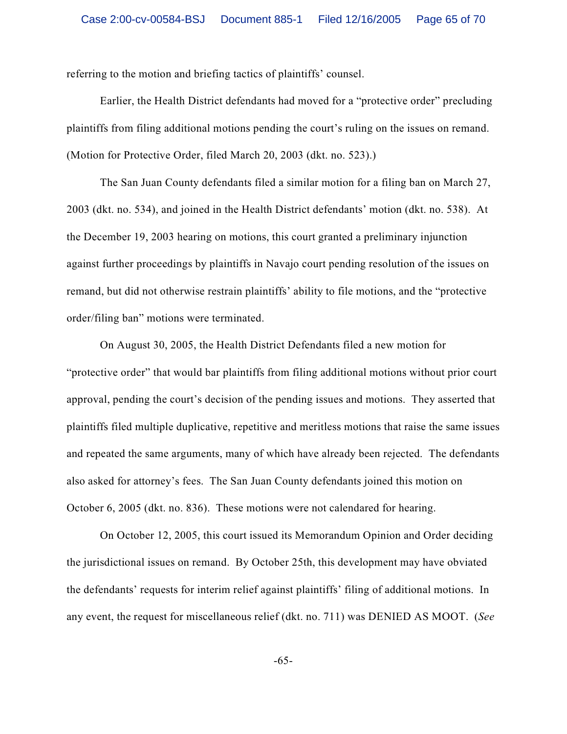referring to the motion and briefing tactics of plaintiffs' counsel.

Earlier, the Health District defendants had moved for a "protective order" precluding plaintiffs from filing additional motions pending the court's ruling on the issues on remand. (Motion for Protective Order, filed March 20, 2003 (dkt. no. 523).)

The San Juan County defendants filed a similar motion for a filing ban on March 27, 2003 (dkt. no. 534), and joined in the Health District defendants' motion (dkt. no. 538). At the December 19, 2003 hearing on motions, this court granted a preliminary injunction against further proceedings by plaintiffs in Navajo court pending resolution of the issues on remand, but did not otherwise restrain plaintiffs' ability to file motions, and the "protective order/filing ban" motions were terminated.

On August 30, 2005, the Health District Defendants filed a new motion for "protective order" that would bar plaintiffs from filing additional motions without prior court approval, pending the court's decision of the pending issues and motions. They asserted that plaintiffs filed multiple duplicative, repetitive and meritless motions that raise the same issues and repeated the same arguments, many of which have already been rejected. The defendants also asked for attorney's fees. The San Juan County defendants joined this motion on October 6, 2005 (dkt. no. 836). These motions were not calendared for hearing.

On October 12, 2005, this court issued its Memorandum Opinion and Order deciding the jurisdictional issues on remand. By October 25th, this development may have obviated the defendants' requests for interim relief against plaintiffs' filing of additional motions. In any event, the request for miscellaneous relief (dkt. no. 711) was DENIED AS MOOT. (*See*

-65-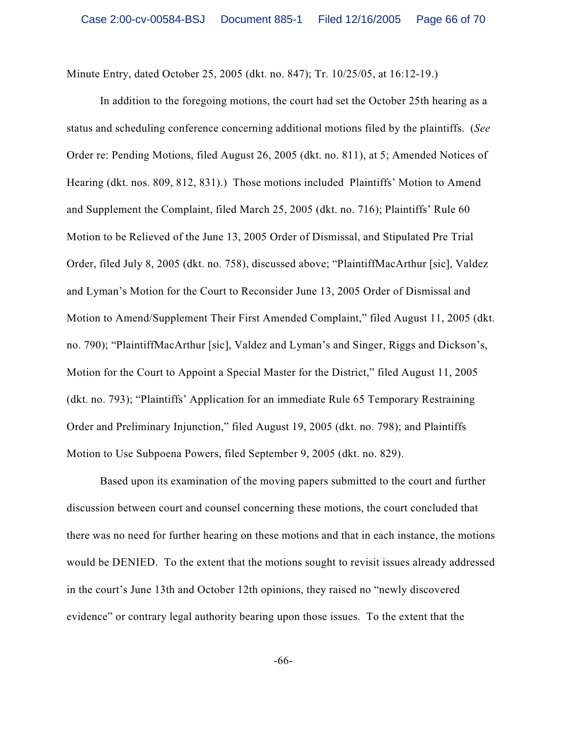Minute Entry, dated October 25, 2005 (dkt. no. 847); Tr. 10/25/05, at 16:12-19.)

In addition to the foregoing motions, the court had set the October 25th hearing as a status and scheduling conference concerning additional motions filed by the plaintiffs. (*See* Order re: Pending Motions, filed August 26, 2005 (dkt. no. 811), at 5; Amended Notices of Hearing (dkt. nos. 809, 812, 831).) Those motions included Plaintiffs' Motion to Amend and Supplement the Complaint, filed March 25, 2005 (dkt. no. 716); Plaintiffs' Rule 60 Motion to be Relieved of the June 13, 2005 Order of Dismissal, and Stipulated Pre Trial Order, filed July 8, 2005 (dkt. no. 758), discussed above; "PlaintiffMacArthur [sic], Valdez and Lyman's Motion for the Court to Reconsider June 13, 2005 Order of Dismissal and Motion to Amend/Supplement Their First Amended Complaint," filed August 11, 2005 (dkt. no. 790); "PlaintiffMacArthur [sic], Valdez and Lyman's and Singer, Riggs and Dickson's, Motion for the Court to Appoint a Special Master for the District," filed August 11, 2005 (dkt. no. 793); "Plaintiffs' Application for an immediate Rule 65 Temporary Restraining Order and Preliminary Injunction," filed August 19, 2005 (dkt. no. 798); and Plaintiffs Motion to Use Subpoena Powers, filed September 9, 2005 (dkt. no. 829).

Based upon its examination of the moving papers submitted to the court and further discussion between court and counsel concerning these motions, the court concluded that there was no need for further hearing on these motions and that in each instance, the motions would be DENIED. To the extent that the motions sought to revisit issues already addressed in the court's June 13th and October 12th opinions, they raised no "newly discovered evidence" or contrary legal authority bearing upon those issues. To the extent that the

-66-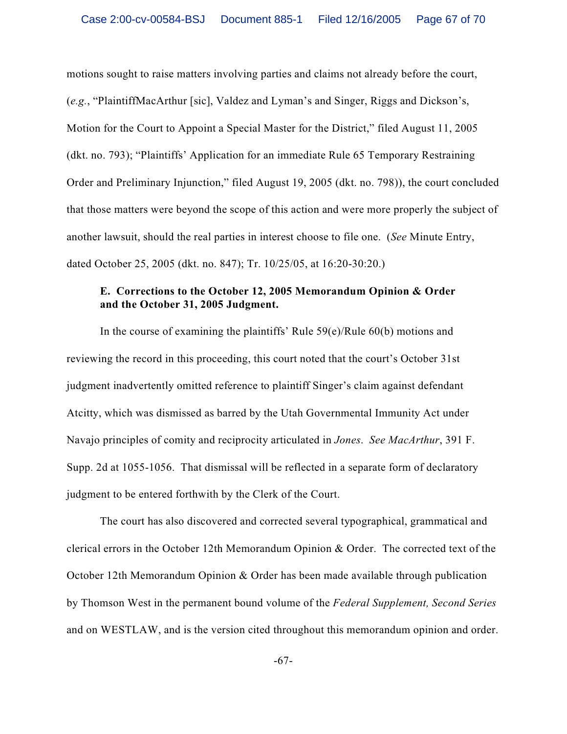motions sought to raise matters involving parties and claims not already before the court, (*e.g.*, "PlaintiffMacArthur [sic], Valdez and Lyman's and Singer, Riggs and Dickson's, Motion for the Court to Appoint a Special Master for the District," filed August 11, 2005 (dkt. no. 793); "Plaintiffs' Application for an immediate Rule 65 Temporary Restraining Order and Preliminary Injunction," filed August 19, 2005 (dkt. no. 798)), the court concluded that those matters were beyond the scope of this action and were more properly the subject of another lawsuit, should the real parties in interest choose to file one. (*See* Minute Entry, dated October 25, 2005 (dkt. no. 847); Tr. 10/25/05, at 16:20-30:20.)

# **E. Corrections to the October 12, 2005 Memorandum Opinion & Order and the October 31, 2005 Judgment.**

In the course of examining the plaintiffs' Rule 59(e)/Rule 60(b) motions and reviewing the record in this proceeding, this court noted that the court's October 31st judgment inadvertently omitted reference to plaintiff Singer's claim against defendant Atcitty, which was dismissed as barred by the Utah Governmental Immunity Act under Navajo principles of comity and reciprocity articulated in *Jones*. *See MacArthur*, 391 F. Supp. 2d at 1055-1056. That dismissal will be reflected in a separate form of declaratory judgment to be entered forthwith by the Clerk of the Court.

The court has also discovered and corrected several typographical, grammatical and clerical errors in the October 12th Memorandum Opinion & Order. The corrected text of the October 12th Memorandum Opinion & Order has been made available through publication by Thomson West in the permanent bound volume of the *Federal Supplement, Second Series* and on WESTLAW, and is the version cited throughout this memorandum opinion and order.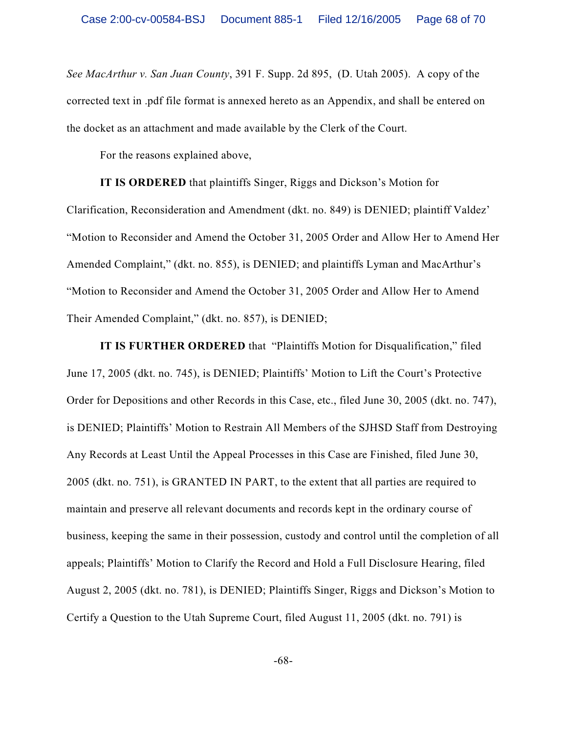*See MacArthur v. San Juan County*, 391 F. Supp. 2d 895, (D. Utah 2005). A copy of the corrected text in .pdf file format is annexed hereto as an Appendix, and shall be entered on the docket as an attachment and made available by the Clerk of the Court.

For the reasons explained above,

**IT IS ORDERED** that plaintiffs Singer, Riggs and Dickson's Motion for Clarification, Reconsideration and Amendment (dkt. no. 849) is DENIED; plaintiff Valdez' "Motion to Reconsider and Amend the October 31, 2005 Order and Allow Her to Amend Her Amended Complaint," (dkt. no. 855), is DENIED; and plaintiffs Lyman and MacArthur's "Motion to Reconsider and Amend the October 31, 2005 Order and Allow Her to Amend Their Amended Complaint," (dkt. no. 857), is DENIED;

**IT IS FURTHER ORDERED** that "Plaintiffs Motion for Disqualification," filed June 17, 2005 (dkt. no. 745), is DENIED; Plaintiffs' Motion to Lift the Court's Protective Order for Depositions and other Records in this Case, etc., filed June 30, 2005 (dkt. no. 747), is DENIED; Plaintiffs' Motion to Restrain All Members of the SJHSD Staff from Destroying Any Records at Least Until the Appeal Processes in this Case are Finished, filed June 30, 2005 (dkt. no. 751), is GRANTED IN PART, to the extent that all parties are required to maintain and preserve all relevant documents and records kept in the ordinary course of business, keeping the same in their possession, custody and control until the completion of all appeals; Plaintiffs' Motion to Clarify the Record and Hold a Full Disclosure Hearing, filed August 2, 2005 (dkt. no. 781), is DENIED; Plaintiffs Singer, Riggs and Dickson's Motion to Certify a Question to the Utah Supreme Court, filed August 11, 2005 (dkt. no. 791) is

-68-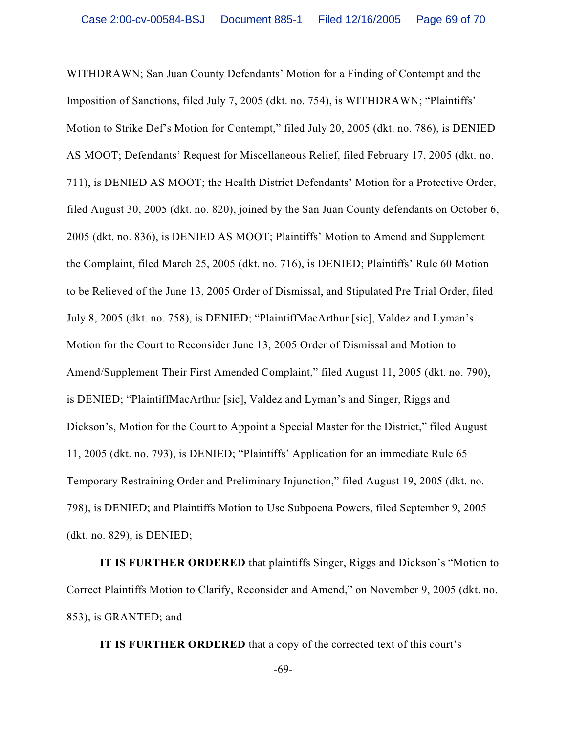WITHDRAWN; San Juan County Defendants' Motion for a Finding of Contempt and the Imposition of Sanctions, filed July 7, 2005 (dkt. no. 754), is WITHDRAWN; "Plaintiffs' Motion to Strike Def's Motion for Contempt," filed July 20, 2005 (dkt. no. 786), is DENIED AS MOOT; Defendants' Request for Miscellaneous Relief, filed February 17, 2005 (dkt. no. 711), is DENIED AS MOOT; the Health District Defendants' Motion for a Protective Order, filed August 30, 2005 (dkt. no. 820), joined by the San Juan County defendants on October 6, 2005 (dkt. no. 836), is DENIED AS MOOT; Plaintiffs' Motion to Amend and Supplement the Complaint, filed March 25, 2005 (dkt. no. 716), is DENIED; Plaintiffs' Rule 60 Motion to be Relieved of the June 13, 2005 Order of Dismissal, and Stipulated Pre Trial Order, filed July 8, 2005 (dkt. no. 758), is DENIED; "PlaintiffMacArthur [sic], Valdez and Lyman's Motion for the Court to Reconsider June 13, 2005 Order of Dismissal and Motion to Amend/Supplement Their First Amended Complaint," filed August 11, 2005 (dkt. no. 790), is DENIED; "PlaintiffMacArthur [sic], Valdez and Lyman's and Singer, Riggs and Dickson's, Motion for the Court to Appoint a Special Master for the District," filed August 11, 2005 (dkt. no. 793), is DENIED; "Plaintiffs' Application for an immediate Rule 65 Temporary Restraining Order and Preliminary Injunction," filed August 19, 2005 (dkt. no. 798), is DENIED; and Plaintiffs Motion to Use Subpoena Powers, filed September 9, 2005 (dkt. no. 829), is DENIED;

**IT IS FURTHER ORDERED** that plaintiffs Singer, Riggs and Dickson's "Motion to Correct Plaintiffs Motion to Clarify, Reconsider and Amend," on November 9, 2005 (dkt. no. 853), is GRANTED; and

**IT IS FURTHER ORDERED** that a copy of the corrected text of this court's